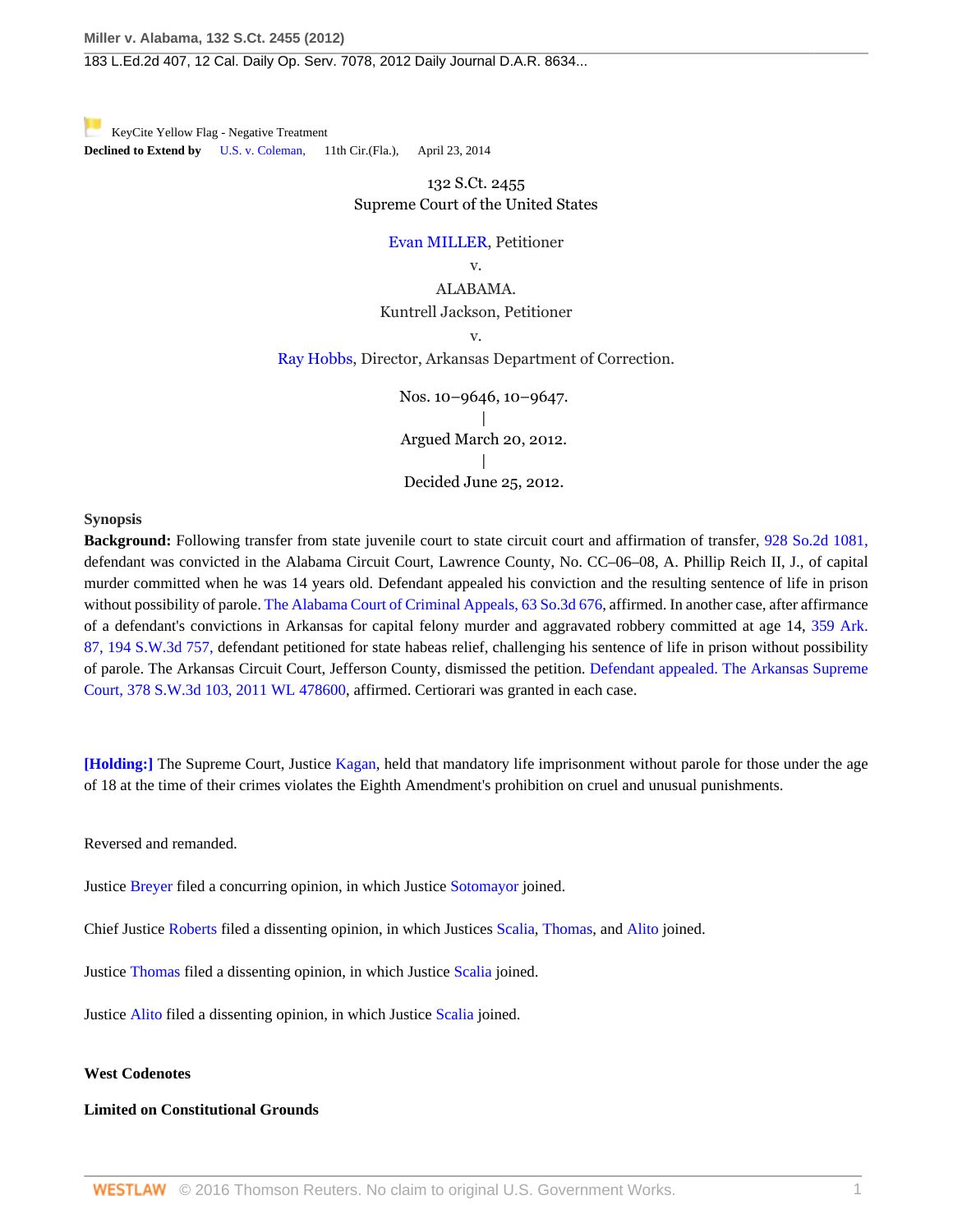183 L.Ed.2d 407, 12 Cal. Daily Op. Serv. 7078, 2012 Daily Journal D.A.R. 8634...

[K](https://a.next.westlaw.com/Link/RelatedInformation/Flag?documentGuid=Iec8a7df1beb611e1b343c837631e1747&transitionType=Document&originationContext=docHeaderFlag&contextData=(sc.Search))eyCite Yellow Flag - Negative Treatment **Declined to Extend by** [U.S. v. Coleman](https://a.next.westlaw.com/Document/I84ead966caed11e3b86bd602cb8781fa/View/FullText.html?navigationPath=RelatedInfo%2Fv4%2Fkeycite%2Fnav%2F%3Fguid%3DI84ead966caed11e3b86bd602cb8781fa%26ss%3D2027964006%26ds%3D2033251924&listSource=RelatedInfo&list=NegativeCitingReferences&rank=0&originationContext=docHeader&transitionType=NegativeTreatment&contextData=%28sc.Search%29), 11th Cir.(Fla.), April 23, 2014

> 132 S.Ct. 2455 Supreme Court of the United States

> > [Evan MILLER](http://www.westlaw.com/Search/Results.html?query=advanced%3a+OAID(5006988602)&saveJuris=False&contentType=BUSINESS-INVESTIGATOR&startIndex=1&contextData=(sc.Default)&categoryPageUrl=Home%2fCompanyInvestigator&originationContext=document&vr=3.0&rs=cblt1.0&transitionType=DocumentItem), Petitioner

v.

ALABAMA.

# Kuntrell Jackson, Petitioner

v.

[Ray Hobbs,](http://www.westlaw.com/Search/Results.html?query=advanced%3a+OAID(5030611839)&saveJuris=False&contentType=BUSINESS-INVESTIGATOR&startIndex=1&contextData=(sc.Default)&categoryPageUrl=Home%2fCompanyInvestigator&originationContext=document&vr=3.0&rs=cblt1.0&transitionType=DocumentItem) Director, Arkansas Department of Correction.

Nos. 10–9646, 10–9647. | Argued March 20, 2012. | Decided June 25, 2012.

**Synopsis**

**Background:** Following transfer from state juvenile court to state circuit court and affirmation of transfer, [928 So.2d 1081,](http://www.westlaw.com/Link/Document/FullText?findType=Y&serNum=2007551157&pubNum=735&originatingDoc=Iec8a7df1beb611e1b343c837631e1747&refType=RP&originationContext=document&vr=3.0&rs=cblt1.0&transitionType=DocumentItem&contextData=(sc.Search)) defendant was convicted in the Alabama Circuit Court, Lawrence County, No. CC–06–08, A. Phillip Reich II, J., of capital murder committed when he was 14 years old. Defendant appealed his conviction and the resulting sentence of life in prison without possibility of parole. [The Alabama Court of Criminal Appeals, 63 So.3d 676](http://www.westlaw.com/Link/Document/FullText?findType=Y&serNum=2022873225&pubNum=0003926&originatingDoc=Iec8a7df1beb611e1b343c837631e1747&refType=RP&originationContext=document&vr=3.0&rs=cblt1.0&transitionType=DocumentItem&contextData=(sc.Search)), affirmed. In another case, after affirmance of a defendant's convictions in Arkansas for capital felony murder and aggravated robbery committed at age 14, [359 Ark.](http://www.westlaw.com/Link/Document/FullText?findType=Y&serNum=2005249383&pubNum=4644&originatingDoc=Iec8a7df1beb611e1b343c837631e1747&refType=RP&originationContext=document&vr=3.0&rs=cblt1.0&transitionType=DocumentItem&contextData=(sc.Search)) [87, 194 S.W.3d 757,](http://www.westlaw.com/Link/Document/FullText?findType=Y&serNum=2005249383&pubNum=4644&originatingDoc=Iec8a7df1beb611e1b343c837631e1747&refType=RP&originationContext=document&vr=3.0&rs=cblt1.0&transitionType=DocumentItem&contextData=(sc.Search)) defendant petitioned for state habeas relief, challenging his sentence of life in prison without possibility of parole. The Arkansas Circuit Court, Jefferson County, dismissed the petition. [Defendant appealed. The Arkansas Supreme](http://www.westlaw.com/Link/Document/FullText?findType=Y&serNum=2024575372&pubNum=0004644&originatingDoc=Iec8a7df1beb611e1b343c837631e1747&refType=RP&originationContext=document&vr=3.0&rs=cblt1.0&transitionType=DocumentItem&contextData=(sc.Search)) [Court, 378 S.W.3d 103, 2011 WL 478600](http://www.westlaw.com/Link/Document/FullText?findType=Y&serNum=2024575372&pubNum=0004644&originatingDoc=Iec8a7df1beb611e1b343c837631e1747&refType=RP&originationContext=document&vr=3.0&rs=cblt1.0&transitionType=DocumentItem&contextData=(sc.Search)), affirmed. Certiorari was granted in each case.

**[Holding:]** The Supreme Court, Justice [Kagan,](http://www.westlaw.com/Link/Document/FullText?findType=h&pubNum=176284&cite=0301239401&originatingDoc=Iec8a7df1beb611e1b343c837631e1747&refType=RQ&originationContext=document&vr=3.0&rs=cblt1.0&transitionType=DocumentItem&contextData=(sc.Search)) held that mandatory life imprisonment without parole for those under the age of 18 at the time of their crimes violates the Eighth Amendment's prohibition on cruel and unusual punishments.

Reversed and remanded.

Justice [Breyer](http://www.westlaw.com/Link/Document/FullText?findType=h&pubNum=176284&cite=0254766801&originatingDoc=Iec8a7df1beb611e1b343c837631e1747&refType=RQ&originationContext=document&vr=3.0&rs=cblt1.0&transitionType=DocumentItem&contextData=(sc.Search)) filed a concurring opinion, in which Justice [Sotomayor](http://www.westlaw.com/Link/Document/FullText?findType=h&pubNum=176284&cite=0145172701&originatingDoc=Iec8a7df1beb611e1b343c837631e1747&refType=RQ&originationContext=document&vr=3.0&rs=cblt1.0&transitionType=DocumentItem&contextData=(sc.Search)) joined.

Chief Justice [Roberts](http://www.westlaw.com/Link/Document/FullText?findType=h&pubNum=176284&cite=0258116001&originatingDoc=Iec8a7df1beb611e1b343c837631e1747&refType=RQ&originationContext=document&vr=3.0&rs=cblt1.0&transitionType=DocumentItem&contextData=(sc.Search)) filed a dissenting opinion, in which Justices [Scalia,](http://www.westlaw.com/Link/Document/FullText?findType=h&pubNum=176284&cite=0254763301&originatingDoc=Iec8a7df1beb611e1b343c837631e1747&refType=RQ&originationContext=document&vr=3.0&rs=cblt1.0&transitionType=DocumentItem&contextData=(sc.Search)) [Thomas,](http://www.westlaw.com/Link/Document/FullText?findType=h&pubNum=176284&cite=0216654601&originatingDoc=Iec8a7df1beb611e1b343c837631e1747&refType=RQ&originationContext=document&vr=3.0&rs=cblt1.0&transitionType=DocumentItem&contextData=(sc.Search)) and [Alito](http://www.westlaw.com/Link/Document/FullText?findType=h&pubNum=176284&cite=0153052401&originatingDoc=Iec8a7df1beb611e1b343c837631e1747&refType=RQ&originationContext=document&vr=3.0&rs=cblt1.0&transitionType=DocumentItem&contextData=(sc.Search)) joined.

Justice [Thomas](http://www.westlaw.com/Link/Document/FullText?findType=h&pubNum=176284&cite=0216654601&originatingDoc=Iec8a7df1beb611e1b343c837631e1747&refType=RQ&originationContext=document&vr=3.0&rs=cblt1.0&transitionType=DocumentItem&contextData=(sc.Search)) filed a dissenting opinion, in which Justice [Scalia](http://www.westlaw.com/Link/Document/FullText?findType=h&pubNum=176284&cite=0254763301&originatingDoc=Iec8a7df1beb611e1b343c837631e1747&refType=RQ&originationContext=document&vr=3.0&rs=cblt1.0&transitionType=DocumentItem&contextData=(sc.Search)) joined.

Justice [Alito](http://www.westlaw.com/Link/Document/FullText?findType=h&pubNum=176284&cite=0153052401&originatingDoc=Iec8a7df1beb611e1b343c837631e1747&refType=RQ&originationContext=document&vr=3.0&rs=cblt1.0&transitionType=DocumentItem&contextData=(sc.Search)) filed a dissenting opinion, in which Justice [Scalia](http://www.westlaw.com/Link/Document/FullText?findType=h&pubNum=176284&cite=0254763301&originatingDoc=Iec8a7df1beb611e1b343c837631e1747&refType=RQ&originationContext=document&vr=3.0&rs=cblt1.0&transitionType=DocumentItem&contextData=(sc.Search)) joined.

### **West Codenotes**

### **Limited on Constitutional Grounds**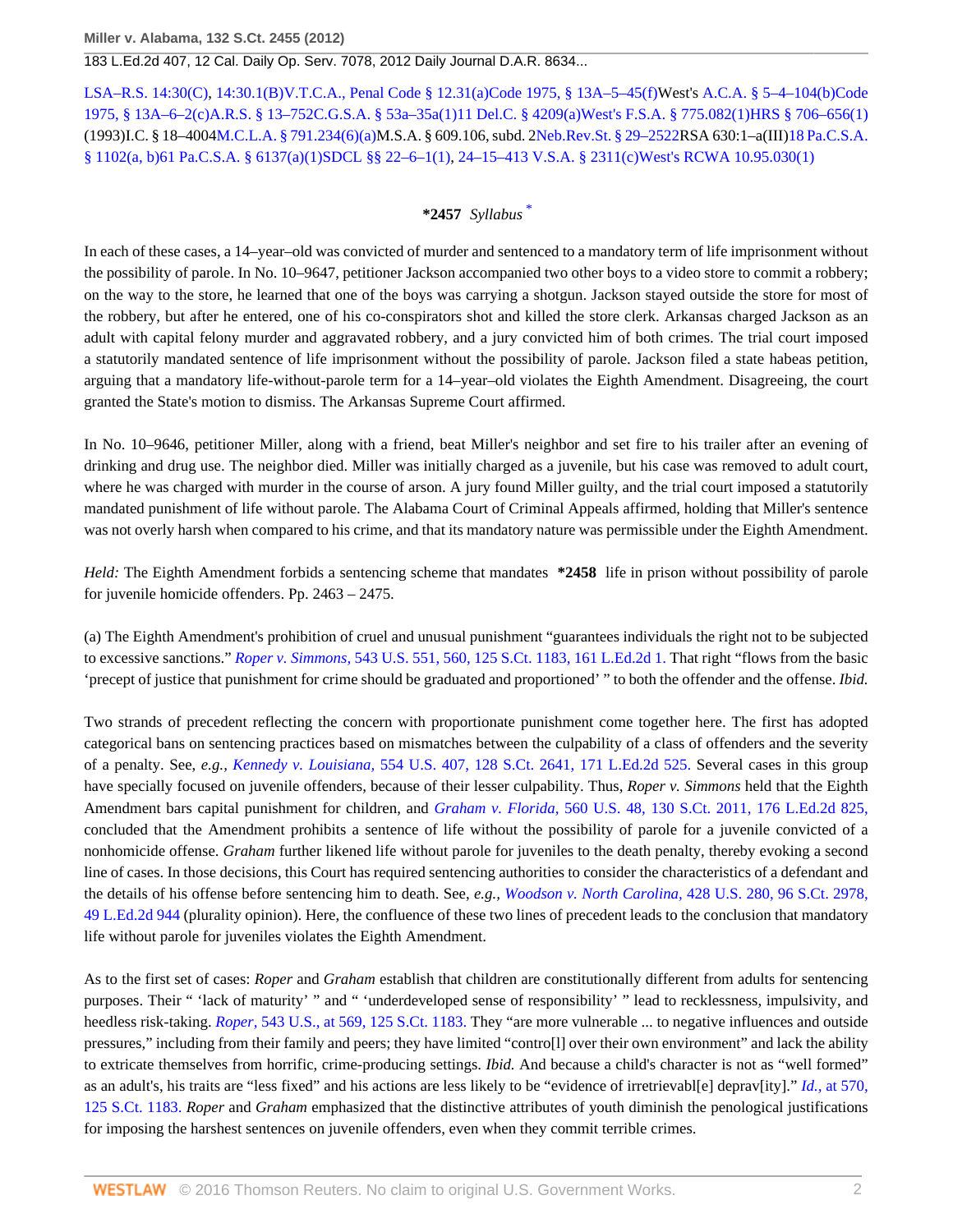[LSA–R.S. 14:30\(C\),](http://www.westlaw.com/Link/Document/FullText?findType=L&pubNum=1000011&cite=LARS14%3a30&originatingDoc=Iec8a7df1beb611e1b343c837631e1747&refType=LQ&originationContext=document&vr=3.0&rs=cblt1.0&transitionType=DocumentItem&contextData=(sc.Search)) [14:30.1\(B\)](http://www.westlaw.com/Link/Document/FullText?findType=L&pubNum=1000011&cite=LARS14%3a30.1&originatingDoc=Iec8a7df1beb611e1b343c837631e1747&refType=LQ&originationContext=document&vr=3.0&rs=cblt1.0&transitionType=DocumentItem&contextData=(sc.Search))[V.T.C.A., Penal Code § 12.31\(a\)](http://www.westlaw.com/Link/Document/FullText?findType=L&pubNum=1000182&cite=TXPES12.31&originatingDoc=Iec8a7df1beb611e1b343c837631e1747&refType=SP&originationContext=document&vr=3.0&rs=cblt1.0&transitionType=DocumentItem&contextData=(sc.Search)#co_pp_8b3b0000958a4)[Code 1975, § 13A–5–45\(f\)W](http://www.westlaw.com/Link/Document/FullText?findType=L&pubNum=1000002&cite=ALSTS13A-5-45&originatingDoc=Iec8a7df1beb611e1b343c837631e1747&refType=SP&originationContext=document&vr=3.0&rs=cblt1.0&transitionType=DocumentItem&contextData=(sc.Search)#co_pp_ae0d0000c5150)est's [A.C.A. § 5–4–104\(b\)](http://www.westlaw.com/Link/Document/FullText?findType=L&pubNum=1000004&cite=ARSTS5-4-104&originatingDoc=Iec8a7df1beb611e1b343c837631e1747&refType=SP&originationContext=document&vr=3.0&rs=cblt1.0&transitionType=DocumentItem&contextData=(sc.Search)#co_pp_a83b000018c76)[Code](http://www.westlaw.com/Link/Document/FullText?findType=L&pubNum=1000002&cite=ALSTS13A-6-2&originatingDoc=Iec8a7df1beb611e1b343c837631e1747&refType=SP&originationContext=document&vr=3.0&rs=cblt1.0&transitionType=DocumentItem&contextData=(sc.Search)#co_pp_4b24000003ba5) [1975, § 13A–6–2\(c\)](http://www.westlaw.com/Link/Document/FullText?findType=L&pubNum=1000002&cite=ALSTS13A-6-2&originatingDoc=Iec8a7df1beb611e1b343c837631e1747&refType=SP&originationContext=document&vr=3.0&rs=cblt1.0&transitionType=DocumentItem&contextData=(sc.Search)#co_pp_4b24000003ba5)[A.R.S. § 13–752](http://www.westlaw.com/Link/Document/FullText?findType=L&pubNum=1000251&cite=AZSTS13-752&originatingDoc=Iec8a7df1beb611e1b343c837631e1747&refType=LQ&originationContext=document&vr=3.0&rs=cblt1.0&transitionType=DocumentItem&contextData=(sc.Search))[C.G.S.A. § 53a–35a\(1\)](http://www.westlaw.com/Link/Document/FullText?findType=L&pubNum=1000264&cite=CTSTS53A-35A&originatingDoc=Iec8a7df1beb611e1b343c837631e1747&refType=SP&originationContext=document&vr=3.0&rs=cblt1.0&transitionType=DocumentItem&contextData=(sc.Search)#co_pp_f1c50000821b0)[11 Del.C. § 4209\(a\)](http://www.westlaw.com/Link/Document/FullText?findType=L&pubNum=1000005&cite=DESTT11S4209&originatingDoc=Iec8a7df1beb611e1b343c837631e1747&refType=SP&originationContext=document&vr=3.0&rs=cblt1.0&transitionType=DocumentItem&contextData=(sc.Search)#co_pp_8b3b0000958a4)[West's F.S.A. § 775.082\(1\)](http://www.westlaw.com/Link/Document/FullText?findType=L&pubNum=1000006&cite=FLSTS775.082&originatingDoc=Iec8a7df1beb611e1b343c837631e1747&refType=SP&originationContext=document&vr=3.0&rs=cblt1.0&transitionType=DocumentItem&contextData=(sc.Search)#co_pp_f1c50000821b0)[HRS § 706–656\(1\)](http://www.westlaw.com/Link/Document/FullText?findType=L&pubNum=1000522&cite=HISTS706-656&originatingDoc=Iec8a7df1beb611e1b343c837631e1747&refType=SP&originationContext=document&vr=3.0&rs=cblt1.0&transitionType=DocumentItem&contextData=(sc.Search)#co_pp_f1c50000821b0) (1993)I.C. § 18–400[4M.C.L.A. § 791.234\(6\)\(a\)M](http://www.westlaw.com/Link/Document/FullText?findType=L&pubNum=1000043&cite=MIST791.234&originatingDoc=Iec8a7df1beb611e1b343c837631e1747&refType=SP&originationContext=document&vr=3.0&rs=cblt1.0&transitionType=DocumentItem&contextData=(sc.Search)#co_pp_8fd7000095a35).S.A. § 609.106, subd. 2[Neb.Rev.St. § 29–2522R](http://www.westlaw.com/Link/Document/FullText?findType=L&pubNum=1000257&cite=NESTS29-2522&originatingDoc=Iec8a7df1beb611e1b343c837631e1747&refType=LQ&originationContext=document&vr=3.0&rs=cblt1.0&transitionType=DocumentItem&contextData=(sc.Search))SA 630:1–a(III)[18 Pa.C.S.A.](http://www.westlaw.com/Link/Document/FullText?findType=L&pubNum=1000262&cite=PA18S1102&originatingDoc=Iec8a7df1beb611e1b343c837631e1747&refType=LQ&originationContext=document&vr=3.0&rs=cblt1.0&transitionType=DocumentItem&contextData=(sc.Search)) [§ 1102\(a, b\)](http://www.westlaw.com/Link/Document/FullText?findType=L&pubNum=1000262&cite=PA18S1102&originatingDoc=Iec8a7df1beb611e1b343c837631e1747&refType=LQ&originationContext=document&vr=3.0&rs=cblt1.0&transitionType=DocumentItem&contextData=(sc.Search))[61 Pa.C.S.A. § 6137\(a\)\(1\)](http://www.westlaw.com/Link/Document/FullText?findType=L&pubNum=1000262&cite=PA61S6137&originatingDoc=Iec8a7df1beb611e1b343c837631e1747&refType=SP&originationContext=document&vr=3.0&rs=cblt1.0&transitionType=DocumentItem&contextData=(sc.Search)#co_pp_7b9b000044381)[SDCL §§ 22–6–1\(1\),](http://www.westlaw.com/Link/Document/FullText?findType=L&pubNum=1000359&cite=SDSTS22-6-1&originatingDoc=Iec8a7df1beb611e1b343c837631e1747&refType=SP&originationContext=document&vr=3.0&rs=cblt1.0&transitionType=DocumentItem&contextData=(sc.Search)#co_pp_f1c50000821b0) [24–15–4](http://www.westlaw.com/Link/Document/FullText?findType=L&pubNum=1000359&cite=SDSTS24-15-4&originatingDoc=Iec8a7df1beb611e1b343c837631e1747&refType=LQ&originationContext=document&vr=3.0&rs=cblt1.0&transitionType=DocumentItem&contextData=(sc.Search))[13 V.S.A. § 2311\(c\)](http://www.westlaw.com/Link/Document/FullText?findType=L&pubNum=1000883&cite=VTST13S2311&originatingDoc=Iec8a7df1beb611e1b343c837631e1747&refType=SP&originationContext=document&vr=3.0&rs=cblt1.0&transitionType=DocumentItem&contextData=(sc.Search)#co_pp_4b24000003ba5)[West's RCWA 10.95.030\(1\)](http://www.westlaw.com/Link/Document/FullText?findType=L&pubNum=1000259&cite=WAST10.95.030&originatingDoc=Iec8a7df1beb611e1b343c837631e1747&refType=SP&originationContext=document&vr=3.0&rs=cblt1.0&transitionType=DocumentItem&contextData=(sc.Search)#co_pp_f1c50000821b0)

# <span id="page-1-0"></span>**\*2457** *Syllabus [\\*](#page-22-0)*

In each of these cases, a 14–year–old was convicted of murder and sentenced to a mandatory term of life imprisonment without the possibility of parole. In No. 10–9647, petitioner Jackson accompanied two other boys to a video store to commit a robbery; on the way to the store, he learned that one of the boys was carrying a shotgun. Jackson stayed outside the store for most of the robbery, but after he entered, one of his co-conspirators shot and killed the store clerk. Arkansas charged Jackson as an adult with capital felony murder and aggravated robbery, and a jury convicted him of both crimes. The trial court imposed a statutorily mandated sentence of life imprisonment without the possibility of parole. Jackson filed a state habeas petition, arguing that a mandatory life-without-parole term for a 14–year–old violates the Eighth Amendment. Disagreeing, the court granted the State's motion to dismiss. The Arkansas Supreme Court affirmed.

In No. 10–9646, petitioner Miller, along with a friend, beat Miller's neighbor and set fire to his trailer after an evening of drinking and drug use. The neighbor died. Miller was initially charged as a juvenile, but his case was removed to adult court, where he was charged with murder in the course of arson. A jury found Miller guilty, and the trial court imposed a statutorily mandated punishment of life without parole. The Alabama Court of Criminal Appeals affirmed, holding that Miller's sentence was not overly harsh when compared to his crime, and that its mandatory nature was permissible under the Eighth Amendment.

*Held:* The Eighth Amendment forbids a sentencing scheme that mandates **\*2458** life in prison without possibility of parole for juvenile homicide offenders. Pp. 2463 – 2475.

(a) The Eighth Amendment's prohibition of cruel and unusual punishment "guarantees individuals the right not to be subjected to excessive sanctions." *Roper v. Simmons,* [543 U.S. 551, 560, 125 S.Ct. 1183, 161 L.Ed.2d 1.](http://www.westlaw.com/Link/Document/FullText?findType=Y&serNum=2006291922&pubNum=708&originatingDoc=Iec8a7df1beb611e1b343c837631e1747&refType=RP&originationContext=document&vr=3.0&rs=cblt1.0&transitionType=DocumentItem&contextData=(sc.Search)) That right "flows from the basic 'precept of justice that punishment for crime should be graduated and proportioned' " to both the offender and the offense. *Ibid.*

Two strands of precedent reflecting the concern with proportionate punishment come together here. The first has adopted categorical bans on sentencing practices based on mismatches between the culpability of a class of offenders and the severity of a penalty. See, *e.g., Kennedy v. Louisiana,* [554 U.S. 407, 128 S.Ct. 2641, 171 L.Ed.2d 525.](http://www.westlaw.com/Link/Document/FullText?findType=Y&serNum=2016379544&pubNum=708&originatingDoc=Iec8a7df1beb611e1b343c837631e1747&refType=RP&originationContext=document&vr=3.0&rs=cblt1.0&transitionType=DocumentItem&contextData=(sc.Search)) Several cases in this group have specially focused on juvenile offenders, because of their lesser culpability. Thus, *Roper v. Simmons* held that the Eighth Amendment bars capital punishment for children, and *Graham v. Florida,* [560 U.S. 48, 130 S.Ct. 2011, 176 L.Ed.2d 825,](http://www.westlaw.com/Link/Document/FullText?findType=Y&serNum=2022052221&pubNum=708&originatingDoc=Iec8a7df1beb611e1b343c837631e1747&refType=RP&originationContext=document&vr=3.0&rs=cblt1.0&transitionType=DocumentItem&contextData=(sc.Search)) concluded that the Amendment prohibits a sentence of life without the possibility of parole for a juvenile convicted of a nonhomicide offense. *Graham* further likened life without parole for juveniles to the death penalty, thereby evoking a second line of cases. In those decisions, this Court has required sentencing authorities to consider the characteristics of a defendant and the details of his offense before sentencing him to death. See, *e.g., [Woodson v. North Carolina,](http://www.westlaw.com/Link/Document/FullText?findType=Y&serNum=1976141320&pubNum=0000708&originatingDoc=Iec8a7df1beb611e1b343c837631e1747&refType=RP&originationContext=document&vr=3.0&rs=cblt1.0&transitionType=DocumentItem&contextData=(sc.Search))* 428 U.S. 280, 96 S.Ct. 2978, [49 L.Ed.2d 944](http://www.westlaw.com/Link/Document/FullText?findType=Y&serNum=1976141320&pubNum=0000708&originatingDoc=Iec8a7df1beb611e1b343c837631e1747&refType=RP&originationContext=document&vr=3.0&rs=cblt1.0&transitionType=DocumentItem&contextData=(sc.Search)) (plurality opinion). Here, the confluence of these two lines of precedent leads to the conclusion that mandatory life without parole for juveniles violates the Eighth Amendment.

As to the first set of cases: *Roper* and *Graham* establish that children are constitutionally different from adults for sentencing purposes. Their " 'lack of maturity' " and " 'underdeveloped sense of responsibility' " lead to recklessness, impulsivity, and heedless risk-taking. *Roper,* [543 U.S., at 569, 125 S.Ct. 1183.](http://www.westlaw.com/Link/Document/FullText?findType=Y&serNum=2006291922&pubNum=708&originatingDoc=Iec8a7df1beb611e1b343c837631e1747&refType=RP&originationContext=document&vr=3.0&rs=cblt1.0&transitionType=DocumentItem&contextData=(sc.Search)) They "are more vulnerable ... to negative influences and outside pressures," including from their family and peers; they have limited "contro[l] over their own environment" and lack the ability to extricate themselves from horrific, crime-producing settings. *Ibid.* And because a child's character is not as "well formed" as an adult's, his traits are "less fixed" and his actions are less likely to be "evidence of irretrievabl[e] deprav[ity]." *Id.,* [at 570,](http://www.westlaw.com/Link/Document/FullText?findType=Y&serNum=2006291922&pubNum=708&originatingDoc=Iec8a7df1beb611e1b343c837631e1747&refType=RP&originationContext=document&vr=3.0&rs=cblt1.0&transitionType=DocumentItem&contextData=(sc.Search)) [125 S.Ct. 1183.](http://www.westlaw.com/Link/Document/FullText?findType=Y&serNum=2006291922&pubNum=708&originatingDoc=Iec8a7df1beb611e1b343c837631e1747&refType=RP&originationContext=document&vr=3.0&rs=cblt1.0&transitionType=DocumentItem&contextData=(sc.Search)) *Roper* and *Graham* emphasized that the distinctive attributes of youth diminish the penological justifications for imposing the harshest sentences on juvenile offenders, even when they commit terrible crimes.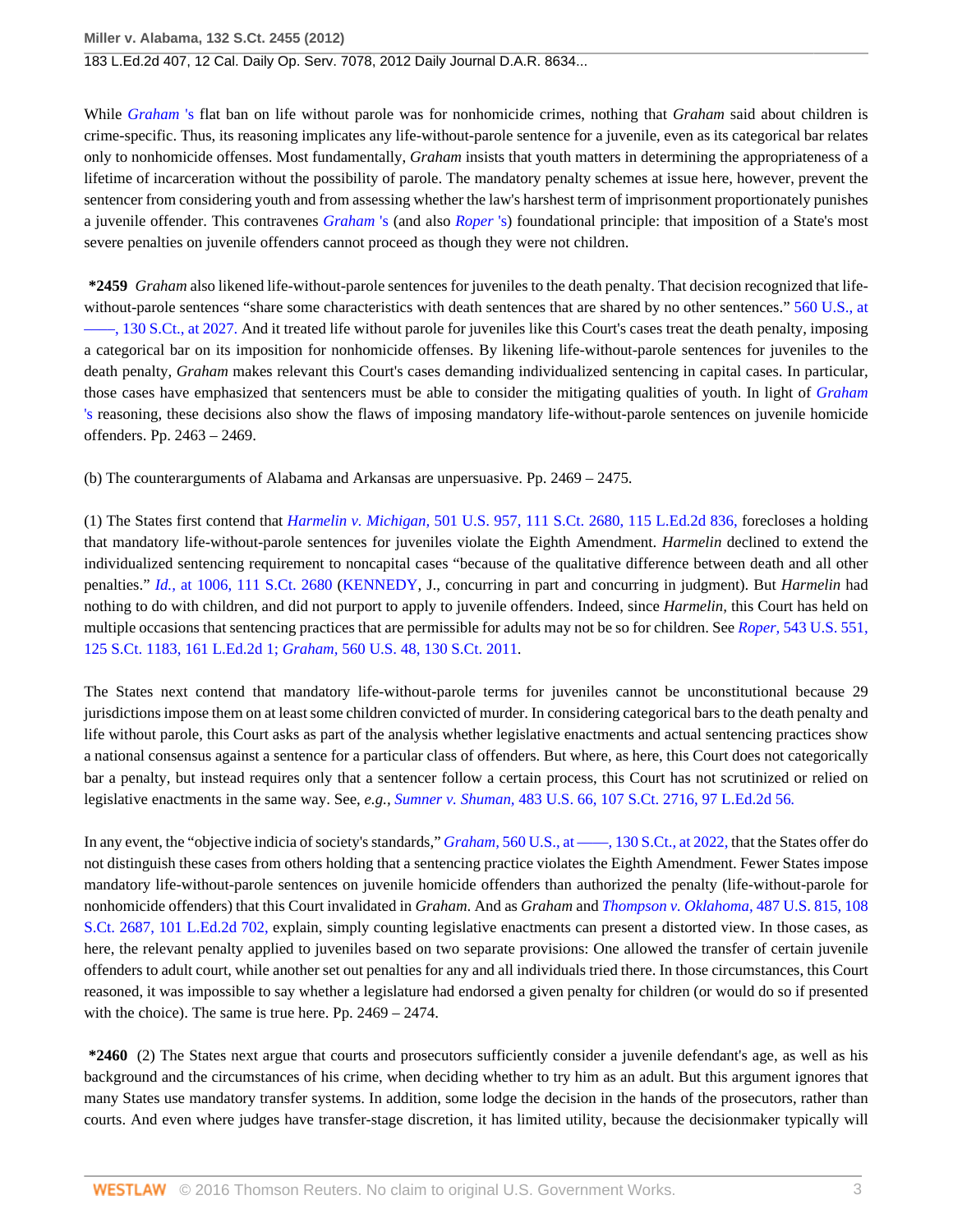183 L.Ed.2d 407, 12 Cal. Daily Op. Serv. 7078, 2012 Daily Journal D.A.R. 8634...

While *[Graham](http://www.westlaw.com/Link/Document/FullText?findType=Y&serNum=2022052221&originatingDoc=Iec8a7df1beb611e1b343c837631e1747&refType=RP&originationContext=document&vr=3.0&rs=cblt1.0&transitionType=DocumentItem&contextData=(sc.Search))* 's flat ban on life without parole was for nonhomicide crimes, nothing that *Graham* said about children is crime-specific. Thus, its reasoning implicates any life-without-parole sentence for a juvenile, even as its categorical bar relates only to nonhomicide offenses. Most fundamentally, *Graham* insists that youth matters in determining the appropriateness of a lifetime of incarceration without the possibility of parole. The mandatory penalty schemes at issue here, however, prevent the sentencer from considering youth and from assessing whether the law's harshest term of imprisonment proportionately punishes a juvenile offender. This contravenes *[Graham](http://www.westlaw.com/Link/Document/FullText?findType=Y&serNum=2022052221&originatingDoc=Iec8a7df1beb611e1b343c837631e1747&refType=RP&originationContext=document&vr=3.0&rs=cblt1.0&transitionType=DocumentItem&contextData=(sc.Search))* 's (and also *[Roper](http://www.westlaw.com/Link/Document/FullText?findType=Y&serNum=2006291922&originatingDoc=Iec8a7df1beb611e1b343c837631e1747&refType=RP&originationContext=document&vr=3.0&rs=cblt1.0&transitionType=DocumentItem&contextData=(sc.Search))* 's) foundational principle: that imposition of a State's most severe penalties on juvenile offenders cannot proceed as though they were not children.

**\*2459** *Graham* also likened life-without-parole sentences for juveniles to the death penalty. That decision recognized that life-without-parole sentences "share some characteristics with death sentences that are shared by no other sentences." [560 U.S., at](http://www.westlaw.com/Link/Document/FullText?findType=Y&serNum=2022052221&pubNum=708&originatingDoc=Iec8a7df1beb611e1b343c837631e1747&refType=RP&fi=co_pp_sp_708_2027&originationContext=document&vr=3.0&rs=cblt1.0&transitionType=DocumentItem&contextData=(sc.Search)#co_pp_sp_708_2027) [––––, 130 S.Ct., at 2027.](http://www.westlaw.com/Link/Document/FullText?findType=Y&serNum=2022052221&pubNum=708&originatingDoc=Iec8a7df1beb611e1b343c837631e1747&refType=RP&fi=co_pp_sp_708_2027&originationContext=document&vr=3.0&rs=cblt1.0&transitionType=DocumentItem&contextData=(sc.Search)#co_pp_sp_708_2027) And it treated life without parole for juveniles like this Court's cases treat the death penalty, imposing a categorical bar on its imposition for nonhomicide offenses. By likening life-without-parole sentences for juveniles to the death penalty, *Graham* makes relevant this Court's cases demanding individualized sentencing in capital cases. In particular, those cases have emphasized that sentencers must be able to consider the mitigating qualities of youth. In light of *[Graham](http://www.westlaw.com/Link/Document/FullText?findType=Y&serNum=2022052221&originatingDoc=Iec8a7df1beb611e1b343c837631e1747&refType=RP&originationContext=document&vr=3.0&rs=cblt1.0&transitionType=DocumentItem&contextData=(sc.Search))* ['s](http://www.westlaw.com/Link/Document/FullText?findType=Y&serNum=2022052221&originatingDoc=Iec8a7df1beb611e1b343c837631e1747&refType=RP&originationContext=document&vr=3.0&rs=cblt1.0&transitionType=DocumentItem&contextData=(sc.Search)) reasoning, these decisions also show the flaws of imposing mandatory life-without-parole sentences on juvenile homicide offenders. Pp. 2463 – 2469.

(b) The counterarguments of Alabama and Arkansas are unpersuasive. Pp. 2469 – 2475.

(1) The States first contend that *Harmelin v. Michigan,* [501 U.S. 957, 111 S.Ct. 2680, 115 L.Ed.2d 836,](http://www.westlaw.com/Link/Document/FullText?findType=Y&serNum=1991116023&pubNum=708&originatingDoc=Iec8a7df1beb611e1b343c837631e1747&refType=RP&originationContext=document&vr=3.0&rs=cblt1.0&transitionType=DocumentItem&contextData=(sc.Search)) forecloses a holding that mandatory life-without-parole sentences for juveniles violate the Eighth Amendment. *Harmelin* declined to extend the individualized sentencing requirement to noncapital cases "because of the qualitative difference between death and all other penalties." *Id.,* [at 1006, 111 S.Ct. 2680](http://www.westlaw.com/Link/Document/FullText?findType=Y&serNum=1991116023&pubNum=708&originatingDoc=Iec8a7df1beb611e1b343c837631e1747&refType=RP&originationContext=document&vr=3.0&rs=cblt1.0&transitionType=DocumentItem&contextData=(sc.Search)) [\(KENNEDY,](http://www.westlaw.com/Link/Document/FullText?findType=h&pubNum=176284&cite=0243105201&originatingDoc=Iec8a7df1beb611e1b343c837631e1747&refType=RQ&originationContext=document&vr=3.0&rs=cblt1.0&transitionType=DocumentItem&contextData=(sc.Search)) J., concurring in part and concurring in judgment). But *Harmelin* had nothing to do with children, and did not purport to apply to juvenile offenders. Indeed, since *Harmelin,* this Court has held on multiple occasions that sentencing practices that are permissible for adults may not be so for children. See *Roper,* [543 U.S. 551,](http://www.westlaw.com/Link/Document/FullText?findType=Y&serNum=2006291922&pubNum=708&originatingDoc=Iec8a7df1beb611e1b343c837631e1747&refType=RP&originationContext=document&vr=3.0&rs=cblt1.0&transitionType=DocumentItem&contextData=(sc.Search)) [125 S.Ct. 1183, 161 L.Ed.2d 1;](http://www.westlaw.com/Link/Document/FullText?findType=Y&serNum=2006291922&pubNum=708&originatingDoc=Iec8a7df1beb611e1b343c837631e1747&refType=RP&originationContext=document&vr=3.0&rs=cblt1.0&transitionType=DocumentItem&contextData=(sc.Search)) *Graham,* [560 U.S. 48, 130 S.Ct. 2011.](http://www.westlaw.com/Link/Document/FullText?findType=Y&serNum=2022052221&pubNum=0000708&originatingDoc=Iec8a7df1beb611e1b343c837631e1747&refType=RP&originationContext=document&vr=3.0&rs=cblt1.0&transitionType=DocumentItem&contextData=(sc.Search))

The States next contend that mandatory life-without-parole terms for juveniles cannot be unconstitutional because 29 jurisdictions impose them on at least some children convicted of murder. In considering categorical bars to the death penalty and life without parole, this Court asks as part of the analysis whether legislative enactments and actual sentencing practices show a national consensus against a sentence for a particular class of offenders. But where, as here, this Court does not categorically bar a penalty, but instead requires only that a sentencer follow a certain process, this Court has not scrutinized or relied on legislative enactments in the same way. See, *e.g., Sumner v. Shuman,* [483 U.S. 66, 107 S.Ct. 2716, 97 L.Ed.2d 56](http://www.westlaw.com/Link/Document/FullText?findType=Y&serNum=1987077900&pubNum=708&originatingDoc=Iec8a7df1beb611e1b343c837631e1747&refType=RP&originationContext=document&vr=3.0&rs=cblt1.0&transitionType=DocumentItem&contextData=(sc.Search))*.*

In any event, the "objective indicia of society's standards," *Graham*, 560 U.S., at ——, 130 S.Ct., at 2022, that the States offer do not distinguish these cases from others holding that a sentencing practice violates the Eighth Amendment. Fewer States impose mandatory life-without-parole sentences on juvenile homicide offenders than authorized the penalty (life-without-parole for nonhomicide offenders) that this Court invalidated in *Graham*. And as *Graham* and *[Thompson v. Oklahoma,](http://www.westlaw.com/Link/Document/FullText?findType=Y&serNum=1988084195&pubNum=708&originatingDoc=Iec8a7df1beb611e1b343c837631e1747&refType=RP&originationContext=document&vr=3.0&rs=cblt1.0&transitionType=DocumentItem&contextData=(sc.Search))* 487 U.S. 815, 108 [S.Ct. 2687, 101 L.Ed.2d 702,](http://www.westlaw.com/Link/Document/FullText?findType=Y&serNum=1988084195&pubNum=708&originatingDoc=Iec8a7df1beb611e1b343c837631e1747&refType=RP&originationContext=document&vr=3.0&rs=cblt1.0&transitionType=DocumentItem&contextData=(sc.Search)) explain, simply counting legislative enactments can present a distorted view. In those cases, as here, the relevant penalty applied to juveniles based on two separate provisions: One allowed the transfer of certain juvenile offenders to adult court, while another set out penalties for any and all individuals tried there. In those circumstances, this Court reasoned, it was impossible to say whether a legislature had endorsed a given penalty for children (or would do so if presented with the choice). The same is true here. Pp. 2469 – 2474.

**\*2460** (2) The States next argue that courts and prosecutors sufficiently consider a juvenile defendant's age, as well as his background and the circumstances of his crime, when deciding whether to try him as an adult. But this argument ignores that many States use mandatory transfer systems. In addition, some lodge the decision in the hands of the prosecutors, rather than courts. And even where judges have transfer-stage discretion, it has limited utility, because the decisionmaker typically will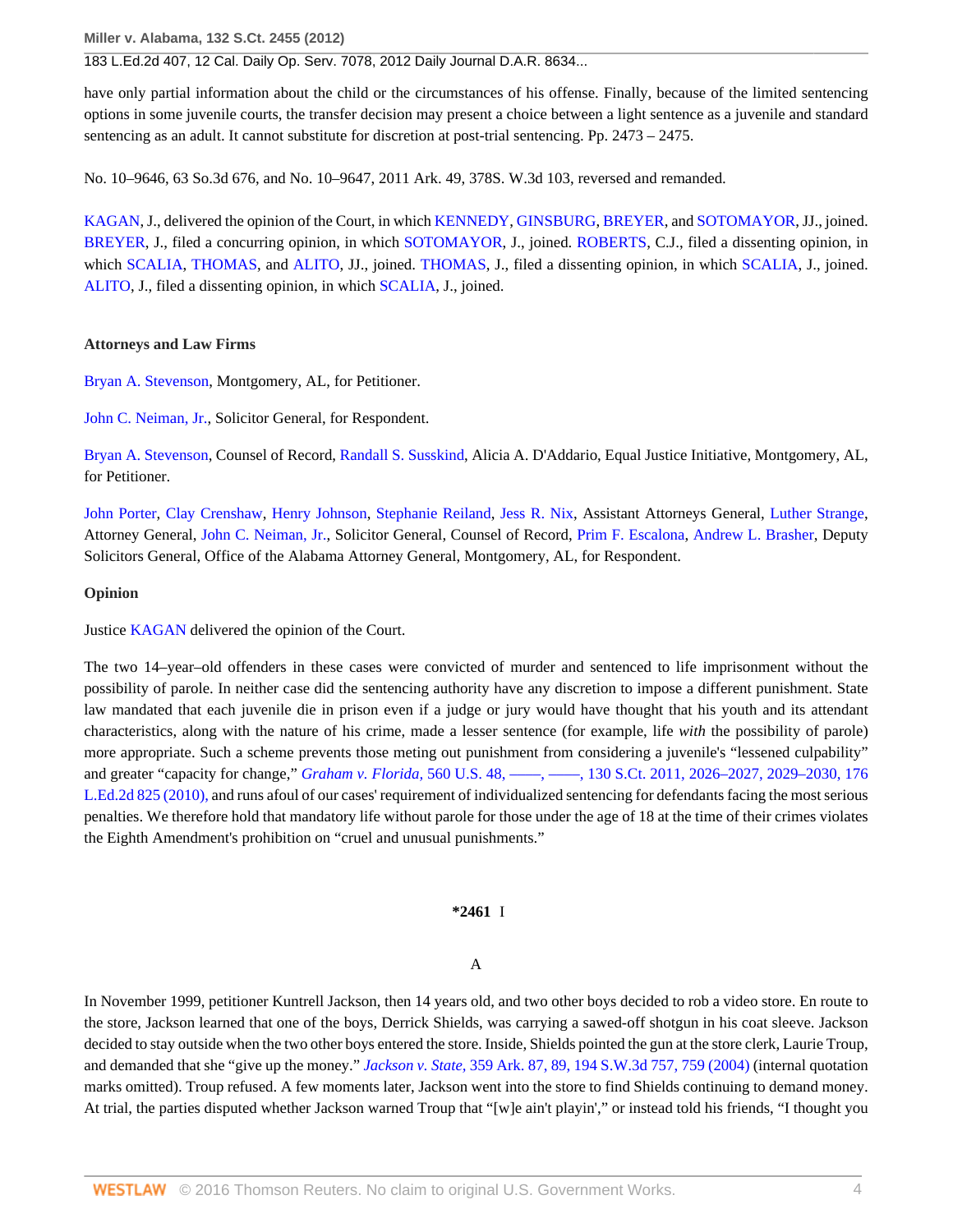183 L.Ed.2d 407, 12 Cal. Daily Op. Serv. 7078, 2012 Daily Journal D.A.R. 8634...

have only partial information about the child or the circumstances of his offense. Finally, because of the limited sentencing options in some juvenile courts, the transfer decision may present a choice between a light sentence as a juvenile and standard sentencing as an adult. It cannot substitute for discretion at post-trial sentencing. Pp. 2473 – 2475.

No. 10–9646, 63 So.3d 676, and No. 10–9647, 2011 Ark. 49, 378S. W.3d 103, reversed and remanded.

[KAGAN](http://www.westlaw.com/Link/Document/FullText?findType=h&pubNum=176284&cite=0301239401&originatingDoc=Iec8a7df1beb611e1b343c837631e1747&refType=RQ&originationContext=document&vr=3.0&rs=cblt1.0&transitionType=DocumentItem&contextData=(sc.Search)), J., delivered the opinion of the Court, in which [KENNEDY,](http://www.westlaw.com/Link/Document/FullText?findType=h&pubNum=176284&cite=0243105201&originatingDoc=Iec8a7df1beb611e1b343c837631e1747&refType=RQ&originationContext=document&vr=3.0&rs=cblt1.0&transitionType=DocumentItem&contextData=(sc.Search)) [GINSBURG](http://www.westlaw.com/Link/Document/FullText?findType=h&pubNum=176284&cite=0224420501&originatingDoc=Iec8a7df1beb611e1b343c837631e1747&refType=RQ&originationContext=document&vr=3.0&rs=cblt1.0&transitionType=DocumentItem&contextData=(sc.Search)), [BREYER](http://www.westlaw.com/Link/Document/FullText?findType=h&pubNum=176284&cite=0254766801&originatingDoc=Iec8a7df1beb611e1b343c837631e1747&refType=RQ&originationContext=document&vr=3.0&rs=cblt1.0&transitionType=DocumentItem&contextData=(sc.Search)), and [SOTOMAYOR](http://www.westlaw.com/Link/Document/FullText?findType=h&pubNum=176284&cite=0145172701&originatingDoc=Iec8a7df1beb611e1b343c837631e1747&refType=RQ&originationContext=document&vr=3.0&rs=cblt1.0&transitionType=DocumentItem&contextData=(sc.Search)), JJ., joined. [BREYER](http://www.westlaw.com/Link/Document/FullText?findType=h&pubNum=176284&cite=0254766801&originatingDoc=Iec8a7df1beb611e1b343c837631e1747&refType=RQ&originationContext=document&vr=3.0&rs=cblt1.0&transitionType=DocumentItem&contextData=(sc.Search)), J., filed a concurring opinion, in which [SOTOMAYOR,](http://www.westlaw.com/Link/Document/FullText?findType=h&pubNum=176284&cite=0145172701&originatingDoc=Iec8a7df1beb611e1b343c837631e1747&refType=RQ&originationContext=document&vr=3.0&rs=cblt1.0&transitionType=DocumentItem&contextData=(sc.Search)) J., joined. [ROBERTS,](http://www.westlaw.com/Link/Document/FullText?findType=h&pubNum=176284&cite=0258116001&originatingDoc=Iec8a7df1beb611e1b343c837631e1747&refType=RQ&originationContext=document&vr=3.0&rs=cblt1.0&transitionType=DocumentItem&contextData=(sc.Search)) C.J., filed a dissenting opinion, in which [SCALIA,](http://www.westlaw.com/Link/Document/FullText?findType=h&pubNum=176284&cite=0254763301&originatingDoc=Iec8a7df1beb611e1b343c837631e1747&refType=RQ&originationContext=document&vr=3.0&rs=cblt1.0&transitionType=DocumentItem&contextData=(sc.Search)) [THOMAS](http://www.westlaw.com/Link/Document/FullText?findType=h&pubNum=176284&cite=0216654601&originatingDoc=Iec8a7df1beb611e1b343c837631e1747&refType=RQ&originationContext=document&vr=3.0&rs=cblt1.0&transitionType=DocumentItem&contextData=(sc.Search)), and [ALITO](http://www.westlaw.com/Link/Document/FullText?findType=h&pubNum=176284&cite=0153052401&originatingDoc=Iec8a7df1beb611e1b343c837631e1747&refType=RQ&originationContext=document&vr=3.0&rs=cblt1.0&transitionType=DocumentItem&contextData=(sc.Search)), JJ., joined. [THOMAS,](http://www.westlaw.com/Link/Document/FullText?findType=h&pubNum=176284&cite=0216654601&originatingDoc=Iec8a7df1beb611e1b343c837631e1747&refType=RQ&originationContext=document&vr=3.0&rs=cblt1.0&transitionType=DocumentItem&contextData=(sc.Search)) J., filed a dissenting opinion, in which [SCALIA](http://www.westlaw.com/Link/Document/FullText?findType=h&pubNum=176284&cite=0254763301&originatingDoc=Iec8a7df1beb611e1b343c837631e1747&refType=RQ&originationContext=document&vr=3.0&rs=cblt1.0&transitionType=DocumentItem&contextData=(sc.Search)), J., joined. [ALITO,](http://www.westlaw.com/Link/Document/FullText?findType=h&pubNum=176284&cite=0153052401&originatingDoc=Iec8a7df1beb611e1b343c837631e1747&refType=RQ&originationContext=document&vr=3.0&rs=cblt1.0&transitionType=DocumentItem&contextData=(sc.Search)) J., filed a dissenting opinion, in which [SCALIA](http://www.westlaw.com/Link/Document/FullText?findType=h&pubNum=176284&cite=0254763301&originatingDoc=Iec8a7df1beb611e1b343c837631e1747&refType=RQ&originationContext=document&vr=3.0&rs=cblt1.0&transitionType=DocumentItem&contextData=(sc.Search)), J., joined.

#### **Attorneys and Law Firms**

[Bryan A. Stevenson](http://www.westlaw.com/Link/Document/FullText?findType=h&pubNum=176284&cite=0369599901&originatingDoc=Iec8a7df1beb611e1b343c837631e1747&refType=RQ&originationContext=document&vr=3.0&rs=cblt1.0&transitionType=DocumentItem&contextData=(sc.Search)), Montgomery, AL, for Petitioner.

[John C. Neiman, Jr.](http://www.westlaw.com/Link/Document/FullText?findType=h&pubNum=176284&cite=0328489201&originatingDoc=Iec8a7df1beb611e1b343c837631e1747&refType=RQ&originationContext=document&vr=3.0&rs=cblt1.0&transitionType=DocumentItem&contextData=(sc.Search)), Solicitor General, for Respondent.

[Bryan A. Stevenson,](http://www.westlaw.com/Link/Document/FullText?findType=h&pubNum=176284&cite=0369599901&originatingDoc=Iec8a7df1beb611e1b343c837631e1747&refType=RQ&originationContext=document&vr=3.0&rs=cblt1.0&transitionType=DocumentItem&contextData=(sc.Search)) Counsel of Record, [Randall S. Susskind](http://www.westlaw.com/Link/Document/FullText?findType=h&pubNum=176284&cite=0302941101&originatingDoc=Iec8a7df1beb611e1b343c837631e1747&refType=RQ&originationContext=document&vr=3.0&rs=cblt1.0&transitionType=DocumentItem&contextData=(sc.Search)), Alicia A. D'Addario, Equal Justice Initiative, Montgomery, AL, for Petitioner.

[John Porter,](http://www.westlaw.com/Link/Document/FullText?findType=h&pubNum=176284&cite=0278790901&originatingDoc=Iec8a7df1beb611e1b343c837631e1747&refType=RQ&originationContext=document&vr=3.0&rs=cblt1.0&transitionType=DocumentItem&contextData=(sc.Search)) [Clay Crenshaw,](http://www.westlaw.com/Link/Document/FullText?findType=h&pubNum=176284&cite=0285466001&originatingDoc=Iec8a7df1beb611e1b343c837631e1747&refType=MC&originationContext=document&vr=3.0&rs=cblt1.0&transitionType=DocumentItem&contextData=(sc.Search)) [Henry Johnson,](http://www.westlaw.com/Link/Document/FullText?findType=h&pubNum=176284&cite=0462752401&originatingDoc=Iec8a7df1beb611e1b343c837631e1747&refType=RQ&originationContext=document&vr=3.0&rs=cblt1.0&transitionType=DocumentItem&contextData=(sc.Search)) [Stephanie Reiland,](http://www.westlaw.com/Link/Document/FullText?findType=h&pubNum=176284&cite=0462752701&originatingDoc=Iec8a7df1beb611e1b343c837631e1747&refType=RQ&originationContext=document&vr=3.0&rs=cblt1.0&transitionType=DocumentItem&contextData=(sc.Search)) [Jess R. Nix,](http://www.westlaw.com/Link/Document/FullText?findType=h&pubNum=176284&cite=0390712501&originatingDoc=Iec8a7df1beb611e1b343c837631e1747&refType=RQ&originationContext=document&vr=3.0&rs=cblt1.0&transitionType=DocumentItem&contextData=(sc.Search)) Assistant Attorneys General, [Luther Strange](http://www.westlaw.com/Link/Document/FullText?findType=h&pubNum=176284&cite=0101571701&originatingDoc=Iec8a7df1beb611e1b343c837631e1747&refType=RQ&originationContext=document&vr=3.0&rs=cblt1.0&transitionType=DocumentItem&contextData=(sc.Search)), Attorney General, [John C. Neiman, Jr.,](http://www.westlaw.com/Link/Document/FullText?findType=h&pubNum=176284&cite=0328489201&originatingDoc=Iec8a7df1beb611e1b343c837631e1747&refType=RQ&originationContext=document&vr=3.0&rs=cblt1.0&transitionType=DocumentItem&contextData=(sc.Search)) Solicitor General, Counsel of Record, [Prim F. Escalona](http://www.westlaw.com/Link/Document/FullText?findType=h&pubNum=176284&cite=0425537901&originatingDoc=Iec8a7df1beb611e1b343c837631e1747&refType=RQ&originationContext=document&vr=3.0&rs=cblt1.0&transitionType=DocumentItem&contextData=(sc.Search)), [Andrew L. Brasher](http://www.westlaw.com/Link/Document/FullText?findType=h&pubNum=176284&cite=0390712201&originatingDoc=Iec8a7df1beb611e1b343c837631e1747&refType=RQ&originationContext=document&vr=3.0&rs=cblt1.0&transitionType=DocumentItem&contextData=(sc.Search)), Deputy Solicitors General, Office of the Alabama Attorney General, Montgomery, AL, for Respondent.

#### **Opinion**

Justice [KAGAN](http://www.westlaw.com/Link/Document/FullText?findType=h&pubNum=176284&cite=0301239401&originatingDoc=Iec8a7df1beb611e1b343c837631e1747&refType=RQ&originationContext=document&vr=3.0&rs=cblt1.0&transitionType=DocumentItem&contextData=(sc.Search)) delivered the opinion of the Court.

The two 14–year–old offenders in these cases were convicted of murder and sentenced to life imprisonment without the possibility of parole. In neither case did the sentencing authority have any discretion to impose a different punishment. State law mandated that each juvenile die in prison even if a judge or jury would have thought that his youth and its attendant characteristics, along with the nature of his crime, made a lesser sentence (for example, life *with* the possibility of parole) more appropriate. Such a scheme prevents those meting out punishment from considering a juvenile's "lessened culpability" and greater "capacity for change," *Graham v. Florida,* [560 U.S. 48, ––––, ––––, 130 S.Ct. 2011, 2026–2027, 2029–2030, 176](http://www.westlaw.com/Link/Document/FullText?findType=Y&serNum=2022052221&pubNum=708&originatingDoc=Iec8a7df1beb611e1b343c837631e1747&refType=RP&fi=co_pp_sp_708_2026&originationContext=document&vr=3.0&rs=cblt1.0&transitionType=DocumentItem&contextData=(sc.Search)#co_pp_sp_708_2026) [L.Ed.2d 825 \(2010\),](http://www.westlaw.com/Link/Document/FullText?findType=Y&serNum=2022052221&pubNum=708&originatingDoc=Iec8a7df1beb611e1b343c837631e1747&refType=RP&fi=co_pp_sp_708_2026&originationContext=document&vr=3.0&rs=cblt1.0&transitionType=DocumentItem&contextData=(sc.Search)#co_pp_sp_708_2026) and runs afoul of our cases' requirement of individualized sentencing for defendants facing the most serious penalties. We therefore hold that mandatory life without parole for those under the age of 18 at the time of their crimes violates the Eighth Amendment's prohibition on "cruel and unusual punishments."

#### **\*2461** I

# A

In November 1999, petitioner Kuntrell Jackson, then 14 years old, and two other boys decided to rob a video store. En route to the store, Jackson learned that one of the boys, Derrick Shields, was carrying a sawed-off shotgun in his coat sleeve. Jackson decided to stay outside when the two other boys entered the store. Inside, Shields pointed the gun at the store clerk, Laurie Troup, and demanded that she "give up the money." *Jackson v. State,* [359 Ark. 87, 89, 194 S.W.3d 757, 759 \(2004\)](http://www.westlaw.com/Link/Document/FullText?findType=Y&serNum=2005249383&pubNum=0004644&originatingDoc=Iec8a7df1beb611e1b343c837631e1747&refType=RP&fi=co_pp_sp_4644_759&originationContext=document&vr=3.0&rs=cblt1.0&transitionType=DocumentItem&contextData=(sc.Search)#co_pp_sp_4644_759) (internal quotation marks omitted). Troup refused. A few moments later, Jackson went into the store to find Shields continuing to demand money. At trial, the parties disputed whether Jackson warned Troup that "[w]e ain't playin'," or instead told his friends, "I thought you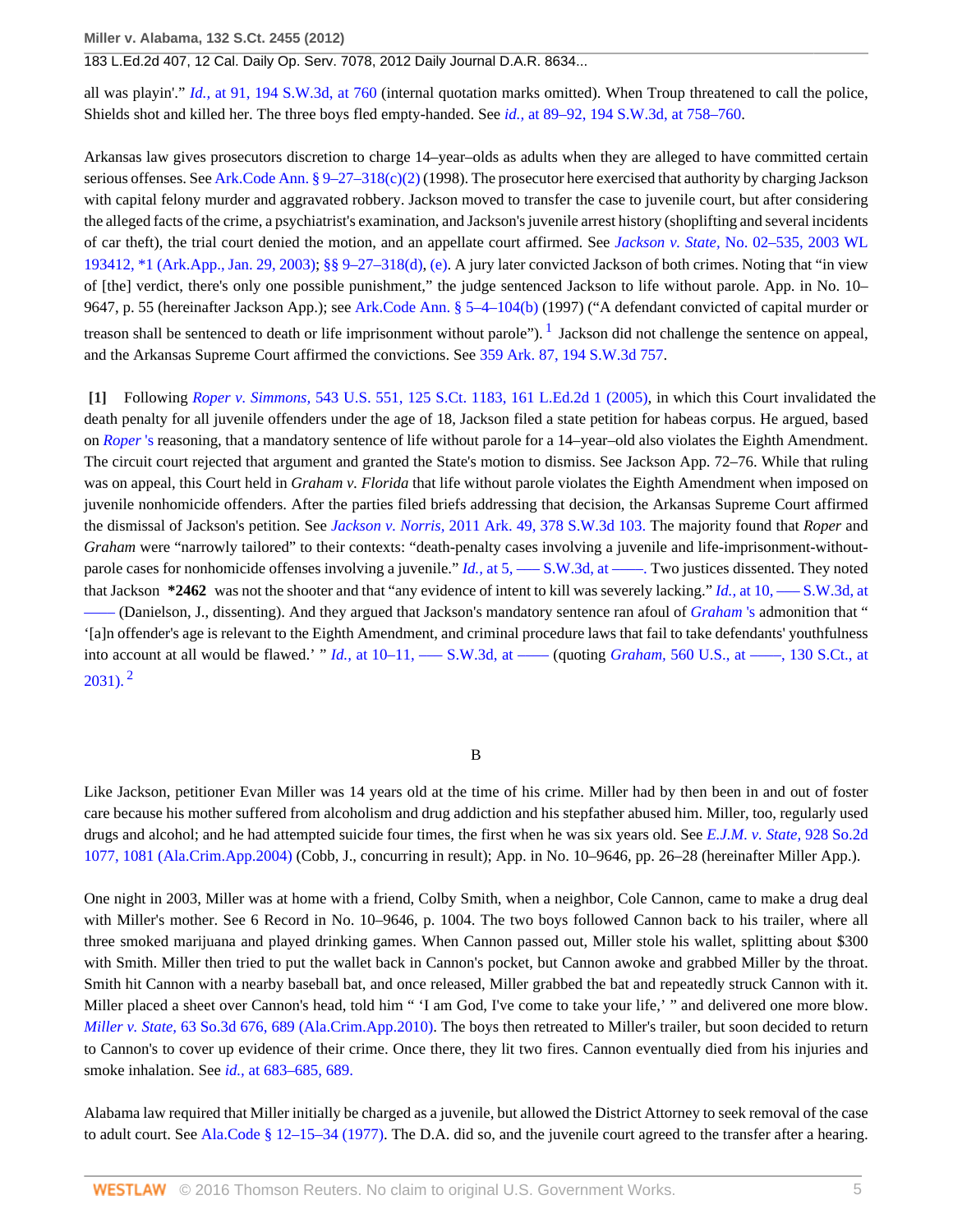183 L.Ed.2d 407, 12 Cal. Daily Op. Serv. 7078, 2012 Daily Journal D.A.R. 8634...

all was playin'." *Id.,* [at 91, 194 S.W.3d, at 760](http://www.westlaw.com/Link/Document/FullText?findType=Y&serNum=2005249383&pubNum=4644&originatingDoc=Iec8a7df1beb611e1b343c837631e1747&refType=RP&fi=co_pp_sp_4644_760&originationContext=document&vr=3.0&rs=cblt1.0&transitionType=DocumentItem&contextData=(sc.Search)#co_pp_sp_4644_760) (internal quotation marks omitted). When Troup threatened to call the police, Shields shot and killed her. The three boys fled empty-handed. See *id.,* [at 89–92, 194 S.W.3d, at 758–760](http://www.westlaw.com/Link/Document/FullText?findType=Y&serNum=2005249383&pubNum=4644&originatingDoc=Iec8a7df1beb611e1b343c837631e1747&refType=RP&fi=co_pp_sp_4644_758&originationContext=document&vr=3.0&rs=cblt1.0&transitionType=DocumentItem&contextData=(sc.Search)#co_pp_sp_4644_758).

Arkansas law gives prosecutors discretion to charge 14–year–olds as adults when they are alleged to have committed certain serious offenses. See [Ark.Code Ann. § 9–27–318\(c\)\(2\)](http://www.westlaw.com/Link/Document/FullText?findType=L&pubNum=1000004&cite=ARSTS9-27-318&originatingDoc=Iec8a7df1beb611e1b343c837631e1747&refType=SP&originationContext=document&vr=3.0&rs=cblt1.0&transitionType=DocumentItem&contextData=(sc.Search)#co_pp_fcf30000ea9c4) (1998). The prosecutor here exercised that authority by charging Jackson with capital felony murder and aggravated robbery. Jackson moved to transfer the case to juvenile court, but after considering the alleged facts of the crime, a psychiatrist's examination, and Jackson's juvenile arrest history (shoplifting and several incidents of car theft), the trial court denied the motion, and an appellate court affirmed. See *Jackson v. State,* [No. 02–535, 2003 WL](http://www.westlaw.com/Link/Document/FullText?findType=Y&serNum=2003117577&pubNum=0000999&originatingDoc=Iec8a7df1beb611e1b343c837631e1747&refType=RP&originationContext=document&vr=3.0&rs=cblt1.0&transitionType=DocumentItem&contextData=(sc.Search)) [193412, \\*1 \(Ark.App., Jan. 29, 2003\);](http://www.westlaw.com/Link/Document/FullText?findType=Y&serNum=2003117577&pubNum=0000999&originatingDoc=Iec8a7df1beb611e1b343c837631e1747&refType=RP&originationContext=document&vr=3.0&rs=cblt1.0&transitionType=DocumentItem&contextData=(sc.Search)) [§§ 9–27–318\(d\),](http://www.westlaw.com/Link/Document/FullText?findType=L&pubNum=1000004&cite=ARSTS9-27-318&originatingDoc=Iec8a7df1beb611e1b343c837631e1747&refType=SP&originationContext=document&vr=3.0&rs=cblt1.0&transitionType=DocumentItem&contextData=(sc.Search)#co_pp_5ba1000067d06) [\(e\).](http://www.westlaw.com/Link/Document/FullText?findType=L&pubNum=1000004&cite=ARSTS9-27-318&originatingDoc=Iec8a7df1beb611e1b343c837631e1747&refType=SP&originationContext=document&vr=3.0&rs=cblt1.0&transitionType=DocumentItem&contextData=(sc.Search)#co_pp_7fdd00001ca15) A jury later convicted Jackson of both crimes. Noting that "in view of [the] verdict, there's only one possible punishment," the judge sentenced Jackson to life without parole. App. in No. 10– 9647, p. 55 (hereinafter Jackson App.); see [Ark.Code Ann. § 5–4–104\(b\)](http://www.westlaw.com/Link/Document/FullText?findType=L&pubNum=1000004&cite=ARSTS5-4-104&originatingDoc=Iec8a7df1beb611e1b343c837631e1747&refType=SP&originationContext=document&vr=3.0&rs=cblt1.0&transitionType=DocumentItem&contextData=(sc.Search)#co_pp_a83b000018c76) (1997) ("A defendant convicted of capital murder or treason shall be sentenced to death or life imprisonment without parole"). <sup>[1](#page-22-1)</sup> Jackson did not challenge the sentence on appeal, and the Arkansas Supreme Court affirmed the convictions. See [359 Ark. 87, 194 S.W.3d 757](http://www.westlaw.com/Link/Document/FullText?findType=Y&serNum=2005249383&pubNum=0004644&originatingDoc=Iec8a7df1beb611e1b343c837631e1747&refType=RP&originationContext=document&vr=3.0&rs=cblt1.0&transitionType=DocumentItem&contextData=(sc.Search)).

**[1]** Following *Roper v. Simmons,* [543 U.S. 551, 125 S.Ct. 1183, 161 L.Ed.2d 1 \(2005\)](http://www.westlaw.com/Link/Document/FullText?findType=Y&serNum=2006291922&pubNum=0000708&originatingDoc=Iec8a7df1beb611e1b343c837631e1747&refType=RP&originationContext=document&vr=3.0&rs=cblt1.0&transitionType=DocumentItem&contextData=(sc.Search)), in which this Court invalidated the death penalty for all juvenile offenders under the age of 18, Jackson filed a state petition for habeas corpus. He argued, based on *[Roper](http://www.westlaw.com/Link/Document/FullText?findType=Y&serNum=2006291922&originatingDoc=Iec8a7df1beb611e1b343c837631e1747&refType=RP&originationContext=document&vr=3.0&rs=cblt1.0&transitionType=DocumentItem&contextData=(sc.Search))* 's reasoning, that a mandatory sentence of life without parole for a 14–year–old also violates the Eighth Amendment. The circuit court rejected that argument and granted the State's motion to dismiss. See Jackson App. 72–76. While that ruling was on appeal, this Court held in *Graham v. Florida* that life without parole violates the Eighth Amendment when imposed on juvenile nonhomicide offenders. After the parties filed briefs addressing that decision, the Arkansas Supreme Court affirmed the dismissal of Jackson's petition. See *Jackson v. Norris,* [2011 Ark. 49, 378 S.W.3d 103.](http://www.westlaw.com/Link/Document/FullText?findType=Y&serNum=2024575372&pubNum=4644&originatingDoc=Iec8a7df1beb611e1b343c837631e1747&refType=RP&originationContext=document&vr=3.0&rs=cblt1.0&transitionType=DocumentItem&contextData=(sc.Search)) The majority found that *Roper* and *Graham* were "narrowly tailored" to their contexts: "death-penalty cases involving a juvenile and life-imprisonment-withoutparole cases for nonhomicide offenses involving a juvenile." *Id.*, at 5, — S.W.3d, at ——. Two justices dissented. They noted that Jackson **\*2462** was not the shooter and that "any evidence of intent to kill was severely lacking." *Id.*, at 10, — S.W.3d, at [––––](http://www.westlaw.com/Link/Document/FullText?findType=Y&serNum=2024575372&pubNum=4644&originatingDoc=Iec8a7df1beb611e1b343c837631e1747&refType=RP&originationContext=document&vr=3.0&rs=cblt1.0&transitionType=DocumentItem&contextData=(sc.Search)) (Danielson, J., dissenting). And they argued that Jackson's mandatory sentence ran afoul of *[Graham](http://www.westlaw.com/Link/Document/FullText?findType=Y&serNum=2022052221&originatingDoc=Iec8a7df1beb611e1b343c837631e1747&refType=RP&originationContext=document&vr=3.0&rs=cblt1.0&transitionType=DocumentItem&contextData=(sc.Search))* 's admonition that " '[a]n offender's age is relevant to the Eighth Amendment, and criminal procedure laws that fail to take defendants' youthfulness into account at all would be flawed.' " *Id.*, at 10–11, — S.W.3d, at — (quoting *Graham*, 560 U.S., at —, 130 S.Ct., at  $2031$  $2031$ ).  $2$ 

### <span id="page-4-0"></span>B

<span id="page-4-1"></span>Like Jackson, petitioner Evan Miller was 14 years old at the time of his crime. Miller had by then been in and out of foster care because his mother suffered from alcoholism and drug addiction and his stepfather abused him. Miller, too, regularly used drugs and alcohol; and he had attempted suicide four times, the first when he was six years old. See *[E.J.M. v. State,](http://www.westlaw.com/Link/Document/FullText?findType=Y&serNum=2004952558&pubNum=0000735&originatingDoc=Iec8a7df1beb611e1b343c837631e1747&refType=RP&fi=co_pp_sp_735_1081&originationContext=document&vr=3.0&rs=cblt1.0&transitionType=DocumentItem&contextData=(sc.Search)#co_pp_sp_735_1081)* 928 So.2d [1077, 1081 \(Ala.Crim.App.2004\)](http://www.westlaw.com/Link/Document/FullText?findType=Y&serNum=2004952558&pubNum=0000735&originatingDoc=Iec8a7df1beb611e1b343c837631e1747&refType=RP&fi=co_pp_sp_735_1081&originationContext=document&vr=3.0&rs=cblt1.0&transitionType=DocumentItem&contextData=(sc.Search)#co_pp_sp_735_1081) (Cobb, J., concurring in result); App. in No. 10–9646, pp. 26–28 (hereinafter Miller App.).

One night in 2003, Miller was at home with a friend, Colby Smith, when a neighbor, Cole Cannon, came to make a drug deal with Miller's mother. See 6 Record in No. 10–9646, p. 1004. The two boys followed Cannon back to his trailer, where all three smoked marijuana and played drinking games. When Cannon passed out, Miller stole his wallet, splitting about \$300 with Smith. Miller then tried to put the wallet back in Cannon's pocket, but Cannon awoke and grabbed Miller by the throat. Smith hit Cannon with a nearby baseball bat, and once released, Miller grabbed the bat and repeatedly struck Cannon with it. Miller placed a sheet over Cannon's head, told him " 'I am God, I've come to take your life,' " and delivered one more blow. *Miller v. State,* [63 So.3d 676, 689 \(Ala.Crim.App.2010\).](http://www.westlaw.com/Link/Document/FullText?findType=Y&serNum=2022873225&pubNum=0003926&originatingDoc=Iec8a7df1beb611e1b343c837631e1747&refType=RP&fi=co_pp_sp_3926_689&originationContext=document&vr=3.0&rs=cblt1.0&transitionType=DocumentItem&contextData=(sc.Search)#co_pp_sp_3926_689) The boys then retreated to Miller's trailer, but soon decided to return to Cannon's to cover up evidence of their crime. Once there, they lit two fires. Cannon eventually died from his injuries and smoke inhalation. See *id.,* [at 683–685, 689.](http://www.westlaw.com/Link/Document/FullText?findType=Y&serNum=2022873225&originatingDoc=Iec8a7df1beb611e1b343c837631e1747&refType=RP&originationContext=document&vr=3.0&rs=cblt1.0&transitionType=DocumentItem&contextData=(sc.Search))

Alabama law required that Miller initially be charged as a juvenile, but allowed the District Attorney to seek removal of the case to adult court. See [Ala.Code § 12–15–34 \(1977\).](http://www.westlaw.com/Link/Document/FullText?findType=L&pubNum=1000002&cite=ALSTS12-15-34&originatingDoc=Iec8a7df1beb611e1b343c837631e1747&refType=LQ&originationContext=document&vr=3.0&rs=cblt1.0&transitionType=DocumentItem&contextData=(sc.Search)) The D.A. did so, and the juvenile court agreed to the transfer after a hearing.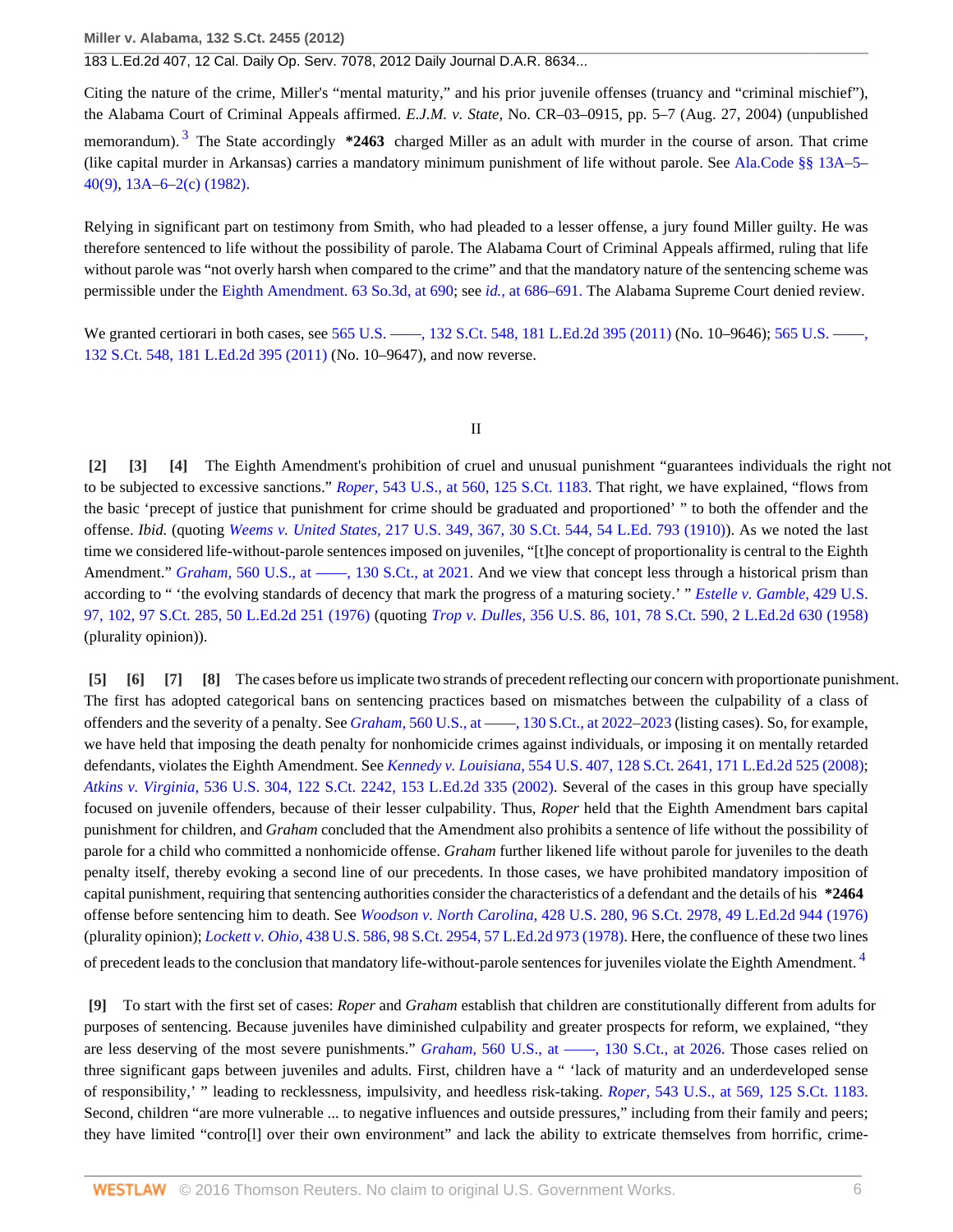183 L.Ed.2d 407, 12 Cal. Daily Op. Serv. 7078, 2012 Daily Journal D.A.R. 8634...

<span id="page-5-0"></span>Citing the nature of the crime, Miller's "mental maturity," and his prior juvenile offenses (truancy and "criminal mischief"), the Alabama Court of Criminal Appeals affirmed. *E.J.M. v. State,* No. CR–03–0915, pp. 5–7 (Aug. 27, 2004) (unpublished memorandum).<sup>[3](#page-22-3)</sup> The State accordingly **\*2463** charged Miller as an adult with murder in the course of arson. That crime (like capital murder in Arkansas) carries a mandatory minimum punishment of life without parole. See [Ala.Code §§ 13A–5–](http://www.westlaw.com/Link/Document/FullText?findType=L&pubNum=1000002&cite=ALSTS13A-5-40&originatingDoc=Iec8a7df1beb611e1b343c837631e1747&refType=LQ&originationContext=document&vr=3.0&rs=cblt1.0&transitionType=DocumentItem&contextData=(sc.Search)) [40\(9\),](http://www.westlaw.com/Link/Document/FullText?findType=L&pubNum=1000002&cite=ALSTS13A-5-40&originatingDoc=Iec8a7df1beb611e1b343c837631e1747&refType=LQ&originationContext=document&vr=3.0&rs=cblt1.0&transitionType=DocumentItem&contextData=(sc.Search)) [13A–6–2\(c\) \(1982\)](http://www.westlaw.com/Link/Document/FullText?findType=L&pubNum=1000002&cite=ALSTS13A-6-2&originatingDoc=Iec8a7df1beb611e1b343c837631e1747&refType=SP&originationContext=document&vr=3.0&rs=cblt1.0&transitionType=DocumentItem&contextData=(sc.Search)#co_pp_4b24000003ba5).

Relying in significant part on testimony from Smith, who had pleaded to a lesser offense, a jury found Miller guilty. He was therefore sentenced to life without the possibility of parole. The Alabama Court of Criminal Appeals affirmed, ruling that life without parole was "not overly harsh when compared to the crime" and that the mandatory nature of the sentencing scheme was permissible under the [Eighth Amendment. 63 So.3d, at 690](http://www.westlaw.com/Link/Document/FullText?findType=Y&serNum=2022873225&pubNum=0003926&originatingDoc=Iec8a7df1beb611e1b343c837631e1747&refType=RP&fi=co_pp_sp_3926_690&originationContext=document&vr=3.0&rs=cblt1.0&transitionType=DocumentItem&contextData=(sc.Search)#co_pp_sp_3926_690); see *id.,* [at 686–691.](http://www.westlaw.com/Link/Document/FullText?findType=Y&serNum=2022873225&originatingDoc=Iec8a7df1beb611e1b343c837631e1747&refType=RP&originationContext=document&vr=3.0&rs=cblt1.0&transitionType=DocumentItem&contextData=(sc.Search)) The Alabama Supreme Court denied review.

We granted certiorari in both cases, see 565 U.S. ——, 132 S.Ct. 548, 181 L.Ed.2d 395 (2011) (No. 10–9646); 565 U.S. ——, [132 S.Ct. 548, 181 L.Ed.2d 395 \(2011\)](http://www.westlaw.com/Link/Document/FullText?findType=Y&pubNum=0000708&cite=132SCT548&originatingDoc=Iec8a7df1beb611e1b343c837631e1747&refType=RP&originationContext=document&vr=3.0&rs=cblt1.0&transitionType=DocumentItem&contextData=(sc.Search)) (No. 10–9647), and now reverse.

# <span id="page-5-1"></span>II

**[2] [3] [4]** The Eighth Amendment's prohibition of cruel and unusual punishment "guarantees individuals the right not to be subjected to excessive sanctions." *Roper,* [543 U.S., at 560, 125 S.Ct. 1183.](http://www.westlaw.com/Link/Document/FullText?findType=Y&serNum=2006291922&pubNum=708&originatingDoc=Iec8a7df1beb611e1b343c837631e1747&refType=RP&originationContext=document&vr=3.0&rs=cblt1.0&transitionType=DocumentItem&contextData=(sc.Search)) That right, we have explained, "flows from the basic 'precept of justice that punishment for crime should be graduated and proportioned' " to both the offender and the offense. *Ibid.* (quoting *Weems v. United States,* [217 U.S. 349, 367, 30 S.Ct. 544, 54 L.Ed. 793 \(1910\)](http://www.westlaw.com/Link/Document/FullText?findType=Y&serNum=1910100401&pubNum=0000708&originatingDoc=Iec8a7df1beb611e1b343c837631e1747&refType=RP&originationContext=document&vr=3.0&rs=cblt1.0&transitionType=DocumentItem&contextData=(sc.Search))). As we noted the last time we considered life-without-parole sentences imposed on juveniles, "[t]he concept of proportionality is central to the Eighth Amendment." *Graham*, 560 U.S., at ——, 130 S.Ct., at 2021. And we view that concept less through a historical prism than according to " 'the evolving standards of decency that mark the progress of a maturing society.' " *[Estelle v. Gamble,](http://www.westlaw.com/Link/Document/FullText?findType=Y&serNum=1976141341&pubNum=0000708&originatingDoc=Iec8a7df1beb611e1b343c837631e1747&refType=RP&originationContext=document&vr=3.0&rs=cblt1.0&transitionType=DocumentItem&contextData=(sc.Search))* 429 U.S. [97, 102, 97 S.Ct. 285, 50 L.Ed.2d 251 \(1976\)](http://www.westlaw.com/Link/Document/FullText?findType=Y&serNum=1976141341&pubNum=0000708&originatingDoc=Iec8a7df1beb611e1b343c837631e1747&refType=RP&originationContext=document&vr=3.0&rs=cblt1.0&transitionType=DocumentItem&contextData=(sc.Search)) (quoting *Trop v. Dulles,* [356 U.S. 86, 101, 78 S.Ct. 590, 2 L.Ed.2d 630 \(1958\)](http://www.westlaw.com/Link/Document/FullText?findType=Y&serNum=1958121425&pubNum=0000708&originatingDoc=Iec8a7df1beb611e1b343c837631e1747&refType=RP&originationContext=document&vr=3.0&rs=cblt1.0&transitionType=DocumentItem&contextData=(sc.Search)) (plurality opinion)).

**[5] [6] [7] [8]** The cases before us implicate two strands of precedent reflecting our concern with proportionate punishment. The first has adopted categorical bans on sentencing practices based on mismatches between the culpability of a class of offenders and the severity of a penalty. See *Graham*, 560 U.S., at ——, 130 S.Ct., at 2022–2023 (listing cases). So, for example, we have held that imposing the death penalty for nonhomicide crimes against individuals, or imposing it on mentally retarded defendants, violates the Eighth Amendment. See *Kennedy v. Louisiana,* [554 U.S. 407, 128 S.Ct. 2641, 171 L.Ed.2d 525 \(2008\)](http://www.westlaw.com/Link/Document/FullText?findType=Y&serNum=2016379544&pubNum=0000708&originatingDoc=Iec8a7df1beb611e1b343c837631e1747&refType=RP&originationContext=document&vr=3.0&rs=cblt1.0&transitionType=DocumentItem&contextData=(sc.Search)); *Atkins v. Virginia,* [536 U.S. 304, 122 S.Ct. 2242, 153 L.Ed.2d 335 \(2002\).](http://www.westlaw.com/Link/Document/FullText?findType=Y&serNum=2002381685&pubNum=0000708&originatingDoc=Iec8a7df1beb611e1b343c837631e1747&refType=RP&originationContext=document&vr=3.0&rs=cblt1.0&transitionType=DocumentItem&contextData=(sc.Search)) Several of the cases in this group have specially focused on juvenile offenders, because of their lesser culpability. Thus, *Roper* held that the Eighth Amendment bars capital punishment for children, and *Graham* concluded that the Amendment also prohibits a sentence of life without the possibility of parole for a child who committed a nonhomicide offense. *Graham* further likened life without parole for juveniles to the death penalty itself, thereby evoking a second line of our precedents. In those cases, we have prohibited mandatory imposition of capital punishment, requiring that sentencing authorities consider the characteristics of a defendant and the details of his **\*2464** offense before sentencing him to death. See *Woodson v. North Carolina,* [428 U.S. 280, 96 S.Ct. 2978, 49 L.Ed.2d 944 \(1976\)](http://www.westlaw.com/Link/Document/FullText?findType=Y&serNum=1976141320&pubNum=0000708&originatingDoc=Iec8a7df1beb611e1b343c837631e1747&refType=RP&originationContext=document&vr=3.0&rs=cblt1.0&transitionType=DocumentItem&contextData=(sc.Search)) (plurality opinion); *Lockett v. Ohio,* [438 U.S. 586, 98 S.Ct. 2954, 57 L.Ed.2d 973 \(1978\).](http://www.westlaw.com/Link/Document/FullText?findType=Y&serNum=1978139513&pubNum=0000708&originatingDoc=Iec8a7df1beb611e1b343c837631e1747&refType=RP&originationContext=document&vr=3.0&rs=cblt1.0&transitionType=DocumentItem&contextData=(sc.Search)) Here, the confluence of these two lines of precedent leads to the conclusion that mandatory life-without-parole sentences for juveniles violate the Eighth Amendment.<sup>[4](#page-22-4)</sup>

**[9]** To start with the first set of cases: *Roper* and *Graham* establish that children are constitutionally different from adults for purposes of sentencing. Because juveniles have diminished culpability and greater prospects for reform, we explained, "they are less deserving of the most severe punishments." *Graham*, 560 U.S., at ——, 130 S.Ct., at 2026. Those cases relied on three significant gaps between juveniles and adults. First, children have a " 'lack of maturity and an underdeveloped sense of responsibility,' " leading to recklessness, impulsivity, and heedless risk-taking. *Roper,* [543 U.S., at 569, 125 S.Ct. 1183.](http://www.westlaw.com/Link/Document/FullText?findType=Y&serNum=2006291922&pubNum=708&originatingDoc=Iec8a7df1beb611e1b343c837631e1747&refType=RP&originationContext=document&vr=3.0&rs=cblt1.0&transitionType=DocumentItem&contextData=(sc.Search)) Second, children "are more vulnerable ... to negative influences and outside pressures," including from their family and peers; they have limited "contro[l] over their own environment" and lack the ability to extricate themselves from horrific, crime-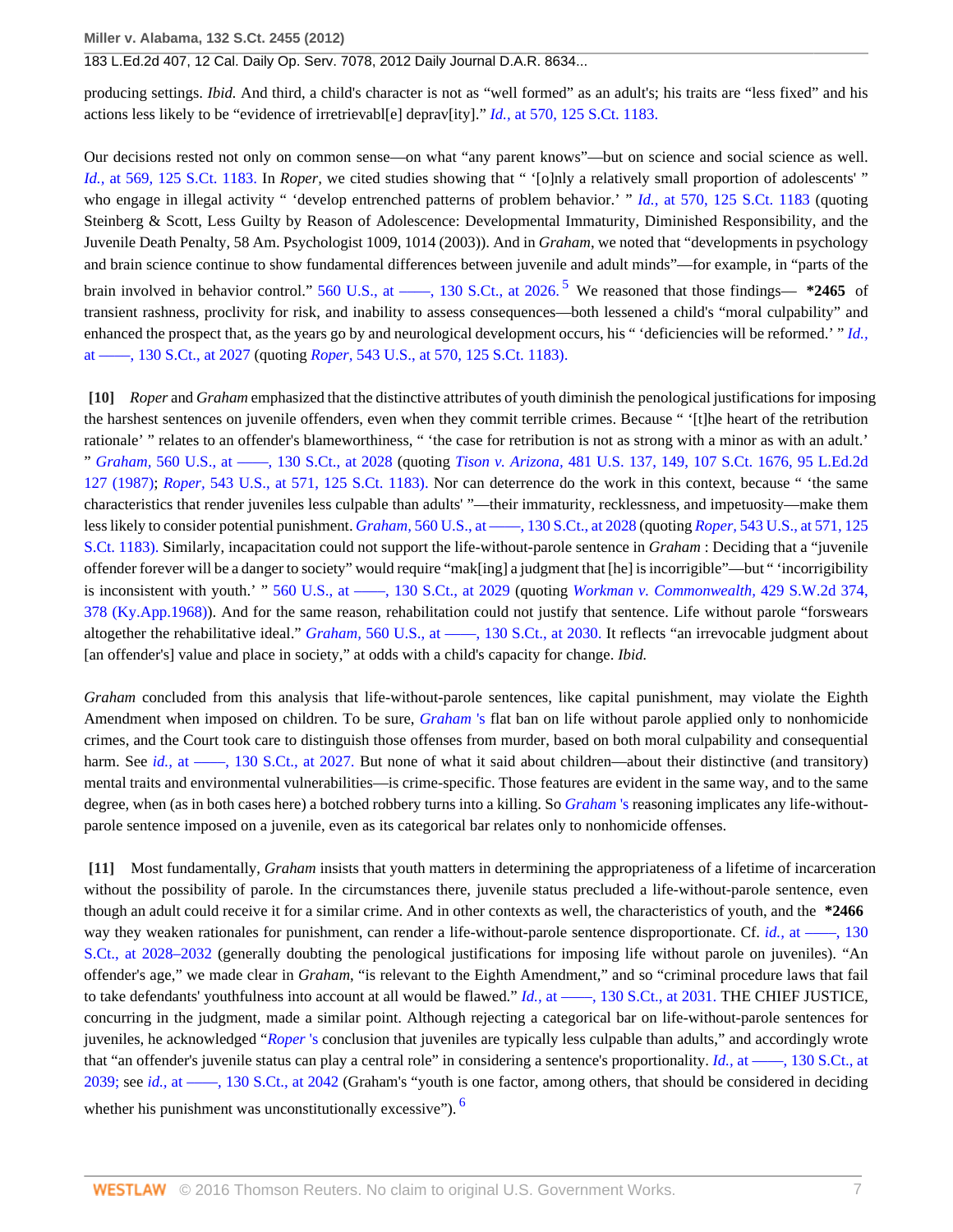producing settings. *Ibid.* And third, a child's character is not as "well formed" as an adult's; his traits are "less fixed" and his actions less likely to be "evidence of irretrievabl[e] deprav[ity]." *Id.,* [at 570, 125 S.Ct. 1183.](http://www.westlaw.com/Link/Document/FullText?findType=Y&serNum=2006291922&pubNum=708&originatingDoc=Iec8a7df1beb611e1b343c837631e1747&refType=RP&originationContext=document&vr=3.0&rs=cblt1.0&transitionType=DocumentItem&contextData=(sc.Search))

Our decisions rested not only on common sense—on what "any parent knows"—but on science and social science as well. *Id.*, [at 569, 125 S.Ct. 1183.](http://www.westlaw.com/Link/Document/FullText?findType=Y&serNum=2006291922&pubNum=708&originatingDoc=Iec8a7df1beb611e1b343c837631e1747&refType=RP&originationContext=document&vr=3.0&rs=cblt1.0&transitionType=DocumentItem&contextData=(sc.Search)) In *Roper*, we cited studies showing that " '[o]nly a relatively small proportion of adolescents' " who engage in illegal activity " 'develop entrenched patterns of problem behavior.' " *Id.,* [at 570, 125 S.Ct. 1183](http://www.westlaw.com/Link/Document/FullText?findType=Y&serNum=2006291922&pubNum=0000708&originatingDoc=Iec8a7df1beb611e1b343c837631e1747&refType=RP&originationContext=document&vr=3.0&rs=cblt1.0&transitionType=DocumentItem&contextData=(sc.Search)) (quoting Steinberg & Scott, Less Guilty by Reason of Adolescence: Developmental Immaturity, Diminished Responsibility, and the Juvenile Death Penalty, 58 Am. Psychologist 1009, 1014 (2003)). And in *Graham*, we noted that "developments in psychology and brain science continue to show fundamental differences between juvenile and adult minds"—for example, in "parts of the brain involved in behavior control." [5](#page-23-0)60 U.S., at ——, 130 S.Ct., at 2026.<sup>5</sup> We reasoned that those findings— **\*2465** of transient rashness, proclivity for risk, and inability to assess consequences—both lessened a child's "moral culpability" and enhanced the prospect that, as the years go by and neurological development occurs, his " 'deficiencies will be reformed.' " *Id.*, [at ––––, 130 S.Ct., at 2027](http://www.westlaw.com/Link/Document/FullText?findType=Y&serNum=2022052221&pubNum=708&originatingDoc=Iec8a7df1beb611e1b343c837631e1747&refType=RP&originationContext=document&vr=3.0&rs=cblt1.0&transitionType=DocumentItem&contextData=(sc.Search)) (quoting *Roper,* [543 U.S., at 570, 125 S.Ct. 1183\).](http://www.westlaw.com/Link/Document/FullText?findType=Y&serNum=2006291922&pubNum=708&originatingDoc=Iec8a7df1beb611e1b343c837631e1747&refType=RP&originationContext=document&vr=3.0&rs=cblt1.0&transitionType=DocumentItem&contextData=(sc.Search))

<span id="page-6-0"></span>**[10]** *Roper* and *Graham* emphasized that the distinctive attributes of youth diminish the penological justifications for imposing the harshest sentences on juvenile offenders, even when they commit terrible crimes. Because " '[t]he heart of the retribution rationale' " relates to an offender's blameworthiness, " 'the case for retribution is not as strong with a minor as with an adult.' " *Graham,* [560 U.S., at ––––, 130 S.Ct., at 2028](http://www.westlaw.com/Link/Document/FullText?findType=Y&serNum=2022052221&pubNum=0000708&originatingDoc=Iec8a7df1beb611e1b343c837631e1747&refType=RP&fi=co_pp_sp_708_2028&originationContext=document&vr=3.0&rs=cblt1.0&transitionType=DocumentItem&contextData=(sc.Search)#co_pp_sp_708_2028) (quoting *Tison v. Arizona,* [481 U.S. 137, 149, 107 S.Ct. 1676, 95 L.Ed.2d](http://www.westlaw.com/Link/Document/FullText?findType=Y&serNum=1987049862&pubNum=0000708&originatingDoc=Iec8a7df1beb611e1b343c837631e1747&refType=RP&originationContext=document&vr=3.0&rs=cblt1.0&transitionType=DocumentItem&contextData=(sc.Search)) [127 \(1987\);](http://www.westlaw.com/Link/Document/FullText?findType=Y&serNum=1987049862&pubNum=0000708&originatingDoc=Iec8a7df1beb611e1b343c837631e1747&refType=RP&originationContext=document&vr=3.0&rs=cblt1.0&transitionType=DocumentItem&contextData=(sc.Search)) *Roper,* [543 U.S., at 571, 125 S.Ct. 1183\).](http://www.westlaw.com/Link/Document/FullText?findType=Y&serNum=2006291922&pubNum=708&originatingDoc=Iec8a7df1beb611e1b343c837631e1747&refType=RP&originationContext=document&vr=3.0&rs=cblt1.0&transitionType=DocumentItem&contextData=(sc.Search)) Nor can deterrence do the work in this context, because " 'the same characteristics that render juveniles less culpable than adults' "—their immaturity, recklessness, and impetuosity—make them less likely to consider potential punishment. *Graham,* [560 U.S., at ––––, 130 S.Ct., at 2028](http://www.westlaw.com/Link/Document/FullText?findType=Y&serNum=2022052221&pubNum=0000708&originatingDoc=Iec8a7df1beb611e1b343c837631e1747&refType=RP&fi=co_pp_sp_708_2028&originationContext=document&vr=3.0&rs=cblt1.0&transitionType=DocumentItem&contextData=(sc.Search)#co_pp_sp_708_2028) (quoting *Roper,* [543 U.S., at 571, 125](http://www.westlaw.com/Link/Document/FullText?findType=Y&serNum=2006291922&pubNum=708&originatingDoc=Iec8a7df1beb611e1b343c837631e1747&refType=RP&originationContext=document&vr=3.0&rs=cblt1.0&transitionType=DocumentItem&contextData=(sc.Search)) [S.Ct. 1183\).](http://www.westlaw.com/Link/Document/FullText?findType=Y&serNum=2006291922&pubNum=708&originatingDoc=Iec8a7df1beb611e1b343c837631e1747&refType=RP&originationContext=document&vr=3.0&rs=cblt1.0&transitionType=DocumentItem&contextData=(sc.Search)) Similarly, incapacitation could not support the life-without-parole sentence in *Graham* : Deciding that a "juvenile offender forever will be a danger to society" would require "mak[ing] a judgment that [he] is incorrigible"—but " 'incorrigibility is inconsistent with youth.' " [560 U.S., at ––––, 130 S.Ct., at 2029](http://www.westlaw.com/Link/Document/FullText?findType=Y&serNum=2022052221&pubNum=0000708&originatingDoc=Iec8a7df1beb611e1b343c837631e1747&refType=RP&fi=co_pp_sp_708_2029&originationContext=document&vr=3.0&rs=cblt1.0&transitionType=DocumentItem&contextData=(sc.Search)#co_pp_sp_708_2029) (quoting *[Workman v. Commonwealth,](http://www.westlaw.com/Link/Document/FullText?findType=Y&serNum=1968134639&pubNum=0000713&originatingDoc=Iec8a7df1beb611e1b343c837631e1747&refType=RP&fi=co_pp_sp_713_378&originationContext=document&vr=3.0&rs=cblt1.0&transitionType=DocumentItem&contextData=(sc.Search)#co_pp_sp_713_378)* 429 S.W.2d 374, [378 \(Ky.App.1968\)](http://www.westlaw.com/Link/Document/FullText?findType=Y&serNum=1968134639&pubNum=0000713&originatingDoc=Iec8a7df1beb611e1b343c837631e1747&refType=RP&fi=co_pp_sp_713_378&originationContext=document&vr=3.0&rs=cblt1.0&transitionType=DocumentItem&contextData=(sc.Search)#co_pp_sp_713_378)). And for the same reason, rehabilitation could not justify that sentence. Life without parole "forswears altogether the rehabilitative ideal." *Graham*, 560 U.S., at ——, 130 S.Ct., at 2030. It reflects "an irrevocable judgment about [an offender's] value and place in society," at odds with a child's capacity for change. *Ibid.*

*Graham* concluded from this analysis that life-without-parole sentences, like capital punishment, may violate the Eighth Amendment when imposed on children. To be sure, *[Graham](http://www.westlaw.com/Link/Document/FullText?findType=Y&serNum=2022052221&originatingDoc=Iec8a7df1beb611e1b343c837631e1747&refType=RP&originationContext=document&vr=3.0&rs=cblt1.0&transitionType=DocumentItem&contextData=(sc.Search))* 's flat ban on life without parole applied only to nonhomicide crimes, and the Court took care to distinguish those offenses from murder, based on both moral culpability and consequential harm. See *id.*, at ——, 130 S.Ct., at 2027. But none of what it said about children—about their distinctive (and transitory) mental traits and environmental vulnerabilities—is crime-specific. Those features are evident in the same way, and to the same degree, when (as in both cases here) a botched robbery turns into a killing. So *[Graham](http://www.westlaw.com/Link/Document/FullText?findType=Y&serNum=2022052221&originatingDoc=Iec8a7df1beb611e1b343c837631e1747&refType=RP&originationContext=document&vr=3.0&rs=cblt1.0&transitionType=DocumentItem&contextData=(sc.Search))* 's reasoning implicates any life-withoutparole sentence imposed on a juvenile, even as its categorical bar relates only to nonhomicide offenses.

<span id="page-6-1"></span>**[11]** Most fundamentally, *Graham* insists that youth matters in determining the appropriateness of a lifetime of incarceration without the possibility of parole. In the circumstances there, juvenile status precluded a life-without-parole sentence, even though an adult could receive it for a similar crime. And in other contexts as well, the characteristics of youth, and the **\*2466** way they weaken rationales for punishment, can render a life-without-parole sentence disproportionate. Cf. *id.*, at ——, 130 [S.Ct., at 2028–2032](http://www.westlaw.com/Link/Document/FullText?findType=Y&serNum=2022052221&pubNum=708&originatingDoc=Iec8a7df1beb611e1b343c837631e1747&refType=RP&originationContext=document&vr=3.0&rs=cblt1.0&transitionType=DocumentItem&contextData=(sc.Search)) (generally doubting the penological justifications for imposing life without parole on juveniles). "An offender's age," we made clear in *Graham*, "is relevant to the Eighth Amendment," and so "criminal procedure laws that fail to take defendants' youthfulness into account at all would be flawed." *Id.*, at ——, 130 S.Ct., at 2031. THE CHIEF JUSTICE, concurring in the judgment, made a similar point. Although rejecting a categorical bar on life-without-parole sentences for juveniles, he acknowledged "*[Roper](http://www.westlaw.com/Link/Document/FullText?findType=Y&serNum=2006291922&originatingDoc=Iec8a7df1beb611e1b343c837631e1747&refType=RP&originationContext=document&vr=3.0&rs=cblt1.0&transitionType=DocumentItem&contextData=(sc.Search))* 's conclusion that juveniles are typically less culpable than adults," and accordingly wrote that "an offender's juvenile status can play a central role" in considering a sentence's proportionality. *Id.*, at ——, 130 S.Ct., at [2039;](http://www.westlaw.com/Link/Document/FullText?findType=Y&serNum=2022052221&pubNum=708&originatingDoc=Iec8a7df1beb611e1b343c837631e1747&refType=RP&originationContext=document&vr=3.0&rs=cblt1.0&transitionType=DocumentItem&contextData=(sc.Search)) see *id.,* [at ––––, 130 S.Ct., at 2042](http://www.westlaw.com/Link/Document/FullText?findType=Y&serNum=2022052221&pubNum=708&originatingDoc=Iec8a7df1beb611e1b343c837631e1747&refType=RP&originationContext=document&vr=3.0&rs=cblt1.0&transitionType=DocumentItem&contextData=(sc.Search)) (Graham's "youth is one factor, among others, that should be considered in deciding whether his punishment was unconstitutionally excessive").  $\frac{6}{1}$  $\frac{6}{1}$  $\frac{6}{1}$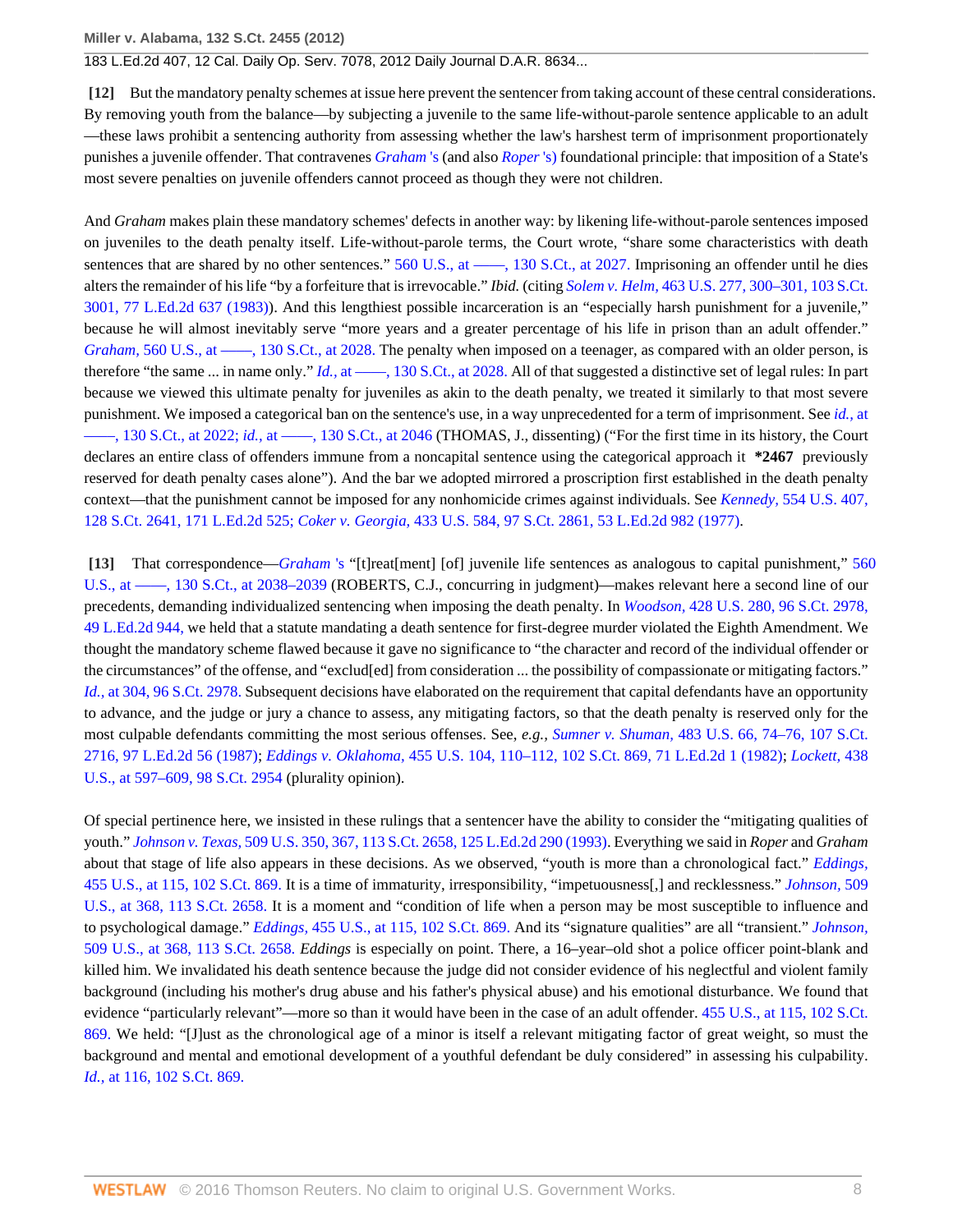183 L.Ed.2d 407, 12 Cal. Daily Op. Serv. 7078, 2012 Daily Journal D.A.R. 8634...

**[12]** But the mandatory penalty schemes at issue here prevent the sentencer from taking account of these central considerations. By removing youth from the balance—by subjecting a juvenile to the same life-without-parole sentence applicable to an adult —these laws prohibit a sentencing authority from assessing whether the law's harshest term of imprisonment proportionately punishes a juvenile offender. That contravenes *[Graham](http://www.westlaw.com/Link/Document/FullText?findType=Y&serNum=2022052221&originatingDoc=Iec8a7df1beb611e1b343c837631e1747&refType=RP&originationContext=document&vr=3.0&rs=cblt1.0&transitionType=DocumentItem&contextData=(sc.Search))* 's (and also *[Roper](http://www.westlaw.com/Link/Document/FullText?findType=Y&serNum=2006291922&originatingDoc=Iec8a7df1beb611e1b343c837631e1747&refType=RP&originationContext=document&vr=3.0&rs=cblt1.0&transitionType=DocumentItem&contextData=(sc.Search))* 's) foundational principle: that imposition of a State's most severe penalties on juvenile offenders cannot proceed as though they were not children.

And *Graham* makes plain these mandatory schemes' defects in another way: by likening life-without-parole sentences imposed on juveniles to the death penalty itself. Life-without-parole terms, the Court wrote, "share some characteristics with death sentences that are shared by no other sentences." 560 U.S., at ——, 130 S.Ct., at 2027. Imprisoning an offender until he dies alters the remainder of his life "by a forfeiture that is irrevocable." *Ibid.* (citing *Solem v. Helm,* [463 U.S. 277, 300–301, 103 S.Ct.](http://www.westlaw.com/Link/Document/FullText?findType=Y&serNum=1983130328&pubNum=0000708&originatingDoc=Iec8a7df1beb611e1b343c837631e1747&refType=RP&originationContext=document&vr=3.0&rs=cblt1.0&transitionType=DocumentItem&contextData=(sc.Search)) [3001, 77 L.Ed.2d 637 \(1983\)\)](http://www.westlaw.com/Link/Document/FullText?findType=Y&serNum=1983130328&pubNum=0000708&originatingDoc=Iec8a7df1beb611e1b343c837631e1747&refType=RP&originationContext=document&vr=3.0&rs=cblt1.0&transitionType=DocumentItem&contextData=(sc.Search)). And this lengthiest possible incarceration is an "especially harsh punishment for a juvenile," because he will almost inevitably serve "more years and a greater percentage of his life in prison than an adult offender." *Graham,* 560 U.S., at ——, 130 S.Ct., at 2028. The penalty when imposed on a teenager, as compared with an older person, is therefore "the same ... in name only." *Id.*, at ——, 130 S.Ct., at 2028. All of that suggested a distinctive set of legal rules: In part because we viewed this ultimate penalty for juveniles as akin to the death penalty, we treated it similarly to that most severe punishment. We imposed a categorical ban on the sentence's use, in a way unprecedented for a term of imprisonment. See *[id.,](http://www.westlaw.com/Link/Document/FullText?findType=Y&serNum=2022052221&pubNum=708&originatingDoc=Iec8a7df1beb611e1b343c837631e1747&refType=RP&originationContext=document&vr=3.0&rs=cblt1.0&transitionType=DocumentItem&contextData=(sc.Search))* at [––––, 130 S.Ct., at 2022;](http://www.westlaw.com/Link/Document/FullText?findType=Y&serNum=2022052221&pubNum=708&originatingDoc=Iec8a7df1beb611e1b343c837631e1747&refType=RP&originationContext=document&vr=3.0&rs=cblt1.0&transitionType=DocumentItem&contextData=(sc.Search)) *id.,* [at ––––, 130 S.Ct., at 2046](http://www.westlaw.com/Link/Document/FullText?findType=Y&serNum=2022052221&pubNum=708&originatingDoc=Iec8a7df1beb611e1b343c837631e1747&refType=RP&originationContext=document&vr=3.0&rs=cblt1.0&transitionType=DocumentItem&contextData=(sc.Search)) (THOMAS, J., dissenting) ("For the first time in its history, the Court declares an entire class of offenders immune from a noncapital sentence using the categorical approach it **\*2467** previously reserved for death penalty cases alone"). And the bar we adopted mirrored a proscription first established in the death penalty context—that the punishment cannot be imposed for any nonhomicide crimes against individuals. See *Kennedy,* [554 U.S. 407,](http://www.westlaw.com/Link/Document/FullText?findType=Y&serNum=2016379544&pubNum=708&originatingDoc=Iec8a7df1beb611e1b343c837631e1747&refType=RP&originationContext=document&vr=3.0&rs=cblt1.0&transitionType=DocumentItem&contextData=(sc.Search)) [128 S.Ct. 2641, 171 L.Ed.2d 525;](http://www.westlaw.com/Link/Document/FullText?findType=Y&serNum=2016379544&pubNum=708&originatingDoc=Iec8a7df1beb611e1b343c837631e1747&refType=RP&originationContext=document&vr=3.0&rs=cblt1.0&transitionType=DocumentItem&contextData=(sc.Search)) *Coker v. Georgia,* [433 U.S. 584, 97 S.Ct. 2861, 53 L.Ed.2d 982 \(1977\)](http://www.westlaw.com/Link/Document/FullText?findType=Y&serNum=1977118847&pubNum=0000708&originatingDoc=Iec8a7df1beb611e1b343c837631e1747&refType=RP&originationContext=document&vr=3.0&rs=cblt1.0&transitionType=DocumentItem&contextData=(sc.Search)).

**[13]** That correspondence—*[Graham](http://www.westlaw.com/Link/Document/FullText?findType=Y&serNum=2022052221&originatingDoc=Iec8a7df1beb611e1b343c837631e1747&refType=RP&originationContext=document&vr=3.0&rs=cblt1.0&transitionType=DocumentItem&contextData=(sc.Search))* 's "[t]reat[ment] [of] juvenile life sentences as analogous to capital punishment," [560](http://www.westlaw.com/Link/Document/FullText?findType=Y&serNum=2022052221&pubNum=0000708&originatingDoc=Iec8a7df1beb611e1b343c837631e1747&refType=RP&fi=co_pp_sp_708_2038&originationContext=document&vr=3.0&rs=cblt1.0&transitionType=DocumentItem&contextData=(sc.Search)#co_pp_sp_708_2038) U.S., at ——, 130 S.Ct., at 2038–2039 (ROBERTS, C.J., concurring in judgment)—makes relevant here a second line of our precedents, demanding individualized sentencing when imposing the death penalty. In *Woodson,* [428 U.S. 280, 96 S.Ct. 2978,](http://www.westlaw.com/Link/Document/FullText?findType=Y&serNum=1976141320&pubNum=708&originatingDoc=Iec8a7df1beb611e1b343c837631e1747&refType=RP&originationContext=document&vr=3.0&rs=cblt1.0&transitionType=DocumentItem&contextData=(sc.Search)) [49 L.Ed.2d 944,](http://www.westlaw.com/Link/Document/FullText?findType=Y&serNum=1976141320&pubNum=708&originatingDoc=Iec8a7df1beb611e1b343c837631e1747&refType=RP&originationContext=document&vr=3.0&rs=cblt1.0&transitionType=DocumentItem&contextData=(sc.Search)) we held that a statute mandating a death sentence for first-degree murder violated the Eighth Amendment. We thought the mandatory scheme flawed because it gave no significance to "the character and record of the individual offender or the circumstances" of the offense, and "exclud[ed] from consideration ... the possibility of compassionate or mitigating factors." *Id.,* [at 304, 96 S.Ct. 2978.](http://www.westlaw.com/Link/Document/FullText?findType=Y&serNum=1976141320&pubNum=708&originatingDoc=Iec8a7df1beb611e1b343c837631e1747&refType=RP&originationContext=document&vr=3.0&rs=cblt1.0&transitionType=DocumentItem&contextData=(sc.Search)) Subsequent decisions have elaborated on the requirement that capital defendants have an opportunity to advance, and the judge or jury a chance to assess, any mitigating factors, so that the death penalty is reserved only for the most culpable defendants committing the most serious offenses. See, *e.g., Sumner v. Shuman,* [483 U.S. 66, 74–76, 107 S.Ct.](http://www.westlaw.com/Link/Document/FullText?findType=Y&serNum=1987077900&pubNum=0000708&originatingDoc=Iec8a7df1beb611e1b343c837631e1747&refType=RP&originationContext=document&vr=3.0&rs=cblt1.0&transitionType=DocumentItem&contextData=(sc.Search)) [2716, 97 L.Ed.2d 56 \(1987\);](http://www.westlaw.com/Link/Document/FullText?findType=Y&serNum=1987077900&pubNum=0000708&originatingDoc=Iec8a7df1beb611e1b343c837631e1747&refType=RP&originationContext=document&vr=3.0&rs=cblt1.0&transitionType=DocumentItem&contextData=(sc.Search)) *Eddings v. Oklahoma,* [455 U.S. 104, 110–112, 102 S.Ct. 869, 71 L.Ed.2d 1 \(1982\)](http://www.westlaw.com/Link/Document/FullText?findType=Y&serNum=1982102682&pubNum=0000708&originatingDoc=Iec8a7df1beb611e1b343c837631e1747&refType=RP&originationContext=document&vr=3.0&rs=cblt1.0&transitionType=DocumentItem&contextData=(sc.Search)); *[Lockett,](http://www.westlaw.com/Link/Document/FullText?findType=Y&serNum=1978139513&pubNum=0000708&originatingDoc=Iec8a7df1beb611e1b343c837631e1747&refType=RP&originationContext=document&vr=3.0&rs=cblt1.0&transitionType=DocumentItem&contextData=(sc.Search))* 438 [U.S., at 597–609, 98 S.Ct. 2954](http://www.westlaw.com/Link/Document/FullText?findType=Y&serNum=1978139513&pubNum=0000708&originatingDoc=Iec8a7df1beb611e1b343c837631e1747&refType=RP&originationContext=document&vr=3.0&rs=cblt1.0&transitionType=DocumentItem&contextData=(sc.Search)) (plurality opinion).

Of special pertinence here, we insisted in these rulings that a sentencer have the ability to consider the "mitigating qualities of youth." *Johnson v. Texas,* [509 U.S. 350, 367, 113 S.Ct. 2658, 125 L.Ed.2d 290 \(1993\)](http://www.westlaw.com/Link/Document/FullText?findType=Y&serNum=1993129071&pubNum=0000708&originatingDoc=Iec8a7df1beb611e1b343c837631e1747&refType=RP&originationContext=document&vr=3.0&rs=cblt1.0&transitionType=DocumentItem&contextData=(sc.Search)). Everything we said in *Roper* and *Graham* about that stage of life also appears in these decisions. As we observed, "youth is more than a chronological fact." *[Eddings,](http://www.westlaw.com/Link/Document/FullText?findType=Y&serNum=1982102682&pubNum=708&originatingDoc=Iec8a7df1beb611e1b343c837631e1747&refType=RP&originationContext=document&vr=3.0&rs=cblt1.0&transitionType=DocumentItem&contextData=(sc.Search))* [455 U.S., at 115, 102 S.Ct. 869.](http://www.westlaw.com/Link/Document/FullText?findType=Y&serNum=1982102682&pubNum=708&originatingDoc=Iec8a7df1beb611e1b343c837631e1747&refType=RP&originationContext=document&vr=3.0&rs=cblt1.0&transitionType=DocumentItem&contextData=(sc.Search)) It is a time of immaturity, irresponsibility, "impetuousness[,] and recklessness." *[Johnson,](http://www.westlaw.com/Link/Document/FullText?findType=Y&serNum=1993129071&pubNum=708&originatingDoc=Iec8a7df1beb611e1b343c837631e1747&refType=RP&originationContext=document&vr=3.0&rs=cblt1.0&transitionType=DocumentItem&contextData=(sc.Search))* 509 [U.S., at 368, 113 S.Ct. 2658.](http://www.westlaw.com/Link/Document/FullText?findType=Y&serNum=1993129071&pubNum=708&originatingDoc=Iec8a7df1beb611e1b343c837631e1747&refType=RP&originationContext=document&vr=3.0&rs=cblt1.0&transitionType=DocumentItem&contextData=(sc.Search)) It is a moment and "condition of life when a person may be most susceptible to influence and to psychological damage." *Eddings,* [455 U.S., at 115, 102 S.Ct. 869.](http://www.westlaw.com/Link/Document/FullText?findType=Y&serNum=1982102682&pubNum=708&originatingDoc=Iec8a7df1beb611e1b343c837631e1747&refType=RP&originationContext=document&vr=3.0&rs=cblt1.0&transitionType=DocumentItem&contextData=(sc.Search)) And its "signature qualities" are all "transient." *[Johnson,](http://www.westlaw.com/Link/Document/FullText?findType=Y&serNum=1993129071&pubNum=708&originatingDoc=Iec8a7df1beb611e1b343c837631e1747&refType=RP&originationContext=document&vr=3.0&rs=cblt1.0&transitionType=DocumentItem&contextData=(sc.Search))* [509 U.S., at 368, 113 S.Ct. 2658.](http://www.westlaw.com/Link/Document/FullText?findType=Y&serNum=1993129071&pubNum=708&originatingDoc=Iec8a7df1beb611e1b343c837631e1747&refType=RP&originationContext=document&vr=3.0&rs=cblt1.0&transitionType=DocumentItem&contextData=(sc.Search)) *Eddings* is especially on point. There, a 16–year–old shot a police officer point-blank and killed him. We invalidated his death sentence because the judge did not consider evidence of his neglectful and violent family background (including his mother's drug abuse and his father's physical abuse) and his emotional disturbance. We found that evidence "particularly relevant"—more so than it would have been in the case of an adult offender. [455 U.S., at 115, 102 S.Ct.](http://www.westlaw.com/Link/Document/FullText?findType=Y&serNum=1982102682&pubNum=708&originatingDoc=Iec8a7df1beb611e1b343c837631e1747&refType=RP&originationContext=document&vr=3.0&rs=cblt1.0&transitionType=DocumentItem&contextData=(sc.Search)) [869.](http://www.westlaw.com/Link/Document/FullText?findType=Y&serNum=1982102682&pubNum=708&originatingDoc=Iec8a7df1beb611e1b343c837631e1747&refType=RP&originationContext=document&vr=3.0&rs=cblt1.0&transitionType=DocumentItem&contextData=(sc.Search)) We held: "[J]ust as the chronological age of a minor is itself a relevant mitigating factor of great weight, so must the background and mental and emotional development of a youthful defendant be duly considered" in assessing his culpability. *Id.,* [at 116, 102 S.Ct. 869.](http://www.westlaw.com/Link/Document/FullText?findType=Y&serNum=1982102682&pubNum=708&originatingDoc=Iec8a7df1beb611e1b343c837631e1747&refType=RP&originationContext=document&vr=3.0&rs=cblt1.0&transitionType=DocumentItem&contextData=(sc.Search))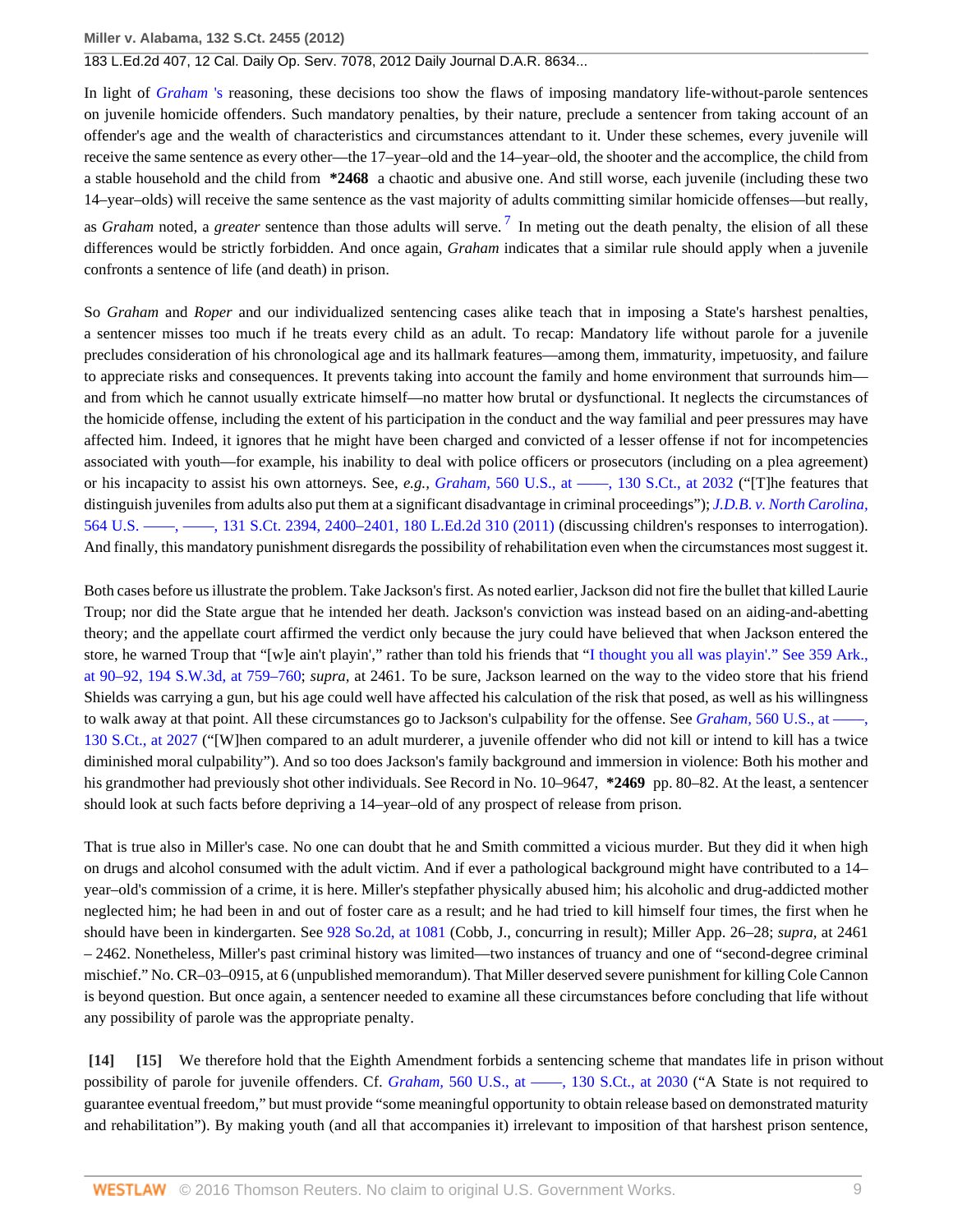### 183 L.Ed.2d 407, 12 Cal. Daily Op. Serv. 7078, 2012 Daily Journal D.A.R. 8634...

In light of *[Graham](http://www.westlaw.com/Link/Document/FullText?findType=Y&serNum=2022052221&originatingDoc=Iec8a7df1beb611e1b343c837631e1747&refType=RP&originationContext=document&vr=3.0&rs=cblt1.0&transitionType=DocumentItem&contextData=(sc.Search))* 's reasoning, these decisions too show the flaws of imposing mandatory life-without-parole sentences on juvenile homicide offenders. Such mandatory penalties, by their nature, preclude a sentencer from taking account of an offender's age and the wealth of characteristics and circumstances attendant to it. Under these schemes, every juvenile will receive the same sentence as every other—the 17–year–old and the 14–year–old, the shooter and the accomplice, the child from a stable household and the child from **\*2468** a chaotic and abusive one. And still worse, each juvenile (including these two 14–year–olds) will receive the same sentence as the vast majority of adults committing similar homicide offenses—but really, as *Graham* noted, a *greater* sentence than those adults will serve.<sup>[7](#page-23-2)</sup> In meting out the death penalty, the elision of all these

<span id="page-8-0"></span>differences would be strictly forbidden. And once again, *Graham* indicates that a similar rule should apply when a juvenile confronts a sentence of life (and death) in prison.

So *Graham* and *Roper* and our individualized sentencing cases alike teach that in imposing a State's harshest penalties, a sentencer misses too much if he treats every child as an adult. To recap: Mandatory life without parole for a juvenile precludes consideration of his chronological age and its hallmark features—among them, immaturity, impetuosity, and failure to appreciate risks and consequences. It prevents taking into account the family and home environment that surrounds him and from which he cannot usually extricate himself—no matter how brutal or dysfunctional. It neglects the circumstances of the homicide offense, including the extent of his participation in the conduct and the way familial and peer pressures may have affected him. Indeed, it ignores that he might have been charged and convicted of a lesser offense if not for incompetencies associated with youth—for example, his inability to deal with police officers or prosecutors (including on a plea agreement) or his incapacity to assist his own attorneys. See, *e.g., Graham,* [560 U.S., at ––––, 130 S.Ct., at 2032](http://www.westlaw.com/Link/Document/FullText?findType=Y&serNum=2022052221&pubNum=0000708&originatingDoc=Iec8a7df1beb611e1b343c837631e1747&refType=RP&fi=co_pp_sp_708_2032&originationContext=document&vr=3.0&rs=cblt1.0&transitionType=DocumentItem&contextData=(sc.Search)#co_pp_sp_708_2032) ("[T]he features that distinguish juveniles from adults also put them at a significant disadvantage in criminal proceedings"); *[J.D.B. v. North Carolina,](http://www.westlaw.com/Link/Document/FullText?findType=Y&serNum=2025498890&pubNum=0000708&originatingDoc=Iec8a7df1beb611e1b343c837631e1747&refType=RP&fi=co_pp_sp_708_2400&originationContext=document&vr=3.0&rs=cblt1.0&transitionType=DocumentItem&contextData=(sc.Search)#co_pp_sp_708_2400)* [564 U.S. ––––, ––––, 131 S.Ct. 2394, 2400–2401, 180 L.Ed.2d 310 \(2011\)](http://www.westlaw.com/Link/Document/FullText?findType=Y&serNum=2025498890&pubNum=0000708&originatingDoc=Iec8a7df1beb611e1b343c837631e1747&refType=RP&fi=co_pp_sp_708_2400&originationContext=document&vr=3.0&rs=cblt1.0&transitionType=DocumentItem&contextData=(sc.Search)#co_pp_sp_708_2400) (discussing children's responses to interrogation). And finally, this mandatory punishment disregards the possibility of rehabilitation even when the circumstances most suggest it.

Both cases before us illustrate the problem. Take Jackson's first. As noted earlier, Jackson did not fire the bullet that killed Laurie Troup; nor did the State argue that he intended her death. Jackson's conviction was instead based on an aiding-and-abetting theory; and the appellate court affirmed the verdict only because the jury could have believed that when Jackson entered the store, he warned Troup that "[w]e ain't playin'," rather than told his friends that "[I thought you all was playin'." See 359 Ark.,](http://www.westlaw.com/Link/Document/FullText?findType=Y&serNum=2005249383&pubNum=0004644&originatingDoc=Iec8a7df1beb611e1b343c837631e1747&refType=RP&fi=co_pp_sp_4644_759&originationContext=document&vr=3.0&rs=cblt1.0&transitionType=DocumentItem&contextData=(sc.Search)#co_pp_sp_4644_759) [at 90–92, 194 S.W.3d, at 759–760;](http://www.westlaw.com/Link/Document/FullText?findType=Y&serNum=2005249383&pubNum=0004644&originatingDoc=Iec8a7df1beb611e1b343c837631e1747&refType=RP&fi=co_pp_sp_4644_759&originationContext=document&vr=3.0&rs=cblt1.0&transitionType=DocumentItem&contextData=(sc.Search)#co_pp_sp_4644_759) *supra,* at 2461. To be sure, Jackson learned on the way to the video store that his friend Shields was carrying a gun, but his age could well have affected his calculation of the risk that posed, as well as his willingness to walk away at that point. All these circumstances go to Jackson's culpability for the offense. See *Graham,* [560 U.S., at ––––,](http://www.westlaw.com/Link/Document/FullText?findType=Y&serNum=2022052221&pubNum=0000708&originatingDoc=Iec8a7df1beb611e1b343c837631e1747&refType=RP&fi=co_pp_sp_708_2027&originationContext=document&vr=3.0&rs=cblt1.0&transitionType=DocumentItem&contextData=(sc.Search)#co_pp_sp_708_2027) [130 S.Ct., at 2027](http://www.westlaw.com/Link/Document/FullText?findType=Y&serNum=2022052221&pubNum=0000708&originatingDoc=Iec8a7df1beb611e1b343c837631e1747&refType=RP&fi=co_pp_sp_708_2027&originationContext=document&vr=3.0&rs=cblt1.0&transitionType=DocumentItem&contextData=(sc.Search)#co_pp_sp_708_2027) ("[W]hen compared to an adult murderer, a juvenile offender who did not kill or intend to kill has a twice diminished moral culpability"). And so too does Jackson's family background and immersion in violence: Both his mother and his grandmother had previously shot other individuals. See Record in No. 10–9647, **\*2469** pp. 80–82. At the least, a sentencer should look at such facts before depriving a 14–year–old of any prospect of release from prison.

That is true also in Miller's case. No one can doubt that he and Smith committed a vicious murder. But they did it when high on drugs and alcohol consumed with the adult victim. And if ever a pathological background might have contributed to a 14– year–old's commission of a crime, it is here. Miller's stepfather physically abused him; his alcoholic and drug-addicted mother neglected him; he had been in and out of foster care as a result; and he had tried to kill himself four times, the first when he should have been in kindergarten. See [928 So.2d, at 1081](http://www.westlaw.com/Link/Document/FullText?findType=Y&serNum=2004952558&pubNum=0000735&originatingDoc=Iec8a7df1beb611e1b343c837631e1747&refType=RP&fi=co_pp_sp_735_1081&originationContext=document&vr=3.0&rs=cblt1.0&transitionType=DocumentItem&contextData=(sc.Search)#co_pp_sp_735_1081) (Cobb, J., concurring in result); Miller App. 26–28; *supra,* at 2461 – 2462. Nonetheless, Miller's past criminal history was limited—two instances of truancy and one of "second-degree criminal mischief." No. CR–03–0915, at 6 (unpublished memorandum). That Miller deserved severe punishment for killing Cole Cannon is beyond question. But once again, a sentencer needed to examine all these circumstances before concluding that life without any possibility of parole was the appropriate penalty.

**[14] [15]** We therefore hold that the Eighth Amendment forbids a sentencing scheme that mandates life in prison without possibility of parole for juvenile offenders. Cf. *Graham*, 560 U.S., at ——, 130 S.Ct., at 2030 ("A State is not required to guarantee eventual freedom," but must provide "some meaningful opportunity to obtain release based on demonstrated maturity and rehabilitation"). By making youth (and all that accompanies it) irrelevant to imposition of that harshest prison sentence,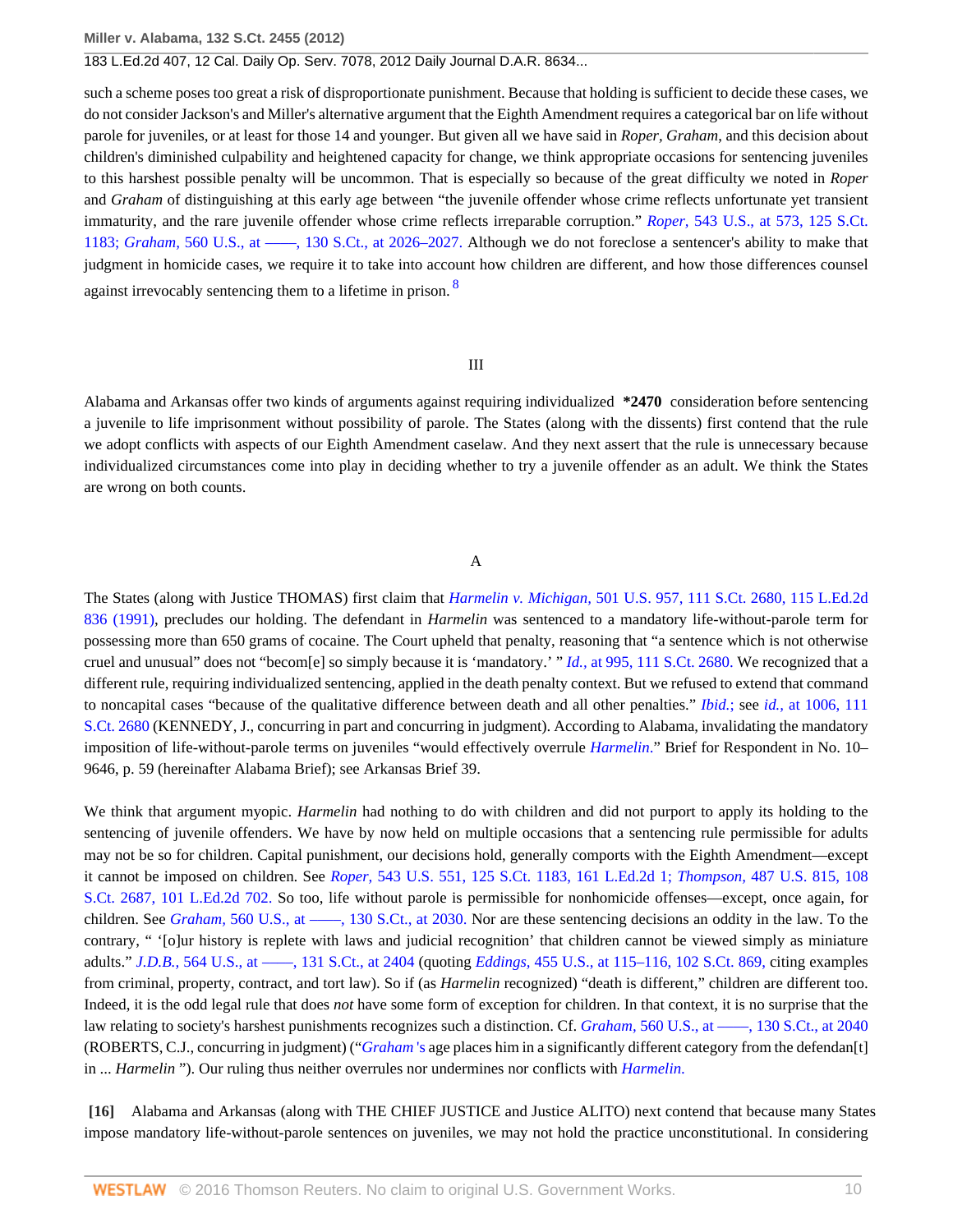### 183 L.Ed.2d 407, 12 Cal. Daily Op. Serv. 7078, 2012 Daily Journal D.A.R. 8634...

such a scheme poses too great a risk of disproportionate punishment. Because that holding is sufficient to decide these cases, we do not consider Jackson's and Miller's alternative argument that the Eighth Amendment requires a categorical bar on life without parole for juveniles, or at least for those 14 and younger. But given all we have said in *Roper, Graham*, and this decision about children's diminished culpability and heightened capacity for change, we think appropriate occasions for sentencing juveniles to this harshest possible penalty will be uncommon. That is especially so because of the great difficulty we noted in *Roper* and *Graham* of distinguishing at this early age between "the juvenile offender whose crime reflects unfortunate yet transient immaturity, and the rare juvenile offender whose crime reflects irreparable corruption." *Roper,* [543 U.S., at 573, 125 S.Ct.](http://www.westlaw.com/Link/Document/FullText?findType=Y&serNum=2006291922&pubNum=708&originatingDoc=Iec8a7df1beb611e1b343c837631e1747&refType=RP&originationContext=document&vr=3.0&rs=cblt1.0&transitionType=DocumentItem&contextData=(sc.Search)) [1183;](http://www.westlaw.com/Link/Document/FullText?findType=Y&serNum=2006291922&pubNum=708&originatingDoc=Iec8a7df1beb611e1b343c837631e1747&refType=RP&originationContext=document&vr=3.0&rs=cblt1.0&transitionType=DocumentItem&contextData=(sc.Search)) *Graham,* [560 U.S., at ––––, 130 S.Ct., at 2026–2027.](http://www.westlaw.com/Link/Document/FullText?findType=Y&serNum=2022052221&pubNum=708&originatingDoc=Iec8a7df1beb611e1b343c837631e1747&refType=RP&fi=co_pp_sp_708_2026&originationContext=document&vr=3.0&rs=cblt1.0&transitionType=DocumentItem&contextData=(sc.Search)#co_pp_sp_708_2026) Although we do not foreclose a sentencer's ability to make that judgment in homicide cases, we require it to take into account how children are different, and how those differences counsel against irrevocably sentencing them to a lifetime in prison.<sup>[8](#page-23-3)</sup>

# <span id="page-9-0"></span>III

Alabama and Arkansas offer two kinds of arguments against requiring individualized **\*2470** consideration before sentencing a juvenile to life imprisonment without possibility of parole. The States (along with the dissents) first contend that the rule we adopt conflicts with aspects of our Eighth Amendment caselaw. And they next assert that the rule is unnecessary because individualized circumstances come into play in deciding whether to try a juvenile offender as an adult. We think the States are wrong on both counts.

### A

The States (along with Justice THOMAS) first claim that *Harmelin v. Michigan,* [501 U.S. 957, 111 S.Ct. 2680, 115 L.Ed.2d](http://www.westlaw.com/Link/Document/FullText?findType=Y&serNum=1991116023&pubNum=0000708&originatingDoc=Iec8a7df1beb611e1b343c837631e1747&refType=RP&originationContext=document&vr=3.0&rs=cblt1.0&transitionType=DocumentItem&contextData=(sc.Search)) [836 \(1991\)](http://www.westlaw.com/Link/Document/FullText?findType=Y&serNum=1991116023&pubNum=0000708&originatingDoc=Iec8a7df1beb611e1b343c837631e1747&refType=RP&originationContext=document&vr=3.0&rs=cblt1.0&transitionType=DocumentItem&contextData=(sc.Search)), precludes our holding. The defendant in *Harmelin* was sentenced to a mandatory life-without-parole term for possessing more than 650 grams of cocaine. The Court upheld that penalty, reasoning that "a sentence which is not otherwise cruel and unusual" does not "becom[e] so simply because it is 'mandatory.' " *Id.,* [at 995, 111 S.Ct. 2680.](http://www.westlaw.com/Link/Document/FullText?findType=Y&serNum=1991116023&pubNum=708&originatingDoc=Iec8a7df1beb611e1b343c837631e1747&refType=RP&originationContext=document&vr=3.0&rs=cblt1.0&transitionType=DocumentItem&contextData=(sc.Search)) We recognized that a different rule, requiring individualized sentencing, applied in the death penalty context. But we refused to extend that command to noncapital cases "because of the qualitative difference between death and all other penalties." *[Ibid.](http://www.westlaw.com/Link/Document/FullText?findType=Y&serNum=1991116023&originatingDoc=Iec8a7df1beb611e1b343c837631e1747&refType=RP&originationContext=document&vr=3.0&rs=cblt1.0&transitionType=DocumentItem&contextData=(sc.Search))*; see *id.,* [at 1006, 111](http://www.westlaw.com/Link/Document/FullText?findType=Y&serNum=1991116023&pubNum=708&originatingDoc=Iec8a7df1beb611e1b343c837631e1747&refType=RP&originationContext=document&vr=3.0&rs=cblt1.0&transitionType=DocumentItem&contextData=(sc.Search)) [S.Ct. 2680](http://www.westlaw.com/Link/Document/FullText?findType=Y&serNum=1991116023&pubNum=708&originatingDoc=Iec8a7df1beb611e1b343c837631e1747&refType=RP&originationContext=document&vr=3.0&rs=cblt1.0&transitionType=DocumentItem&contextData=(sc.Search)) (KENNEDY, J., concurring in part and concurring in judgment). According to Alabama, invalidating the mandatory imposition of life-without-parole terms on juveniles "would effectively overrule *[Harmelin](http://www.westlaw.com/Link/Document/FullText?findType=Y&serNum=1991116023&originatingDoc=Iec8a7df1beb611e1b343c837631e1747&refType=RP&originationContext=document&vr=3.0&rs=cblt1.0&transitionType=DocumentItem&contextData=(sc.Search))*." Brief for Respondent in No. 10– 9646, p. 59 (hereinafter Alabama Brief); see Arkansas Brief 39.

We think that argument myopic. *Harmelin* had nothing to do with children and did not purport to apply its holding to the sentencing of juvenile offenders. We have by now held on multiple occasions that a sentencing rule permissible for adults may not be so for children. Capital punishment, our decisions hold, generally comports with the Eighth Amendment—except it cannot be imposed on children. See *Roper,* [543 U.S. 551, 125 S.Ct. 1183, 161 L.Ed.2d 1;](http://www.westlaw.com/Link/Document/FullText?findType=Y&serNum=2006291922&pubNum=708&originatingDoc=Iec8a7df1beb611e1b343c837631e1747&refType=RP&originationContext=document&vr=3.0&rs=cblt1.0&transitionType=DocumentItem&contextData=(sc.Search)) *Thompson,* [487 U.S. 815, 108](http://www.westlaw.com/Link/Document/FullText?findType=Y&serNum=1988084195&pubNum=708&originatingDoc=Iec8a7df1beb611e1b343c837631e1747&refType=RP&originationContext=document&vr=3.0&rs=cblt1.0&transitionType=DocumentItem&contextData=(sc.Search)) [S.Ct. 2687, 101 L.Ed.2d 702.](http://www.westlaw.com/Link/Document/FullText?findType=Y&serNum=1988084195&pubNum=708&originatingDoc=Iec8a7df1beb611e1b343c837631e1747&refType=RP&originationContext=document&vr=3.0&rs=cblt1.0&transitionType=DocumentItem&contextData=(sc.Search)) So too, life without parole is permissible for nonhomicide offenses—except, once again, for children. See *Graham*, 560 U.S., at ——, 130 S.Ct., at 2030. Nor are these sentencing decisions an oddity in the law. To the contrary, " '[o]ur history is replete with laws and judicial recognition' that children cannot be viewed simply as miniature adults." *J.D.B.,* [564 U.S., at ––––, 131 S.Ct., at 2404](http://www.westlaw.com/Link/Document/FullText?findType=Y&serNum=2025498890&pubNum=0000708&originatingDoc=Iec8a7df1beb611e1b343c837631e1747&refType=RP&fi=co_pp_sp_708_2404&originationContext=document&vr=3.0&rs=cblt1.0&transitionType=DocumentItem&contextData=(sc.Search)#co_pp_sp_708_2404) (quoting *Eddings,* [455 U.S., at 115–116, 102 S.Ct. 869,](http://www.westlaw.com/Link/Document/FullText?findType=Y&serNum=1982102682&pubNum=708&originatingDoc=Iec8a7df1beb611e1b343c837631e1747&refType=RP&originationContext=document&vr=3.0&rs=cblt1.0&transitionType=DocumentItem&contextData=(sc.Search)) citing examples from criminal, property, contract, and tort law). So if (as *Harmelin* recognized) "death is different," children are different too. Indeed, it is the odd legal rule that does *not* have some form of exception for children. In that context, it is no surprise that the law relating to society's harshest punishments recognizes such a distinction. Cf. *Graham*, 560 U.S., at ——, 130 S.Ct., at 2040 (ROBERTS, C.J., concurring in judgment) ("*[Graham](http://www.westlaw.com/Link/Document/FullText?findType=Y&serNum=2022052221&originatingDoc=Iec8a7df1beb611e1b343c837631e1747&refType=RP&originationContext=document&vr=3.0&rs=cblt1.0&transitionType=DocumentItem&contextData=(sc.Search))* 's age places him in a significantly different category from the defendan[t] in ... *Harmelin* "). Our ruling thus neither overrules nor undermines nor conflicts with *[Harmelin](http://www.westlaw.com/Link/Document/FullText?findType=Y&serNum=1991116023&originatingDoc=Iec8a7df1beb611e1b343c837631e1747&refType=RP&originationContext=document&vr=3.0&rs=cblt1.0&transitionType=DocumentItem&contextData=(sc.Search))*.

**[16]** Alabama and Arkansas (along with THE CHIEF JUSTICE and Justice ALITO) next contend that because many States impose mandatory life-without-parole sentences on juveniles, we may not hold the practice unconstitutional. In considering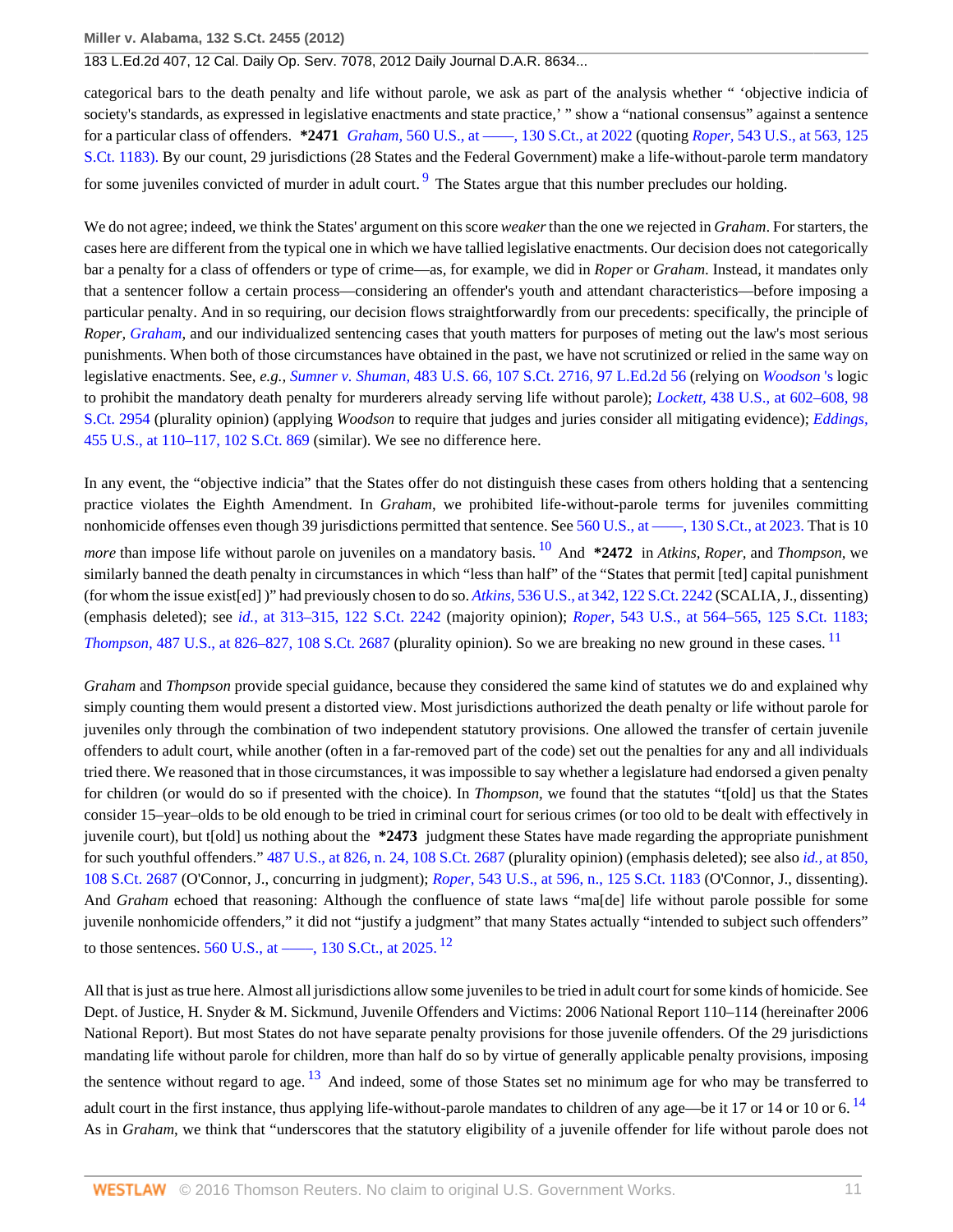183 L.Ed.2d 407, 12 Cal. Daily Op. Serv. 7078, 2012 Daily Journal D.A.R. 8634...

categorical bars to the death penalty and life without parole, we ask as part of the analysis whether " 'objective indicia of society's standards, as expressed in legislative enactments and state practice,' " show a "national consensus" against a sentence for a particular class of offenders. **\*2471** *Graham,* [560 U.S., at ––––, 130 S.Ct., at 2022](http://www.westlaw.com/Link/Document/FullText?findType=Y&serNum=2022052221&pubNum=0000708&originatingDoc=Iec8a7df1beb611e1b343c837631e1747&refType=RP&fi=co_pp_sp_708_2022&originationContext=document&vr=3.0&rs=cblt1.0&transitionType=DocumentItem&contextData=(sc.Search)#co_pp_sp_708_2022) (quoting *Roper,* [543 U.S., at 563, 125](http://www.westlaw.com/Link/Document/FullText?findType=Y&serNum=2006291922&pubNum=708&originatingDoc=Iec8a7df1beb611e1b343c837631e1747&refType=RP&originationContext=document&vr=3.0&rs=cblt1.0&transitionType=DocumentItem&contextData=(sc.Search)) [S.Ct. 1183\).](http://www.westlaw.com/Link/Document/FullText?findType=Y&serNum=2006291922&pubNum=708&originatingDoc=Iec8a7df1beb611e1b343c837631e1747&refType=RP&originationContext=document&vr=3.0&rs=cblt1.0&transitionType=DocumentItem&contextData=(sc.Search)) By our count, 29 jurisdictions (28 States and the Federal Government) make a life-without-parole term mandatory for some juveniles convicted of murder in adult court. <sup>[9](#page-23-4)</sup> The States argue that this number precludes our holding.

<span id="page-10-0"></span>We do not agree; indeed, we think the States' argument on this score *weaker* than the one we rejected in *Graham*. For starters, the cases here are different from the typical one in which we have tallied legislative enactments. Our decision does not categorically bar a penalty for a class of offenders or type of crime—as, for example, we did in *Roper* or *Graham*. Instead, it mandates only that a sentencer follow a certain process—considering an offender's youth and attendant characteristics—before imposing a particular penalty. And in so requiring, our decision flows straightforwardly from our precedents: specifically, the principle of *Roper, [Graham](http://www.westlaw.com/Link/Document/FullText?findType=Y&serNum=2022052221&originatingDoc=Iec8a7df1beb611e1b343c837631e1747&refType=RP&originationContext=document&vr=3.0&rs=cblt1.0&transitionType=DocumentItem&contextData=(sc.Search))*, and our individualized sentencing cases that youth matters for purposes of meting out the law's most serious punishments. When both of those circumstances have obtained in the past, we have not scrutinized or relied in the same way on legislative enactments. See, *e.g., Sumner v. Shuman,* [483 U.S. 66, 107 S.Ct. 2716, 97 L.Ed.2d 56](http://www.westlaw.com/Link/Document/FullText?findType=Y&serNum=1987077900&pubNum=0000708&originatingDoc=Iec8a7df1beb611e1b343c837631e1747&refType=RP&originationContext=document&vr=3.0&rs=cblt1.0&transitionType=DocumentItem&contextData=(sc.Search)) (relying on *[Woodson](http://www.westlaw.com/Link/Document/FullText?findType=Y&serNum=1976141320&originatingDoc=Iec8a7df1beb611e1b343c837631e1747&refType=RP&originationContext=document&vr=3.0&rs=cblt1.0&transitionType=DocumentItem&contextData=(sc.Search))* 's logic to prohibit the mandatory death penalty for murderers already serving life without parole); *Lockett,* [438 U.S., at 602–608, 98](http://www.westlaw.com/Link/Document/FullText?findType=Y&serNum=1978139513&pubNum=0000708&originatingDoc=Iec8a7df1beb611e1b343c837631e1747&refType=RP&originationContext=document&vr=3.0&rs=cblt1.0&transitionType=DocumentItem&contextData=(sc.Search)) [S.Ct. 2954](http://www.westlaw.com/Link/Document/FullText?findType=Y&serNum=1978139513&pubNum=0000708&originatingDoc=Iec8a7df1beb611e1b343c837631e1747&refType=RP&originationContext=document&vr=3.0&rs=cblt1.0&transitionType=DocumentItem&contextData=(sc.Search)) (plurality opinion) (applying *Woodson* to require that judges and juries consider all mitigating evidence); *[Eddings,](http://www.westlaw.com/Link/Document/FullText?findType=Y&serNum=1982102682&pubNum=0000708&originatingDoc=Iec8a7df1beb611e1b343c837631e1747&refType=RP&originationContext=document&vr=3.0&rs=cblt1.0&transitionType=DocumentItem&contextData=(sc.Search))* [455 U.S., at 110–117, 102 S.Ct. 869](http://www.westlaw.com/Link/Document/FullText?findType=Y&serNum=1982102682&pubNum=0000708&originatingDoc=Iec8a7df1beb611e1b343c837631e1747&refType=RP&originationContext=document&vr=3.0&rs=cblt1.0&transitionType=DocumentItem&contextData=(sc.Search)) (similar). We see no difference here.

<span id="page-10-1"></span>In any event, the "objective indicia" that the States offer do not distinguish these cases from others holding that a sentencing practice violates the Eighth Amendment. In *Graham*, we prohibited life-without-parole terms for juveniles committing nonhomicide offenses even though 39 jurisdictions permitted that sentence. See 560 U.S., at ——, 130 S.Ct., at 2023. That is 10 *more* than impose life without parole on juveniles on a mandatory basis. [10](#page-23-5) And **\*2472** in *Atkins, Roper,* and *Thompson,* we similarly banned the death penalty in circumstances in which "less than half" of the "States that permit [ted] capital punishment (for whom the issue exist[ed] )" had previously chosen to do so. *Atkins,* [536 U.S., at 342, 122 S.Ct. 2242](http://www.westlaw.com/Link/Document/FullText?findType=Y&serNum=2002381685&pubNum=0000708&originatingDoc=Iec8a7df1beb611e1b343c837631e1747&refType=RP&originationContext=document&vr=3.0&rs=cblt1.0&transitionType=DocumentItem&contextData=(sc.Search)) (SCALIA, J., dissenting) (emphasis deleted); see *id.,* [at 313–315, 122 S.Ct. 2242](http://www.westlaw.com/Link/Document/FullText?findType=Y&serNum=2002381685&pubNum=708&originatingDoc=Iec8a7df1beb611e1b343c837631e1747&refType=RP&originationContext=document&vr=3.0&rs=cblt1.0&transitionType=DocumentItem&contextData=(sc.Search)) (majority opinion); *Roper,* [543 U.S., at 564–565, 125 S.Ct. 1183;](http://www.westlaw.com/Link/Document/FullText?findType=Y&serNum=2006291922&pubNum=708&originatingDoc=Iec8a7df1beb611e1b343c837631e1747&refType=RP&originationContext=document&vr=3.0&rs=cblt1.0&transitionType=DocumentItem&contextData=(sc.Search)) *Thompson*, [487 U.S., at 826–827, 108 S.Ct. 2687](http://www.westlaw.com/Link/Document/FullText?findType=Y&serNum=1988084195&pubNum=0000708&originatingDoc=Iec8a7df1beb611e1b343c837631e1747&refType=RP&originationContext=document&vr=3.0&rs=cblt1.0&transitionType=DocumentItem&contextData=(sc.Search)) (plurality opinion). So we are breaking no new ground in these cases. <sup>[11](#page-24-0)</sup>

<span id="page-10-2"></span>*Graham* and *Thompson* provide special guidance, because they considered the same kind of statutes we do and explained why simply counting them would present a distorted view. Most jurisdictions authorized the death penalty or life without parole for juveniles only through the combination of two independent statutory provisions. One allowed the transfer of certain juvenile offenders to adult court, while another (often in a far-removed part of the code) set out the penalties for any and all individuals tried there. We reasoned that in those circumstances, it was impossible to say whether a legislature had endorsed a given penalty for children (or would do so if presented with the choice). In *Thompson,* we found that the statutes "t[old] us that the States consider 15–year–olds to be old enough to be tried in criminal court for serious crimes (or too old to be dealt with effectively in juvenile court), but t[old] us nothing about the **\*2473** judgment these States have made regarding the appropriate punishment for such youthful offenders." [487 U.S., at 826, n. 24, 108 S.Ct. 2687](http://www.westlaw.com/Link/Document/FullText?findType=Y&serNum=1988084195&pubNum=0000708&originatingDoc=Iec8a7df1beb611e1b343c837631e1747&refType=RP&originationContext=document&vr=3.0&rs=cblt1.0&transitionType=DocumentItem&contextData=(sc.Search)) (plurality opinion) (emphasis deleted); see also *id.,* [at 850,](http://www.westlaw.com/Link/Document/FullText?findType=Y&serNum=1988084195&pubNum=708&originatingDoc=Iec8a7df1beb611e1b343c837631e1747&refType=RP&originationContext=document&vr=3.0&rs=cblt1.0&transitionType=DocumentItem&contextData=(sc.Search)) [108 S.Ct. 2687](http://www.westlaw.com/Link/Document/FullText?findType=Y&serNum=1988084195&pubNum=708&originatingDoc=Iec8a7df1beb611e1b343c837631e1747&refType=RP&originationContext=document&vr=3.0&rs=cblt1.0&transitionType=DocumentItem&contextData=(sc.Search)) (O'Connor, J., concurring in judgment); *Roper,* [543 U.S., at 596, n., 125 S.Ct. 1183](http://www.westlaw.com/Link/Document/FullText?findType=Y&serNum=2006291922&pubNum=780&originatingDoc=Iec8a7df1beb611e1b343c837631e1747&refType=RP&fi=co_pp_sp_780_596&originationContext=document&vr=3.0&rs=cblt1.0&transitionType=DocumentItem&contextData=(sc.Search)#co_pp_sp_780_596) (O'Connor, J., dissenting). And *Graham* echoed that reasoning: Although the confluence of state laws "ma[de] life without parole possible for some juvenile nonhomicide offenders," it did not "justify a judgment" that many States actually "intended to subject such offenders" to those sentences. 560 U.S., at  $\frac{130 \text{ S.C.t., at } 2025^{12}}{125}$  $\frac{130 \text{ S.C.t., at } 2025^{12}}{125}$  $\frac{130 \text{ S.C.t., at } 2025^{12}}{125}$ 

<span id="page-10-5"></span><span id="page-10-4"></span><span id="page-10-3"></span>All that is just as true here. Almost all jurisdictions allow some juveniles to be tried in adult court for some kinds of homicide. See Dept. of Justice, H. Snyder & M. Sickmund, Juvenile Offenders and Victims: 2006 National Report 110–114 (hereinafter 2006 National Report). But most States do not have separate penalty provisions for those juvenile offenders. Of the 29 jurisdictions mandating life without parole for children, more than half do so by virtue of generally applicable penalty provisions, imposing the sentence without regard to age.  $13$  And indeed, some of those States set no minimum age for who may be transferred to adult court in the first instance, thus applying life-without-parole mandates to children of any age—be it 17 or [14](#page-24-3) or 10 or 6.  $^{14}$ As in *Graham*, we think that "underscores that the statutory eligibility of a juvenile offender for life without parole does not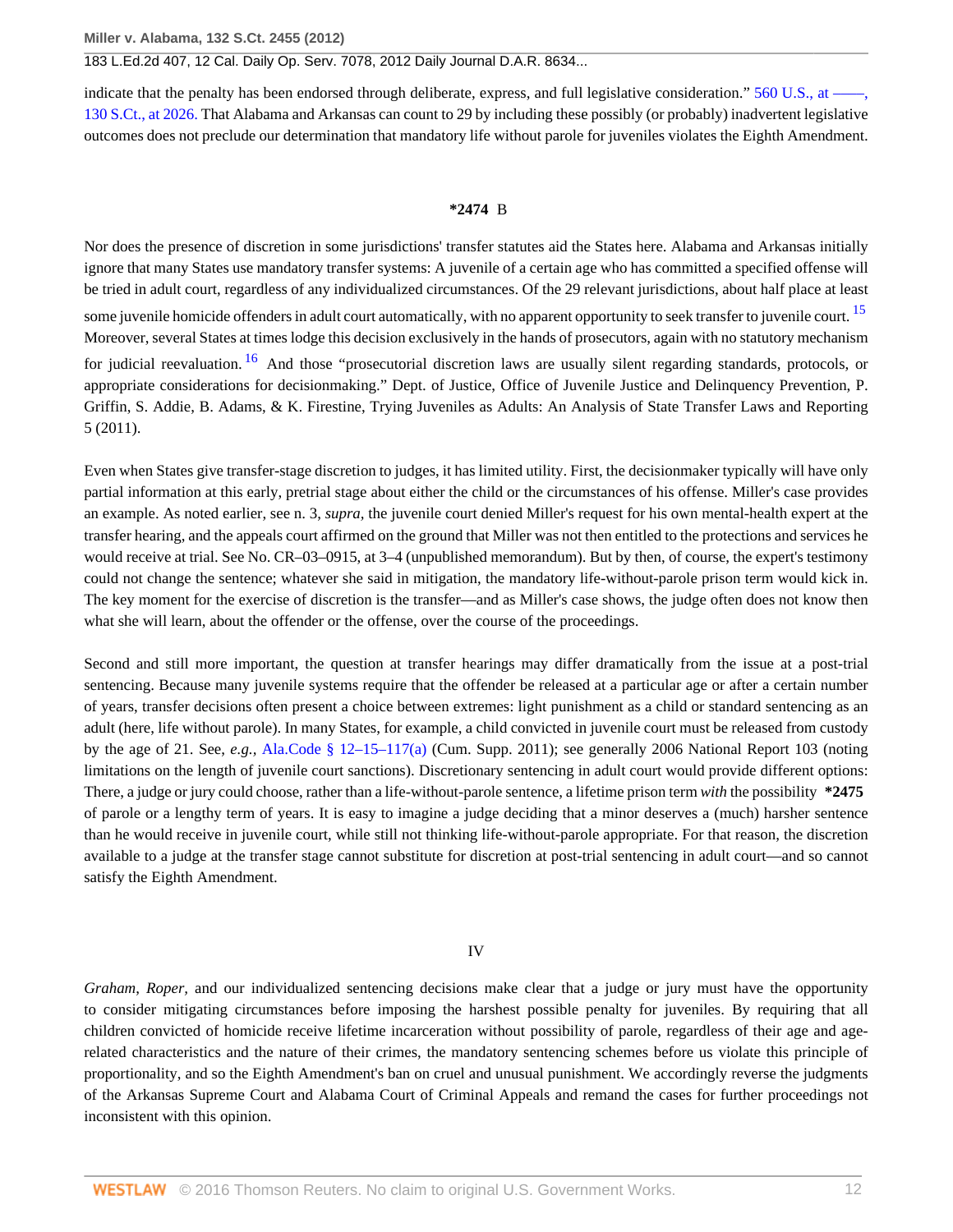indicate that the penalty has been endorsed through deliberate, express, and full legislative consideration."  $560$  U.S., at  $-$ [130 S.Ct., at 2026.](http://www.westlaw.com/Link/Document/FullText?findType=Y&serNum=2022052221&pubNum=708&originatingDoc=Iec8a7df1beb611e1b343c837631e1747&refType=RP&fi=co_pp_sp_708_2026&originationContext=document&vr=3.0&rs=cblt1.0&transitionType=DocumentItem&contextData=(sc.Search)#co_pp_sp_708_2026) That Alabama and Arkansas can count to 29 by including these possibly (or probably) inadvertent legislative outcomes does not preclude our determination that mandatory life without parole for juveniles violates the Eighth Amendment.

# <span id="page-11-0"></span>**\*2474** B

<span id="page-11-1"></span>Nor does the presence of discretion in some jurisdictions' transfer statutes aid the States here. Alabama and Arkansas initially ignore that many States use mandatory transfer systems: A juvenile of a certain age who has committed a specified offense will be tried in adult court, regardless of any individualized circumstances. Of the 29 relevant jurisdictions, about half place at least some juvenile homicide offenders in adult court automatically, with no apparent opportunity to seek transfer to juvenile court. <sup>[15](#page-24-4)</sup> Moreover, several States at times lodge this decision exclusively in the hands of prosecutors, again with no statutory mechanism for judicial reevaluation. <sup>[16](#page-24-5)</sup> And those "prosecutorial discretion laws are usually silent regarding standards, protocols, or appropriate considerations for decisionmaking." Dept. of Justice, Office of Juvenile Justice and Delinquency Prevention, P. Griffin, S. Addie, B. Adams, & K. Firestine, Trying Juveniles as Adults: An Analysis of State Transfer Laws and Reporting 5 (2011).

Even when States give transfer-stage discretion to judges, it has limited utility. First, the decisionmaker typically will have only partial information at this early, pretrial stage about either the child or the circumstances of his offense. Miller's case provides an example. As noted earlier, see n. 3, *supra,* the juvenile court denied Miller's request for his own mental-health expert at the transfer hearing, and the appeals court affirmed on the ground that Miller was not then entitled to the protections and services he would receive at trial. See No. CR–03–0915, at 3–4 (unpublished memorandum). But by then, of course, the expert's testimony could not change the sentence; whatever she said in mitigation, the mandatory life-without-parole prison term would kick in. The key moment for the exercise of discretion is the transfer—and as Miller's case shows, the judge often does not know then what she will learn, about the offender or the offense, over the course of the proceedings.

Second and still more important, the question at transfer hearings may differ dramatically from the issue at a post-trial sentencing. Because many juvenile systems require that the offender be released at a particular age or after a certain number of years, transfer decisions often present a choice between extremes: light punishment as a child or standard sentencing as an adult (here, life without parole). In many States, for example, a child convicted in juvenile court must be released from custody by the age of 21. See, *e.g.,* [Ala.Code § 12–15–117\(a\)](http://www.westlaw.com/Link/Document/FullText?findType=L&pubNum=1000002&cite=ALSTS12-15-117&originatingDoc=Iec8a7df1beb611e1b343c837631e1747&refType=SP&originationContext=document&vr=3.0&rs=cblt1.0&transitionType=DocumentItem&contextData=(sc.Search)#co_pp_8b3b0000958a4) (Cum. Supp. 2011); see generally 2006 National Report 103 (noting limitations on the length of juvenile court sanctions). Discretionary sentencing in adult court would provide different options: There, a judge or jury could choose, rather than a life-without-parole sentence, a lifetime prison term *with* the possibility **\*2475** of parole or a lengthy term of years. It is easy to imagine a judge deciding that a minor deserves a (much) harsher sentence than he would receive in juvenile court, while still not thinking life-without-parole appropriate. For that reason, the discretion available to a judge at the transfer stage cannot substitute for discretion at post-trial sentencing in adult court—and so cannot satisfy the Eighth Amendment.

# IV

*Graham*, *Roper,* and our individualized sentencing decisions make clear that a judge or jury must have the opportunity to consider mitigating circumstances before imposing the harshest possible penalty for juveniles. By requiring that all children convicted of homicide receive lifetime incarceration without possibility of parole, regardless of their age and agerelated characteristics and the nature of their crimes, the mandatory sentencing schemes before us violate this principle of proportionality, and so the Eighth Amendment's ban on cruel and unusual punishment. We accordingly reverse the judgments of the Arkansas Supreme Court and Alabama Court of Criminal Appeals and remand the cases for further proceedings not inconsistent with this opinion.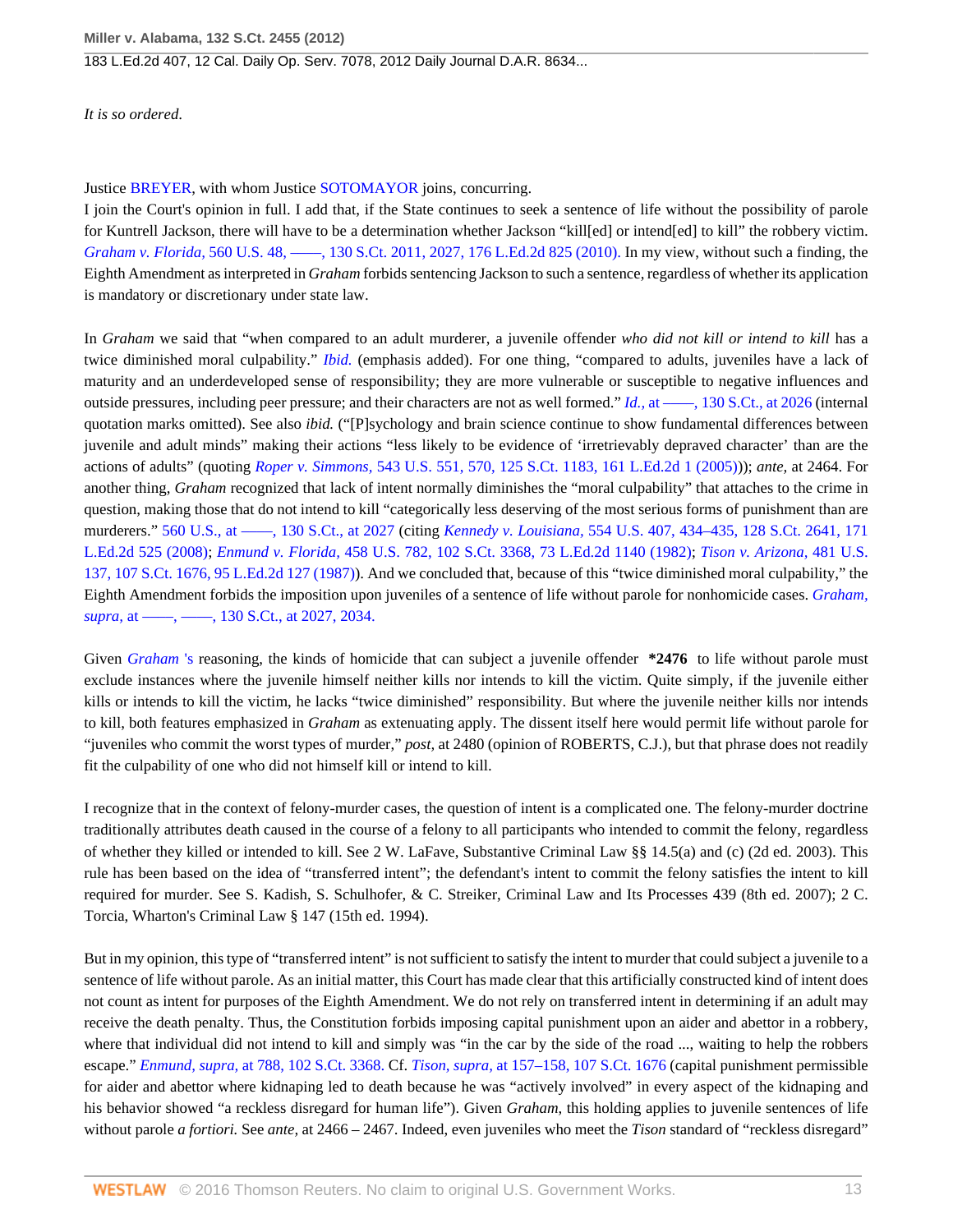*It is so ordered*.

Justice [BREYER](http://www.westlaw.com/Link/Document/FullText?findType=h&pubNum=176284&cite=0254766801&originatingDoc=Iec8a7df1beb611e1b343c837631e1747&refType=RQ&originationContext=document&vr=3.0&rs=cblt1.0&transitionType=DocumentItem&contextData=(sc.Search)), with whom Justice [SOTOMAYOR](http://www.westlaw.com/Link/Document/FullText?findType=h&pubNum=176284&cite=0145172701&originatingDoc=Iec8a7df1beb611e1b343c837631e1747&refType=RQ&originationContext=document&vr=3.0&rs=cblt1.0&transitionType=DocumentItem&contextData=(sc.Search)) joins, concurring.

I join the Court's opinion in full. I add that, if the State continues to seek a sentence of life without the possibility of parole for Kuntrell Jackson, there will have to be a determination whether Jackson "kill[ed] or intend[ed] to kill" the robbery victim. *Graham v. Florida,* [560 U.S. 48, ––––, 130 S.Ct. 2011, 2027, 176 L.Ed.2d 825 \(2010\).](http://www.westlaw.com/Link/Document/FullText?findType=Y&serNum=2022052221&pubNum=708&originatingDoc=Iec8a7df1beb611e1b343c837631e1747&refType=RP&fi=co_pp_sp_708_2027&originationContext=document&vr=3.0&rs=cblt1.0&transitionType=DocumentItem&contextData=(sc.Search)#co_pp_sp_708_2027) In my view, without such a finding, the Eighth Amendment as interpreted in *Graham* forbids sentencing Jackson to such a sentence, regardless of whether its application is mandatory or discretionary under state law.

In *Graham* we said that "when compared to an adult murderer, a juvenile offender *who did not kill or intend to kill* has a twice diminished moral culpability." *[Ibid.](http://www.westlaw.com/Link/Document/FullText?findType=Y&serNum=2022052221&originatingDoc=Iec8a7df1beb611e1b343c837631e1747&refType=RP&originationContext=document&vr=3.0&rs=cblt1.0&transitionType=DocumentItem&contextData=(sc.Search))* (emphasis added). For one thing, "compared to adults, juveniles have a lack of maturity and an underdeveloped sense of responsibility; they are more vulnerable or susceptible to negative influences and outside pressures, including peer pressure; and their characters are not as well formed." *Id.,* [at ––––, 130 S.Ct., at 2026](http://www.westlaw.com/Link/Document/FullText?findType=Y&serNum=2022052221&pubNum=708&originatingDoc=Iec8a7df1beb611e1b343c837631e1747&refType=RP&originationContext=document&vr=3.0&rs=cblt1.0&transitionType=DocumentItem&contextData=(sc.Search)) (internal quotation marks omitted). See also *ibid.* ("[P]sychology and brain science continue to show fundamental differences between juvenile and adult minds" making their actions "less likely to be evidence of 'irretrievably depraved character' than are the actions of adults" (quoting *Roper v. Simmons,* [543 U.S. 551, 570, 125 S.Ct. 1183, 161 L.Ed.2d 1 \(2005\)](http://www.westlaw.com/Link/Document/FullText?findType=Y&serNum=2006291922&pubNum=0000708&originatingDoc=Iec8a7df1beb611e1b343c837631e1747&refType=RP&originationContext=document&vr=3.0&rs=cblt1.0&transitionType=DocumentItem&contextData=(sc.Search)))); *ante,* at 2464. For another thing, *Graham* recognized that lack of intent normally diminishes the "moral culpability" that attaches to the crime in question, making those that do not intend to kill "categorically less deserving of the most serious forms of punishment than are murderers." [560 U.S., at ––––, 130 S.Ct., at 2027](http://www.westlaw.com/Link/Document/FullText?findType=Y&serNum=2022052221&pubNum=0000708&originatingDoc=Iec8a7df1beb611e1b343c837631e1747&refType=RP&fi=co_pp_sp_708_2027&originationContext=document&vr=3.0&rs=cblt1.0&transitionType=DocumentItem&contextData=(sc.Search)#co_pp_sp_708_2027) (citing *Kennedy v. Louisiana,* [554 U.S. 407, 434–435, 128 S.Ct. 2641, 171](http://www.westlaw.com/Link/Document/FullText?findType=Y&serNum=2016379544&pubNum=0000708&originatingDoc=Iec8a7df1beb611e1b343c837631e1747&refType=RP&originationContext=document&vr=3.0&rs=cblt1.0&transitionType=DocumentItem&contextData=(sc.Search)) [L.Ed.2d 525 \(2008\);](http://www.westlaw.com/Link/Document/FullText?findType=Y&serNum=2016379544&pubNum=0000708&originatingDoc=Iec8a7df1beb611e1b343c837631e1747&refType=RP&originationContext=document&vr=3.0&rs=cblt1.0&transitionType=DocumentItem&contextData=(sc.Search)) *Enmund v. Florida,* [458 U.S. 782, 102 S.Ct. 3368, 73 L.Ed.2d 1140 \(1982\)](http://www.westlaw.com/Link/Document/FullText?findType=Y&serNum=1982130117&pubNum=0000708&originatingDoc=Iec8a7df1beb611e1b343c837631e1747&refType=RP&originationContext=document&vr=3.0&rs=cblt1.0&transitionType=DocumentItem&contextData=(sc.Search)); *[Tison v. Arizona,](http://www.westlaw.com/Link/Document/FullText?findType=Y&serNum=1987049862&pubNum=0000708&originatingDoc=Iec8a7df1beb611e1b343c837631e1747&refType=RP&originationContext=document&vr=3.0&rs=cblt1.0&transitionType=DocumentItem&contextData=(sc.Search))* 481 U.S. [137, 107 S.Ct. 1676, 95 L.Ed.2d 127 \(1987\)](http://www.westlaw.com/Link/Document/FullText?findType=Y&serNum=1987049862&pubNum=0000708&originatingDoc=Iec8a7df1beb611e1b343c837631e1747&refType=RP&originationContext=document&vr=3.0&rs=cblt1.0&transitionType=DocumentItem&contextData=(sc.Search))). And we concluded that, because of this "twice diminished moral culpability," the Eighth Amendment forbids the imposition upon juveniles of a sentence of life without parole for nonhomicide cases. *[Graham,](http://www.westlaw.com/Link/Document/FullText?findType=Y&serNum=2022052221&pubNum=708&originatingDoc=Iec8a7df1beb611e1b343c837631e1747&refType=RP&originationContext=document&vr=3.0&rs=cblt1.0&transitionType=DocumentItem&contextData=(sc.Search)) supra,* at ——, ——, 130 S.Ct., at 2027, 2034.

Given *[Graham](http://www.westlaw.com/Link/Document/FullText?findType=Y&serNum=2022052221&originatingDoc=Iec8a7df1beb611e1b343c837631e1747&refType=RP&originationContext=document&vr=3.0&rs=cblt1.0&transitionType=DocumentItem&contextData=(sc.Search))* 's reasoning, the kinds of homicide that can subject a juvenile offender **\*2476** to life without parole must exclude instances where the juvenile himself neither kills nor intends to kill the victim. Quite simply, if the juvenile either kills or intends to kill the victim, he lacks "twice diminished" responsibility. But where the juvenile neither kills nor intends to kill, both features emphasized in *Graham* as extenuating apply. The dissent itself here would permit life without parole for "juveniles who commit the worst types of murder," *post,* at 2480 (opinion of ROBERTS, C.J.), but that phrase does not readily fit the culpability of one who did not himself kill or intend to kill.

I recognize that in the context of felony-murder cases, the question of intent is a complicated one. The felony-murder doctrine traditionally attributes death caused in the course of a felony to all participants who intended to commit the felony, regardless of whether they killed or intended to kill. See 2 W. LaFave, Substantive Criminal Law §§ 14.5(a) and (c) (2d ed. 2003). This rule has been based on the idea of "transferred intent"; the defendant's intent to commit the felony satisfies the intent to kill required for murder. See S. Kadish, S. Schulhofer, & C. Streiker, Criminal Law and Its Processes 439 (8th ed. 2007); 2 C. Torcia, Wharton's Criminal Law § 147 (15th ed. 1994).

But in my opinion, this type of "transferred intent" is not sufficient to satisfy the intent to murder that could subject a juvenile to a sentence of life without parole. As an initial matter, this Court has made clear that this artificially constructed kind of intent does not count as intent for purposes of the Eighth Amendment. We do not rely on transferred intent in determining if an adult may receive the death penalty. Thus, the Constitution forbids imposing capital punishment upon an aider and abettor in a robbery, where that individual did not intend to kill and simply was "in the car by the side of the road ..., waiting to help the robbers escape." *Enmund, supra,* [at 788, 102 S.Ct. 3368.](http://www.westlaw.com/Link/Document/FullText?findType=Y&serNum=1982130117&pubNum=708&originatingDoc=Iec8a7df1beb611e1b343c837631e1747&refType=RP&originationContext=document&vr=3.0&rs=cblt1.0&transitionType=DocumentItem&contextData=(sc.Search)) Cf. *Tison, supra,* [at 157–158, 107 S.Ct. 1676](http://www.westlaw.com/Link/Document/FullText?findType=Y&serNum=1987049862&pubNum=708&originatingDoc=Iec8a7df1beb611e1b343c837631e1747&refType=RP&originationContext=document&vr=3.0&rs=cblt1.0&transitionType=DocumentItem&contextData=(sc.Search)) (capital punishment permissible for aider and abettor where kidnaping led to death because he was "actively involved" in every aspect of the kidnaping and his behavior showed "a reckless disregard for human life"). Given *Graham*, this holding applies to juvenile sentences of life without parole *a fortiori.* See *ante,* at 2466 – 2467. Indeed, even juveniles who meet the *Tison* standard of "reckless disregard"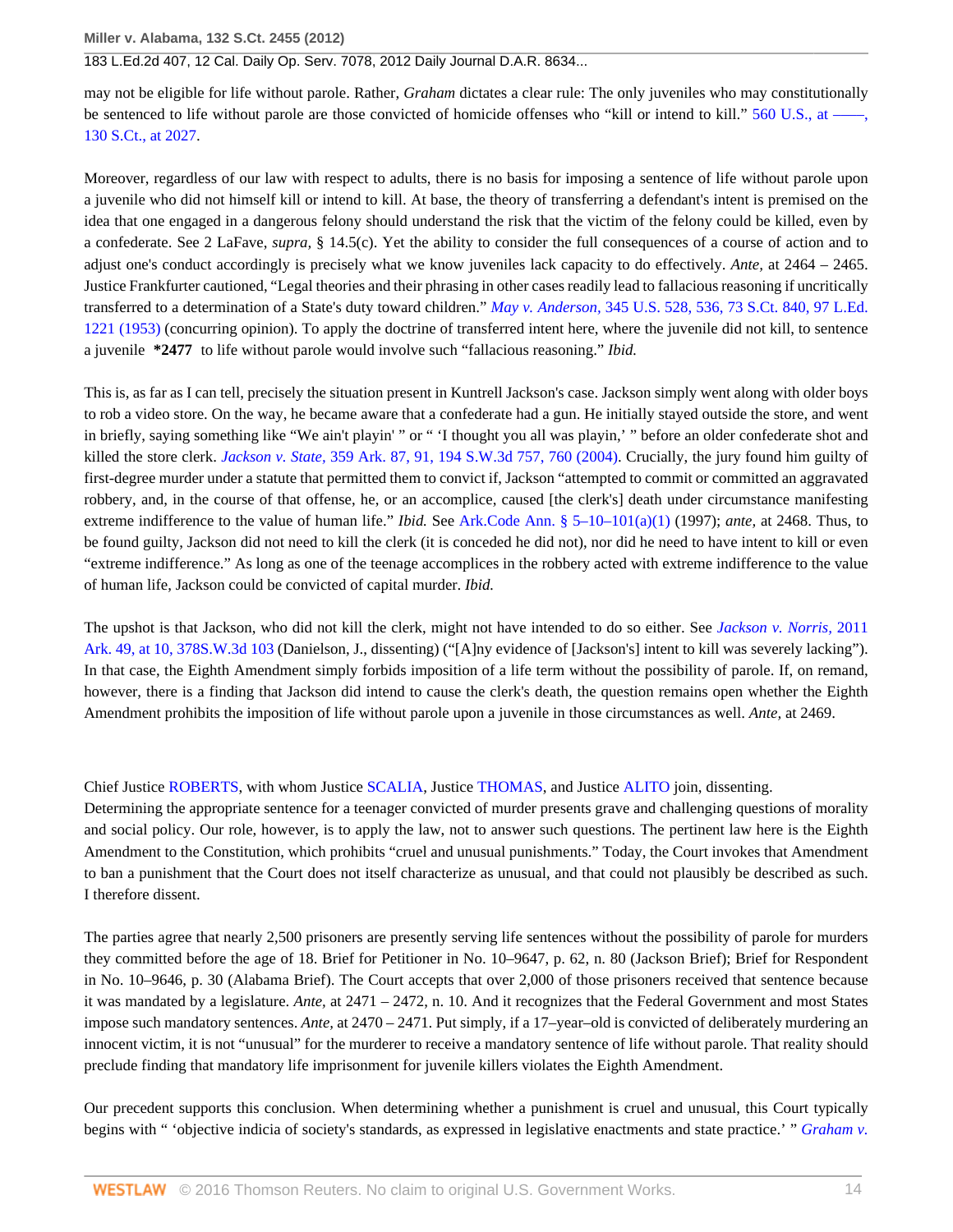183 L.Ed.2d 407, 12 Cal. Daily Op. Serv. 7078, 2012 Daily Journal D.A.R. 8634...

may not be eligible for life without parole. Rather, *Graham* dictates a clear rule: The only juveniles who may constitutionally be sentenced to life without parole are those convicted of homicide offenses who "kill or intend to kill." 560 U.S., at  $-$ [130 S.Ct., at 2027](http://www.westlaw.com/Link/Document/FullText?findType=Y&serNum=2022052221&pubNum=0000708&originatingDoc=Iec8a7df1beb611e1b343c837631e1747&refType=RP&fi=co_pp_sp_708_2027&originationContext=document&vr=3.0&rs=cblt1.0&transitionType=DocumentItem&contextData=(sc.Search)#co_pp_sp_708_2027).

Moreover, regardless of our law with respect to adults, there is no basis for imposing a sentence of life without parole upon a juvenile who did not himself kill or intend to kill. At base, the theory of transferring a defendant's intent is premised on the idea that one engaged in a dangerous felony should understand the risk that the victim of the felony could be killed, even by a confederate. See 2 LaFave, *supra,* § 14.5(c). Yet the ability to consider the full consequences of a course of action and to adjust one's conduct accordingly is precisely what we know juveniles lack capacity to do effectively. *Ante,* at 2464 – 2465. Justice Frankfurter cautioned, "Legal theories and their phrasing in other cases readily lead to fallacious reasoning if uncritically transferred to a determination of a State's duty toward children." *May v. Anderson,* [345 U.S. 528, 536, 73 S.Ct. 840, 97 L.Ed.](http://www.westlaw.com/Link/Document/FullText?findType=Y&serNum=1953118610&pubNum=0000708&originatingDoc=Iec8a7df1beb611e1b343c837631e1747&refType=RP&originationContext=document&vr=3.0&rs=cblt1.0&transitionType=DocumentItem&contextData=(sc.Search)) [1221 \(1953\)](http://www.westlaw.com/Link/Document/FullText?findType=Y&serNum=1953118610&pubNum=0000708&originatingDoc=Iec8a7df1beb611e1b343c837631e1747&refType=RP&originationContext=document&vr=3.0&rs=cblt1.0&transitionType=DocumentItem&contextData=(sc.Search)) (concurring opinion). To apply the doctrine of transferred intent here, where the juvenile did not kill, to sentence a juvenile **\*2477** to life without parole would involve such "fallacious reasoning." *Ibid.*

This is, as far as I can tell, precisely the situation present in Kuntrell Jackson's case. Jackson simply went along with older boys to rob a video store. On the way, he became aware that a confederate had a gun. He initially stayed outside the store, and went in briefly, saying something like "We ain't playin' " or " 'I thought you all was playin,' " before an older confederate shot and killed the store clerk. *Jackson v. State,* [359 Ark. 87, 91, 194 S.W.3d 757, 760 \(2004\)](http://www.westlaw.com/Link/Document/FullText?findType=Y&serNum=2005249383&pubNum=0004644&originatingDoc=Iec8a7df1beb611e1b343c837631e1747&refType=RP&fi=co_pp_sp_4644_760&originationContext=document&vr=3.0&rs=cblt1.0&transitionType=DocumentItem&contextData=(sc.Search)#co_pp_sp_4644_760). Crucially, the jury found him guilty of first-degree murder under a statute that permitted them to convict if, Jackson "attempted to commit or committed an aggravated robbery, and, in the course of that offense, he, or an accomplice, caused [the clerk's] death under circumstance manifesting extreme indifference to the value of human life." *Ibid.* See [Ark.Code Ann. § 5–10–101\(a\)\(1\)](http://www.westlaw.com/Link/Document/FullText?findType=L&pubNum=1000004&cite=ARSTS5-10-101&originatingDoc=Iec8a7df1beb611e1b343c837631e1747&refType=SP&originationContext=document&vr=3.0&rs=cblt1.0&transitionType=DocumentItem&contextData=(sc.Search)#co_pp_7b9b000044381) (1997); *ante,* at 2468. Thus, to be found guilty, Jackson did not need to kill the clerk (it is conceded he did not), nor did he need to have intent to kill or even "extreme indifference." As long as one of the teenage accomplices in the robbery acted with extreme indifference to the value of human life, Jackson could be convicted of capital murder. *Ibid.*

The upshot is that Jackson, who did not kill the clerk, might not have intended to do so either. See *[Jackson v. Norris,](http://www.westlaw.com/Link/Document/FullText?findType=Y&serNum=2024575372&pubNum=158&originatingDoc=Iec8a7df1beb611e1b343c837631e1747&refType=RP&originationContext=document&vr=3.0&rs=cblt1.0&transitionType=DocumentItem&contextData=(sc.Search))* 2011 [Ark. 49, at 10, 378S.W.3d 103](http://www.westlaw.com/Link/Document/FullText?findType=Y&serNum=2024575372&pubNum=158&originatingDoc=Iec8a7df1beb611e1b343c837631e1747&refType=RP&originationContext=document&vr=3.0&rs=cblt1.0&transitionType=DocumentItem&contextData=(sc.Search)) (Danielson, J., dissenting) ("[A]ny evidence of [Jackson's] intent to kill was severely lacking"). In that case, the Eighth Amendment simply forbids imposition of a life term without the possibility of parole. If, on remand, however, there is a finding that Jackson did intend to cause the clerk's death, the question remains open whether the Eighth Amendment prohibits the imposition of life without parole upon a juvenile in those circumstances as well. *Ante,* at 2469.

Chief Justice [ROBERTS](http://www.westlaw.com/Link/Document/FullText?findType=h&pubNum=176284&cite=0258116001&originatingDoc=Iec8a7df1beb611e1b343c837631e1747&refType=RQ&originationContext=document&vr=3.0&rs=cblt1.0&transitionType=DocumentItem&contextData=(sc.Search)), with whom Justice [SCALIA](http://www.westlaw.com/Link/Document/FullText?findType=h&pubNum=176284&cite=0254763301&originatingDoc=Iec8a7df1beb611e1b343c837631e1747&refType=RQ&originationContext=document&vr=3.0&rs=cblt1.0&transitionType=DocumentItem&contextData=(sc.Search)), Justice [THOMAS](http://www.westlaw.com/Link/Document/FullText?findType=h&pubNum=176284&cite=0216654601&originatingDoc=Iec8a7df1beb611e1b343c837631e1747&refType=RQ&originationContext=document&vr=3.0&rs=cblt1.0&transitionType=DocumentItem&contextData=(sc.Search)), and Justice [ALITO](http://www.westlaw.com/Link/Document/FullText?findType=h&pubNum=176284&cite=0153052401&originatingDoc=Iec8a7df1beb611e1b343c837631e1747&refType=RQ&originationContext=document&vr=3.0&rs=cblt1.0&transitionType=DocumentItem&contextData=(sc.Search)) join, dissenting.

Determining the appropriate sentence for a teenager convicted of murder presents grave and challenging questions of morality and social policy. Our role, however, is to apply the law, not to answer such questions. The pertinent law here is the Eighth Amendment to the Constitution, which prohibits "cruel and unusual punishments." Today, the Court invokes that Amendment to ban a punishment that the Court does not itself characterize as unusual, and that could not plausibly be described as such. I therefore dissent.

The parties agree that nearly 2,500 prisoners are presently serving life sentences without the possibility of parole for murders they committed before the age of 18. Brief for Petitioner in No. 10–9647, p. 62, n. 80 (Jackson Brief); Brief for Respondent in No. 10–9646, p. 30 (Alabama Brief). The Court accepts that over 2,000 of those prisoners received that sentence because it was mandated by a legislature. *Ante,* at 2471 – 2472, n. 10. And it recognizes that the Federal Government and most States impose such mandatory sentences. *Ante,* at 2470 – 2471. Put simply, if a 17–year–old is convicted of deliberately murdering an innocent victim, it is not "unusual" for the murderer to receive a mandatory sentence of life without parole. That reality should preclude finding that mandatory life imprisonment for juvenile killers violates the Eighth Amendment.

Our precedent supports this conclusion. When determining whether a punishment is cruel and unusual, this Court typically begins with " 'objective indicia of society's standards, as expressed in legislative enactments and state practice.' " *[Graham v.](http://www.westlaw.com/Link/Document/FullText?findType=Y&serNum=2022052221&pubNum=708&originatingDoc=Iec8a7df1beb611e1b343c837631e1747&refType=RP&fi=co_pp_sp_708_2022&originationContext=document&vr=3.0&rs=cblt1.0&transitionType=DocumentItem&contextData=(sc.Search)#co_pp_sp_708_2022)*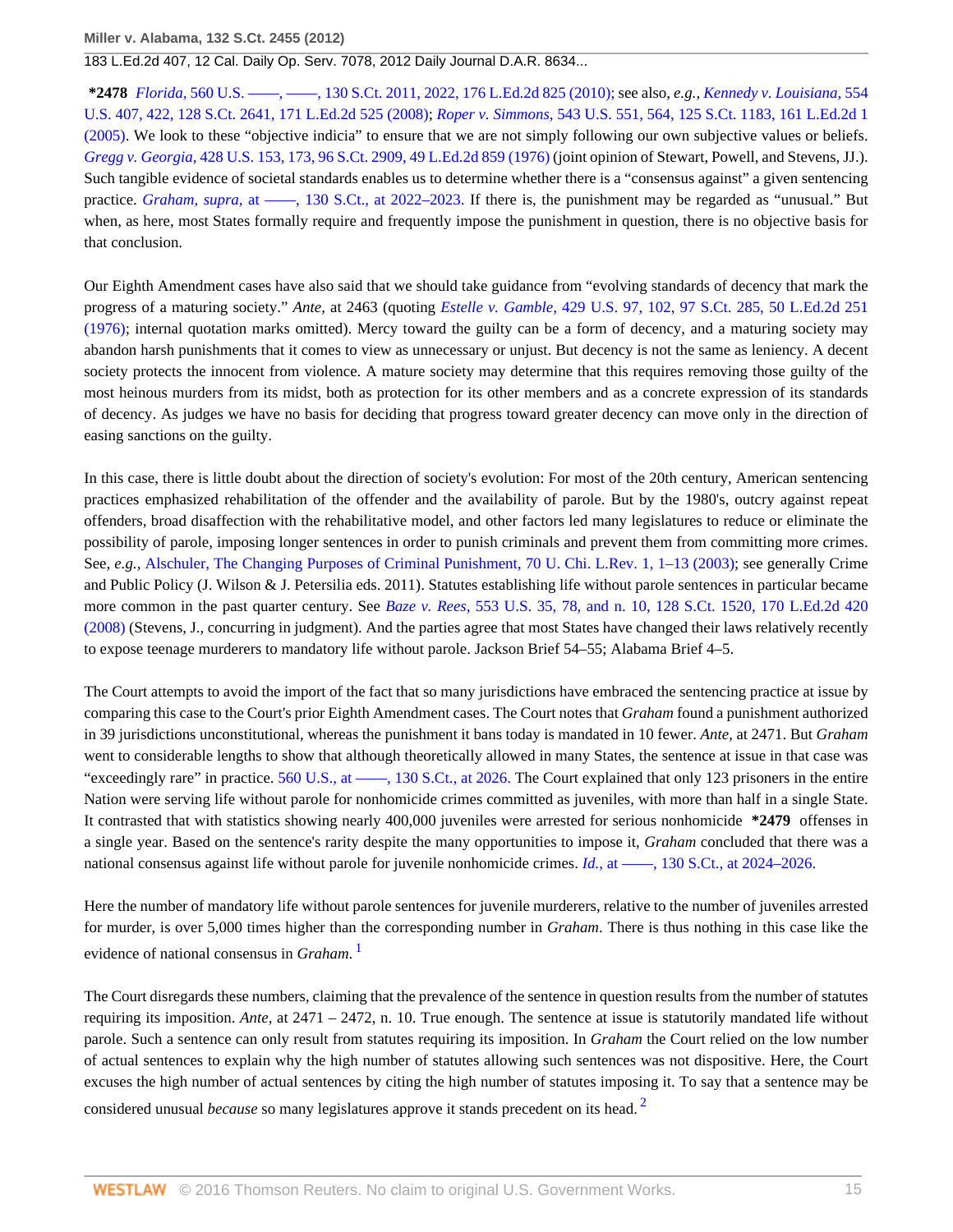183 L.Ed.2d 407, 12 Cal. Daily Op. Serv. 7078, 2012 Daily Journal D.A.R. 8634...

**\*2478** *Florida,* [560 U.S. ––––, ––––, 130 S.Ct. 2011, 2022, 176 L.Ed.2d 825 \(2010\);](http://www.westlaw.com/Link/Document/FullText?findType=Y&serNum=2022052221&pubNum=708&originatingDoc=Iec8a7df1beb611e1b343c837631e1747&refType=RP&fi=co_pp_sp_708_2022&originationContext=document&vr=3.0&rs=cblt1.0&transitionType=DocumentItem&contextData=(sc.Search)#co_pp_sp_708_2022) see also, *e.g., [Kennedy v. Louisiana,](http://www.westlaw.com/Link/Document/FullText?findType=Y&serNum=2016379544&pubNum=0000708&originatingDoc=Iec8a7df1beb611e1b343c837631e1747&refType=RP&originationContext=document&vr=3.0&rs=cblt1.0&transitionType=DocumentItem&contextData=(sc.Search))* 554 [U.S. 407, 422, 128 S.Ct. 2641, 171 L.Ed.2d 525 \(2008\)](http://www.westlaw.com/Link/Document/FullText?findType=Y&serNum=2016379544&pubNum=0000708&originatingDoc=Iec8a7df1beb611e1b343c837631e1747&refType=RP&originationContext=document&vr=3.0&rs=cblt1.0&transitionType=DocumentItem&contextData=(sc.Search)); *Roper v. Simmons,* [543 U.S. 551, 564, 125 S.Ct. 1183, 161 L.Ed.2d 1](http://www.westlaw.com/Link/Document/FullText?findType=Y&serNum=2006291922&pubNum=0000708&originatingDoc=Iec8a7df1beb611e1b343c837631e1747&refType=RP&originationContext=document&vr=3.0&rs=cblt1.0&transitionType=DocumentItem&contextData=(sc.Search)) [\(2005\).](http://www.westlaw.com/Link/Document/FullText?findType=Y&serNum=2006291922&pubNum=0000708&originatingDoc=Iec8a7df1beb611e1b343c837631e1747&refType=RP&originationContext=document&vr=3.0&rs=cblt1.0&transitionType=DocumentItem&contextData=(sc.Search)) We look to these "objective indicia" to ensure that we are not simply following our own subjective values or beliefs. *Gregg v. Georgia,* [428 U.S. 153, 173, 96 S.Ct. 2909, 49 L.Ed.2d 859 \(1976\)](http://www.westlaw.com/Link/Document/FullText?findType=Y&serNum=1976142447&pubNum=0000708&originatingDoc=Iec8a7df1beb611e1b343c837631e1747&refType=RP&originationContext=document&vr=3.0&rs=cblt1.0&transitionType=DocumentItem&contextData=(sc.Search)) (joint opinion of Stewart, Powell, and Stevens, JJ.). Such tangible evidence of societal standards enables us to determine whether there is a "consensus against" a given sentencing practice. *Graham, supra,* at ——, 130 S.Ct., at 2022–2023. If there is, the punishment may be regarded as "unusual." But when, as here, most States formally require and frequently impose the punishment in question, there is no objective basis for that conclusion.

Our Eighth Amendment cases have also said that we should take guidance from "evolving standards of decency that mark the progress of a maturing society." *Ante,* at 2463 (quoting *Estelle v. Gamble,* [429 U.S. 97, 102, 97 S.Ct. 285, 50 L.Ed.2d 251](http://www.westlaw.com/Link/Document/FullText?findType=Y&serNum=1976141341&pubNum=0000708&originatingDoc=Iec8a7df1beb611e1b343c837631e1747&refType=RP&originationContext=document&vr=3.0&rs=cblt1.0&transitionType=DocumentItem&contextData=(sc.Search)) [\(1976\);](http://www.westlaw.com/Link/Document/FullText?findType=Y&serNum=1976141341&pubNum=0000708&originatingDoc=Iec8a7df1beb611e1b343c837631e1747&refType=RP&originationContext=document&vr=3.0&rs=cblt1.0&transitionType=DocumentItem&contextData=(sc.Search)) internal quotation marks omitted). Mercy toward the guilty can be a form of decency, and a maturing society may abandon harsh punishments that it comes to view as unnecessary or unjust. But decency is not the same as leniency. A decent society protects the innocent from violence. A mature society may determine that this requires removing those guilty of the most heinous murders from its midst, both as protection for its other members and as a concrete expression of its standards of decency. As judges we have no basis for deciding that progress toward greater decency can move only in the direction of easing sanctions on the guilty.

In this case, there is little doubt about the direction of society's evolution: For most of the 20th century, American sentencing practices emphasized rehabilitation of the offender and the availability of parole. But by the 1980's, outcry against repeat offenders, broad disaffection with the rehabilitative model, and other factors led many legislatures to reduce or eliminate the possibility of parole, imposing longer sentences in order to punish criminals and prevent them from committing more crimes. See, *e.g.,* [Alschuler, The Changing Purposes of Criminal Punishment, 70 U. Chi. L.Rev. 1, 1–13 \(2003\)](http://www.westlaw.com/Link/Document/FullText?findType=Y&serNum=0294050262&pubNum=0003039&originatingDoc=Iec8a7df1beb611e1b343c837631e1747&refType=LR&originationContext=document&vr=3.0&rs=cblt1.0&transitionType=DocumentItem&contextData=(sc.Search)); see generally Crime and Public Policy (J. Wilson & J. Petersilia eds. 2011). Statutes establishing life without parole sentences in particular became more common in the past quarter century. See *Baze v. Rees,* [553 U.S. 35, 78, and n. 10, 128 S.Ct. 1520, 170 L.Ed.2d 420](http://www.westlaw.com/Link/Document/FullText?findType=Y&serNum=2015800858&pubNum=0000708&originatingDoc=Iec8a7df1beb611e1b343c837631e1747&refType=RP&originationContext=document&vr=3.0&rs=cblt1.0&transitionType=DocumentItem&contextData=(sc.Search)) [\(2008\)](http://www.westlaw.com/Link/Document/FullText?findType=Y&serNum=2015800858&pubNum=0000708&originatingDoc=Iec8a7df1beb611e1b343c837631e1747&refType=RP&originationContext=document&vr=3.0&rs=cblt1.0&transitionType=DocumentItem&contextData=(sc.Search)) (Stevens, J., concurring in judgment). And the parties agree that most States have changed their laws relatively recently to expose teenage murderers to mandatory life without parole. Jackson Brief 54–55; Alabama Brief 4–5.

The Court attempts to avoid the import of the fact that so many jurisdictions have embraced the sentencing practice at issue by comparing this case to the Court's prior Eighth Amendment cases. The Court notes that *Graham* found a punishment authorized in 39 jurisdictions unconstitutional, whereas the punishment it bans today is mandated in 10 fewer. *Ante,* at 2471. But *Graham* went to considerable lengths to show that although theoretically allowed in many States, the sentence at issue in that case was "exceedingly rare" in practice. 560 U.S., at ——, 130 S.Ct., at 2026. The Court explained that only 123 prisoners in the entire Nation were serving life without parole for nonhomicide crimes committed as juveniles, with more than half in a single State. It contrasted that with statistics showing nearly 400,000 juveniles were arrested for serious nonhomicide **\*2479** offenses in a single year. Based on the sentence's rarity despite the many opportunities to impose it, *Graham* concluded that there was a national consensus against life without parole for juvenile nonhomicide crimes. *Id.*, at ——, 130 S.Ct., at 2024–2026.

<span id="page-14-0"></span>Here the number of mandatory life without parole sentences for juvenile murderers, relative to the number of juveniles arrested for murder, is over 5,000 times higher than the corresponding number in *Graham*. There is thus nothing in this case like the evidence of national consensus in *Graham*. [1](#page-24-6)

<span id="page-14-1"></span>The Court disregards these numbers, claiming that the prevalence of the sentence in question results from the number of statutes requiring its imposition. *Ante,* at 2471 – 2472, n. 10. True enough. The sentence at issue is statutorily mandated life without parole. Such a sentence can only result from statutes requiring its imposition. In *Graham* the Court relied on the low number of actual sentences to explain why the high number of statutes allowing such sentences was not dispositive. Here, the Court excuses the high number of actual sentences by citing the high number of statutes imposing it. To say that a sentence may be considered unusual *because* so many legislatures approve it stands precedent on its head. [2](#page-25-0)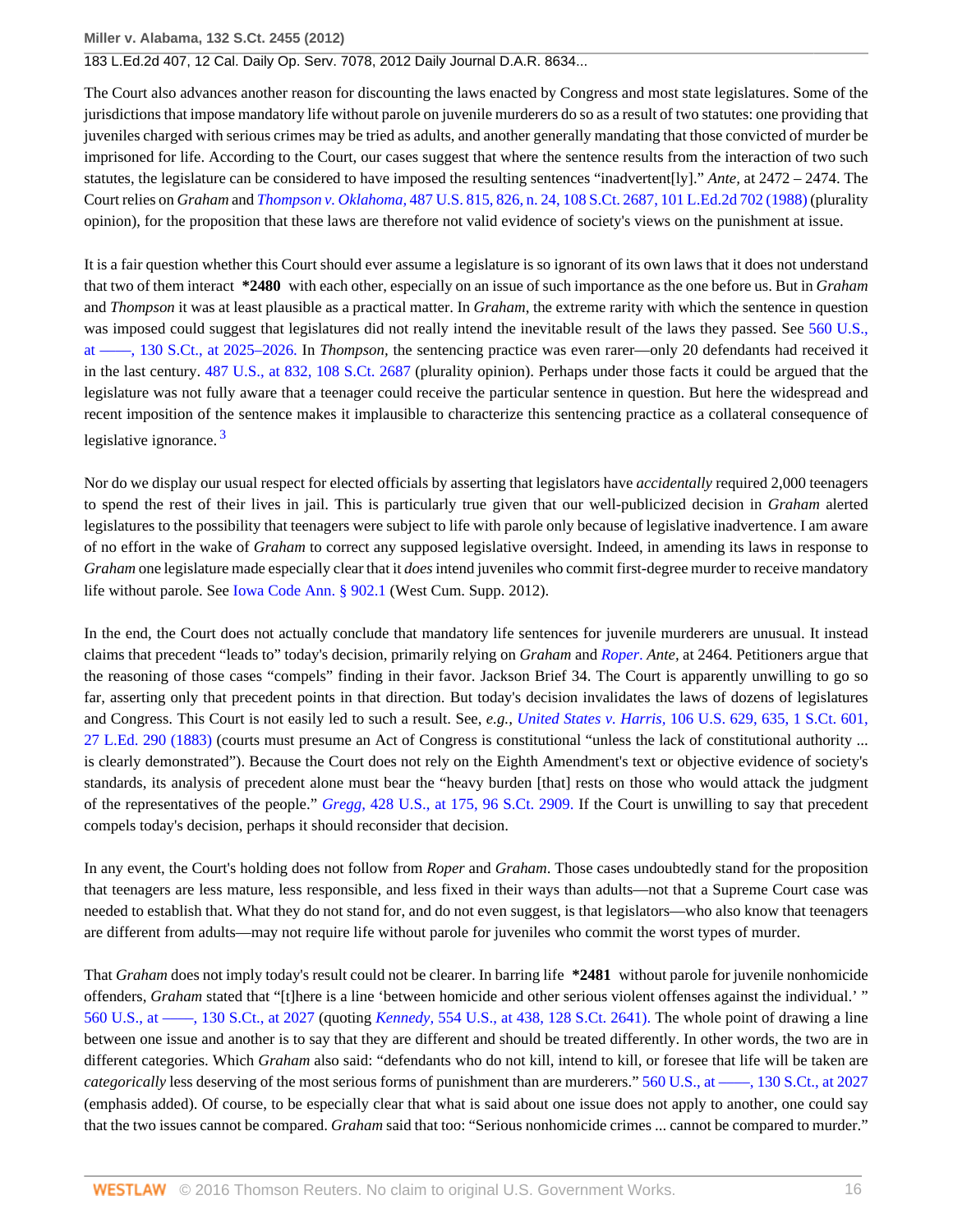### 183 L.Ed.2d 407, 12 Cal. Daily Op. Serv. 7078, 2012 Daily Journal D.A.R. 8634...

The Court also advances another reason for discounting the laws enacted by Congress and most state legislatures. Some of the jurisdictions that impose mandatory life without parole on juvenile murderers do so as a result of two statutes: one providing that juveniles charged with serious crimes may be tried as adults, and another generally mandating that those convicted of murder be imprisoned for life. According to the Court, our cases suggest that where the sentence results from the interaction of two such statutes, the legislature can be considered to have imposed the resulting sentences "inadvertent[ly]." *Ante,* at 2472 – 2474. The Court relies on *Graham* and *Thompson v. Oklahoma,* [487 U.S. 815, 826, n. 24, 108 S.Ct. 2687, 101 L.Ed.2d 702 \(1988\)](http://www.westlaw.com/Link/Document/FullText?findType=Y&serNum=1988084195&pubNum=0000708&originatingDoc=Iec8a7df1beb611e1b343c837631e1747&refType=RP&originationContext=document&vr=3.0&rs=cblt1.0&transitionType=DocumentItem&contextData=(sc.Search)) (plurality opinion), for the proposition that these laws are therefore not valid evidence of society's views on the punishment at issue.

It is a fair question whether this Court should ever assume a legislature is so ignorant of its own laws that it does not understand that two of them interact **\*2480** with each other, especially on an issue of such importance as the one before us. But in *Graham* and *Thompson* it was at least plausible as a practical matter. In *Graham*, the extreme rarity with which the sentence in question was imposed could suggest that legislatures did not really intend the inevitable result of the laws they passed. See [560 U.S.,](http://www.westlaw.com/Link/Document/FullText?findType=Y&serNum=2022052221&pubNum=708&originatingDoc=Iec8a7df1beb611e1b343c837631e1747&refType=RP&fi=co_pp_sp_708_2025&originationContext=document&vr=3.0&rs=cblt1.0&transitionType=DocumentItem&contextData=(sc.Search)#co_pp_sp_708_2025) [at ––––, 130 S.Ct., at 2025–2026.](http://www.westlaw.com/Link/Document/FullText?findType=Y&serNum=2022052221&pubNum=708&originatingDoc=Iec8a7df1beb611e1b343c837631e1747&refType=RP&fi=co_pp_sp_708_2025&originationContext=document&vr=3.0&rs=cblt1.0&transitionType=DocumentItem&contextData=(sc.Search)#co_pp_sp_708_2025) In *Thompson,* the sentencing practice was even rarer—only 20 defendants had received it in the last century. [487 U.S., at 832, 108 S.Ct. 2687](http://www.westlaw.com/Link/Document/FullText?findType=Y&serNum=1988084195&pubNum=0000708&originatingDoc=Iec8a7df1beb611e1b343c837631e1747&refType=RP&originationContext=document&vr=3.0&rs=cblt1.0&transitionType=DocumentItem&contextData=(sc.Search)) (plurality opinion). Perhaps under those facts it could be argued that the legislature was not fully aware that a teenager could receive the particular sentence in question. But here the widespread and recent imposition of the sentence makes it implausible to characterize this sentencing practice as a collateral consequence of legislative ignorance. [3](#page-25-1)

<span id="page-15-0"></span>Nor do we display our usual respect for elected officials by asserting that legislators have *accidentally* required 2,000 teenagers to spend the rest of their lives in jail. This is particularly true given that our well-publicized decision in *Graham* alerted legislatures to the possibility that teenagers were subject to life with parole only because of legislative inadvertence. I am aware of no effort in the wake of *Graham* to correct any supposed legislative oversight. Indeed, in amending its laws in response to *Graham* one legislature made especially clear that it *does* intend juveniles who commit first-degree murder to receive mandatory life without parole. See [Iowa Code Ann. § 902.1](http://www.westlaw.com/Link/Document/FullText?findType=L&pubNum=1000256&cite=IASTS902.1&originatingDoc=Iec8a7df1beb611e1b343c837631e1747&refType=LQ&originationContext=document&vr=3.0&rs=cblt1.0&transitionType=DocumentItem&contextData=(sc.Search)) (West Cum. Supp. 2012).

In the end, the Court does not actually conclude that mandatory life sentences for juvenile murderers are unusual. It instead claims that precedent "leads to" today's decision, primarily relying on *Graham* and *[Roper](http://www.westlaw.com/Link/Document/FullText?findType=Y&serNum=2006291922&originatingDoc=Iec8a7df1beb611e1b343c837631e1747&refType=RP&originationContext=document&vr=3.0&rs=cblt1.0&transitionType=DocumentItem&contextData=(sc.Search))*. *Ante,* at 2464. Petitioners argue that the reasoning of those cases "compels" finding in their favor. Jackson Brief 34. The Court is apparently unwilling to go so far, asserting only that precedent points in that direction. But today's decision invalidates the laws of dozens of legislatures and Congress. This Court is not easily led to such a result. See, *e.g., United States v. Harris,* [106 U.S. 629, 635, 1 S.Ct. 601,](http://www.westlaw.com/Link/Document/FullText?findType=Y&serNum=1883180022&pubNum=0000708&originatingDoc=Iec8a7df1beb611e1b343c837631e1747&refType=RP&originationContext=document&vr=3.0&rs=cblt1.0&transitionType=DocumentItem&contextData=(sc.Search)) [27 L.Ed. 290 \(1883\)](http://www.westlaw.com/Link/Document/FullText?findType=Y&serNum=1883180022&pubNum=0000708&originatingDoc=Iec8a7df1beb611e1b343c837631e1747&refType=RP&originationContext=document&vr=3.0&rs=cblt1.0&transitionType=DocumentItem&contextData=(sc.Search)) (courts must presume an Act of Congress is constitutional "unless the lack of constitutional authority ... is clearly demonstrated"). Because the Court does not rely on the Eighth Amendment's text or objective evidence of society's standards, its analysis of precedent alone must bear the "heavy burden [that] rests on those who would attack the judgment of the representatives of the people." *Gregg,* [428 U.S., at 175, 96 S.Ct. 2909.](http://www.westlaw.com/Link/Document/FullText?findType=Y&serNum=1976142447&pubNum=708&originatingDoc=Iec8a7df1beb611e1b343c837631e1747&refType=RP&originationContext=document&vr=3.0&rs=cblt1.0&transitionType=DocumentItem&contextData=(sc.Search)) If the Court is unwilling to say that precedent compels today's decision, perhaps it should reconsider that decision.

In any event, the Court's holding does not follow from *Roper* and *Graham*. Those cases undoubtedly stand for the proposition that teenagers are less mature, less responsible, and less fixed in their ways than adults—not that a Supreme Court case was needed to establish that. What they do not stand for, and do not even suggest, is that legislators—who also know that teenagers are different from adults—may not require life without parole for juveniles who commit the worst types of murder.

That *Graham* does not imply today's result could not be clearer. In barring life **\*2481** without parole for juvenile nonhomicide offenders, *Graham* stated that "[t]here is a line 'between homicide and other serious violent offenses against the individual.' " [560 U.S., at ––––, 130 S.Ct., at 2027](http://www.westlaw.com/Link/Document/FullText?findType=Y&serNum=2022052221&pubNum=0000708&originatingDoc=Iec8a7df1beb611e1b343c837631e1747&refType=RP&fi=co_pp_sp_708_2027&originationContext=document&vr=3.0&rs=cblt1.0&transitionType=DocumentItem&contextData=(sc.Search)#co_pp_sp_708_2027) (quoting *Kennedy,* [554 U.S., at 438, 128 S.Ct. 2641\).](http://www.westlaw.com/Link/Document/FullText?findType=Y&serNum=2016379544&pubNum=708&originatingDoc=Iec8a7df1beb611e1b343c837631e1747&refType=RP&originationContext=document&vr=3.0&rs=cblt1.0&transitionType=DocumentItem&contextData=(sc.Search)) The whole point of drawing a line between one issue and another is to say that they are different and should be treated differently. In other words, the two are in different categories. Which *Graham* also said: "defendants who do not kill, intend to kill, or foresee that life will be taken are *categorically* less deserving of the most serious forms of punishment than are murderers." 560 U.S., at ——, 130 S.Ct., at 2027 (emphasis added). Of course, to be especially clear that what is said about one issue does not apply to another, one could say that the two issues cannot be compared. *Graham* said that too: "Serious nonhomicide crimes ... cannot be compared to murder."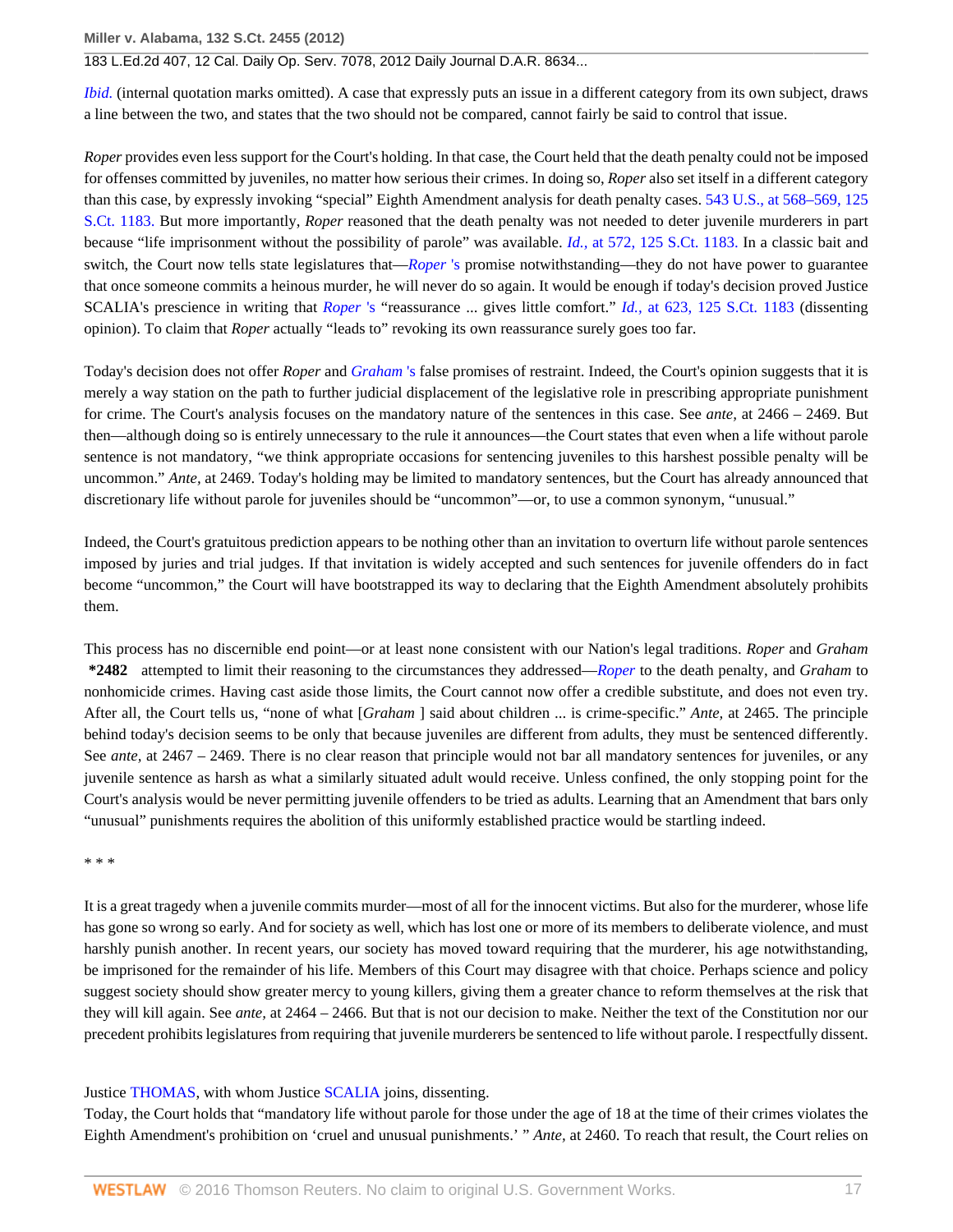183 L.Ed.2d 407, 12 Cal. Daily Op. Serv. 7078, 2012 Daily Journal D.A.R. 8634...

*[Ibid.](http://www.westlaw.com/Link/Document/FullText?findType=Y&serNum=2022052221&originatingDoc=Iec8a7df1beb611e1b343c837631e1747&refType=RP&originationContext=document&vr=3.0&rs=cblt1.0&transitionType=DocumentItem&contextData=(sc.Search))* (internal quotation marks omitted). A case that expressly puts an issue in a different category from its own subject, draws a line between the two, and states that the two should not be compared, cannot fairly be said to control that issue.

*Roper* provides even less support for the Court's holding. In that case, the Court held that the death penalty could not be imposed for offenses committed by juveniles, no matter how serious their crimes. In doing so, *Roper* also set itself in a different category than this case, by expressly invoking "special" Eighth Amendment analysis for death penalty cases. [543 U.S., at 568–569, 125](http://www.westlaw.com/Link/Document/FullText?findType=Y&serNum=2006291922&pubNum=708&originatingDoc=Iec8a7df1beb611e1b343c837631e1747&refType=RP&originationContext=document&vr=3.0&rs=cblt1.0&transitionType=DocumentItem&contextData=(sc.Search)) [S.Ct. 1183.](http://www.westlaw.com/Link/Document/FullText?findType=Y&serNum=2006291922&pubNum=708&originatingDoc=Iec8a7df1beb611e1b343c837631e1747&refType=RP&originationContext=document&vr=3.0&rs=cblt1.0&transitionType=DocumentItem&contextData=(sc.Search)) But more importantly, *Roper* reasoned that the death penalty was not needed to deter juvenile murderers in part because "life imprisonment without the possibility of parole" was available. *Id.,* [at 572, 125 S.Ct. 1183.](http://www.westlaw.com/Link/Document/FullText?findType=Y&serNum=2006291922&pubNum=708&originatingDoc=Iec8a7df1beb611e1b343c837631e1747&refType=RP&originationContext=document&vr=3.0&rs=cblt1.0&transitionType=DocumentItem&contextData=(sc.Search)) In a classic bait and switch, the Court now tells state legislatures that—*[Roper](http://www.westlaw.com/Link/Document/FullText?findType=Y&serNum=2006291922&originatingDoc=Iec8a7df1beb611e1b343c837631e1747&refType=RP&originationContext=document&vr=3.0&rs=cblt1.0&transitionType=DocumentItem&contextData=(sc.Search))* 's promise notwithstanding—they do not have power to guarantee that once someone commits a heinous murder, he will never do so again. It would be enough if today's decision proved Justice SCALIA's prescience in writing that *[Roper](http://www.westlaw.com/Link/Document/FullText?findType=Y&serNum=2006291922&originatingDoc=Iec8a7df1beb611e1b343c837631e1747&refType=RP&originationContext=document&vr=3.0&rs=cblt1.0&transitionType=DocumentItem&contextData=(sc.Search))* 's "reassurance ... gives little comfort." *Id.,* [at 623, 125 S.Ct. 1183](http://www.westlaw.com/Link/Document/FullText?findType=Y&serNum=2006291922&pubNum=708&originatingDoc=Iec8a7df1beb611e1b343c837631e1747&refType=RP&originationContext=document&vr=3.0&rs=cblt1.0&transitionType=DocumentItem&contextData=(sc.Search)) (dissenting opinion). To claim that *Roper* actually "leads to" revoking its own reassurance surely goes too far.

Today's decision does not offer *Roper* and *[Graham](http://www.westlaw.com/Link/Document/FullText?findType=Y&serNum=2022052221&originatingDoc=Iec8a7df1beb611e1b343c837631e1747&refType=RP&originationContext=document&vr=3.0&rs=cblt1.0&transitionType=DocumentItem&contextData=(sc.Search))* 's false promises of restraint. Indeed, the Court's opinion suggests that it is merely a way station on the path to further judicial displacement of the legislative role in prescribing appropriate punishment for crime. The Court's analysis focuses on the mandatory nature of the sentences in this case. See *ante,* at 2466 – 2469. But then—although doing so is entirely unnecessary to the rule it announces—the Court states that even when a life without parole sentence is not mandatory, "we think appropriate occasions for sentencing juveniles to this harshest possible penalty will be uncommon." *Ante,* at 2469. Today's holding may be limited to mandatory sentences, but the Court has already announced that discretionary life without parole for juveniles should be "uncommon"—or, to use a common synonym, "unusual."

Indeed, the Court's gratuitous prediction appears to be nothing other than an invitation to overturn life without parole sentences imposed by juries and trial judges. If that invitation is widely accepted and such sentences for juvenile offenders do in fact become "uncommon," the Court will have bootstrapped its way to declaring that the Eighth Amendment absolutely prohibits them.

This process has no discernible end point—or at least none consistent with our Nation's legal traditions. *Roper* and *Graham* **\*2482** attempted to limit their reasoning to the circumstances they addressed—*[Roper](http://www.westlaw.com/Link/Document/FullText?findType=Y&serNum=2006291922&originatingDoc=Iec8a7df1beb611e1b343c837631e1747&refType=RP&originationContext=document&vr=3.0&rs=cblt1.0&transitionType=DocumentItem&contextData=(sc.Search))* to the death penalty, and *Graham* to nonhomicide crimes. Having cast aside those limits, the Court cannot now offer a credible substitute, and does not even try. After all, the Court tells us, "none of what [*Graham* ] said about children ... is crime-specific." *Ante,* at 2465. The principle behind today's decision seems to be only that because juveniles are different from adults, they must be sentenced differently. See *ante*, at 2467 – 2469. There is no clear reason that principle would not bar all mandatory sentences for juveniles, or any juvenile sentence as harsh as what a similarly situated adult would receive. Unless confined, the only stopping point for the Court's analysis would be never permitting juvenile offenders to be tried as adults. Learning that an Amendment that bars only "unusual" punishments requires the abolition of this uniformly established practice would be startling indeed.

\* \* \*

It is a great tragedy when a juvenile commits murder—most of all for the innocent victims. But also for the murderer, whose life has gone so wrong so early. And for society as well, which has lost one or more of its members to deliberate violence, and must harshly punish another. In recent years, our society has moved toward requiring that the murderer, his age notwithstanding, be imprisoned for the remainder of his life. Members of this Court may disagree with that choice. Perhaps science and policy suggest society should show greater mercy to young killers, giving them a greater chance to reform themselves at the risk that they will kill again. See *ante,* at 2464 – 2466. But that is not our decision to make. Neither the text of the Constitution nor our precedent prohibits legislatures from requiring that juvenile murderers be sentenced to life without parole. I respectfully dissent.

# Justice [THOMAS,](http://www.westlaw.com/Link/Document/FullText?findType=h&pubNum=176284&cite=0216654601&originatingDoc=Iec8a7df1beb611e1b343c837631e1747&refType=RQ&originationContext=document&vr=3.0&rs=cblt1.0&transitionType=DocumentItem&contextData=(sc.Search)) with whom Justice [SCALIA](http://www.westlaw.com/Link/Document/FullText?findType=h&pubNum=176284&cite=0254763301&originatingDoc=Iec8a7df1beb611e1b343c837631e1747&refType=RQ&originationContext=document&vr=3.0&rs=cblt1.0&transitionType=DocumentItem&contextData=(sc.Search)) joins, dissenting.

Today, the Court holds that "mandatory life without parole for those under the age of 18 at the time of their crimes violates the Eighth Amendment's prohibition on 'cruel and unusual punishments.' " *Ante,* at 2460. To reach that result, the Court relies on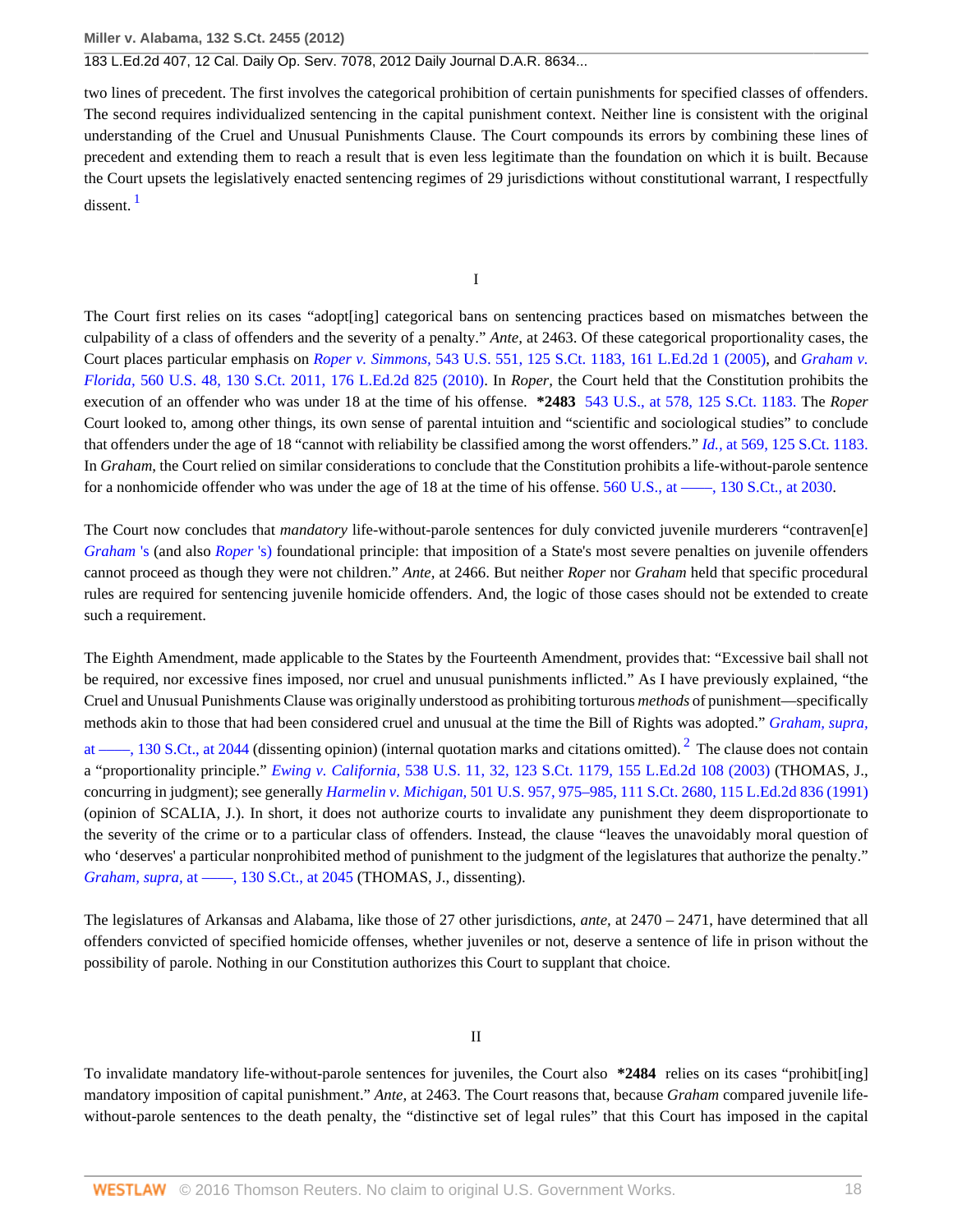<span id="page-17-0"></span>two lines of precedent. The first involves the categorical prohibition of certain punishments for specified classes of offenders. The second requires individualized sentencing in the capital punishment context. Neither line is consistent with the original understanding of the Cruel and Unusual Punishments Clause. The Court compounds its errors by combining these lines of precedent and extending them to reach a result that is even less legitimate than the foundation on which it is built. Because the Court upsets the legislatively enacted sentencing regimes of 29 jurisdictions without constitutional warrant, I respectfully  $dissent$ <sup>[1](#page-25-2)</sup>

I

The Court first relies on its cases "adopt[ing] categorical bans on sentencing practices based on mismatches between the culpability of a class of offenders and the severity of a penalty." *Ante,* at 2463. Of these categorical proportionality cases, the Court places particular emphasis on *Roper v. Simmons,* [543 U.S. 551, 125 S.Ct. 1183, 161 L.Ed.2d 1 \(2005\)](http://www.westlaw.com/Link/Document/FullText?findType=Y&serNum=2006291922&pubNum=0000708&originatingDoc=Iec8a7df1beb611e1b343c837631e1747&refType=RP&originationContext=document&vr=3.0&rs=cblt1.0&transitionType=DocumentItem&contextData=(sc.Search)), and *[Graham v.](http://www.westlaw.com/Link/Document/FullText?findType=Y&serNum=2022052221&pubNum=0000708&originatingDoc=Iec8a7df1beb611e1b343c837631e1747&refType=RP&originationContext=document&vr=3.0&rs=cblt1.0&transitionType=DocumentItem&contextData=(sc.Search)) Florida,* [560 U.S. 48, 130 S.Ct. 2011, 176 L.Ed.2d 825 \(2010\)](http://www.westlaw.com/Link/Document/FullText?findType=Y&serNum=2022052221&pubNum=0000708&originatingDoc=Iec8a7df1beb611e1b343c837631e1747&refType=RP&originationContext=document&vr=3.0&rs=cblt1.0&transitionType=DocumentItem&contextData=(sc.Search)). In *Roper,* the Court held that the Constitution prohibits the execution of an offender who was under 18 at the time of his offense. **\*2483** [543 U.S., at 578, 125 S.Ct. 1183.](http://www.westlaw.com/Link/Document/FullText?findType=Y&serNum=2006291922&pubNum=708&originatingDoc=Iec8a7df1beb611e1b343c837631e1747&refType=RP&originationContext=document&vr=3.0&rs=cblt1.0&transitionType=DocumentItem&contextData=(sc.Search)) The *Roper* Court looked to, among other things, its own sense of parental intuition and "scientific and sociological studies" to conclude that offenders under the age of 18 "cannot with reliability be classified among the worst offenders." *Id.,* [at 569, 125 S.Ct. 1183.](http://www.westlaw.com/Link/Document/FullText?findType=Y&serNum=2006291922&pubNum=708&originatingDoc=Iec8a7df1beb611e1b343c837631e1747&refType=RP&originationContext=document&vr=3.0&rs=cblt1.0&transitionType=DocumentItem&contextData=(sc.Search)) In *Graham*, the Court relied on similar considerations to conclude that the Constitution prohibits a life-without-parole sentence for a nonhomicide offender who was under the age of 18 at the time of his offense. 560 U.S., at ——, 130 S.Ct., at 2030.

The Court now concludes that *mandatory* life-without-parole sentences for duly convicted juvenile murderers "contraven[e] *[Graham](http://www.westlaw.com/Link/Document/FullText?findType=Y&serNum=2022052221&originatingDoc=Iec8a7df1beb611e1b343c837631e1747&refType=RP&originationContext=document&vr=3.0&rs=cblt1.0&transitionType=DocumentItem&contextData=(sc.Search))* 's (and also *[Roper](http://www.westlaw.com/Link/Document/FullText?findType=Y&serNum=2006291922&originatingDoc=Iec8a7df1beb611e1b343c837631e1747&refType=RP&originationContext=document&vr=3.0&rs=cblt1.0&transitionType=DocumentItem&contextData=(sc.Search))* 's) foundational principle: that imposition of a State's most severe penalties on juvenile offenders cannot proceed as though they were not children." *Ante,* at 2466. But neither *Roper* nor *Graham* held that specific procedural rules are required for sentencing juvenile homicide offenders. And, the logic of those cases should not be extended to create such a requirement.

The Eighth Amendment, made applicable to the States by the Fourteenth Amendment, provides that: "Excessive bail shall not be required, nor excessive fines imposed, nor cruel and unusual punishments inflicted." As I have previously explained, "the Cruel and Unusual Punishments Clause was originally understood as prohibiting torturous *methods* of punishment—specifically methods akin to those that had been considered cruel and unusual at the time the Bill of Rights was adopted." *[Graham, supra,](http://www.westlaw.com/Link/Document/FullText?findType=Y&serNum=2022052221&pubNum=0000708&originatingDoc=Iec8a7df1beb611e1b343c837631e1747&refType=RP&fi=co_pp_sp_708_2044&originationContext=document&vr=3.0&rs=cblt1.0&transitionType=DocumentItem&contextData=(sc.Search)#co_pp_sp_708_2044)*

at ——, 130 S.Ct., at [2](#page-25-3)044 (dissenting opinion) (internal quotation marks and citations omitted). <sup>2</sup> The clause does not contain a "proportionality principle." *Ewing v. California,* [538 U.S. 11, 32, 123 S.Ct. 1179, 155 L.Ed.2d 108 \(2003\)](http://www.westlaw.com/Link/Document/FullText?findType=Y&serNum=2003192411&pubNum=0000708&originatingDoc=Iec8a7df1beb611e1b343c837631e1747&refType=RP&originationContext=document&vr=3.0&rs=cblt1.0&transitionType=DocumentItem&contextData=(sc.Search)) (THOMAS, J., concurring in judgment); see generally *Harmelin v. Michigan,* [501 U.S. 957, 975–985, 111 S.Ct. 2680, 115 L.Ed.2d 836 \(1991\)](http://www.westlaw.com/Link/Document/FullText?findType=Y&serNum=1991116023&pubNum=0000708&originatingDoc=Iec8a7df1beb611e1b343c837631e1747&refType=RP&originationContext=document&vr=3.0&rs=cblt1.0&transitionType=DocumentItem&contextData=(sc.Search)) (opinion of SCALIA, J.). In short, it does not authorize courts to invalidate any punishment they deem disproportionate to the severity of the crime or to a particular class of offenders. Instead, the clause "leaves the unavoidably moral question of who 'deserves' a particular nonprohibited method of punishment to the judgment of the legislatures that authorize the penalty." *Graham, supra, at* ——, 130 S.Ct., at 2045 (THOMAS, J., dissenting).

The legislatures of Arkansas and Alabama, like those of 27 other jurisdictions, *ante,* at 2470 – 2471, have determined that all offenders convicted of specified homicide offenses, whether juveniles or not, deserve a sentence of life in prison without the possibility of parole. Nothing in our Constitution authorizes this Court to supplant that choice.

<span id="page-17-1"></span>II

To invalidate mandatory life-without-parole sentences for juveniles, the Court also **\*2484** relies on its cases "prohibit[ing] mandatory imposition of capital punishment." *Ante,* at 2463. The Court reasons that, because *Graham* compared juvenile lifewithout-parole sentences to the death penalty, the "distinctive set of legal rules" that this Court has imposed in the capital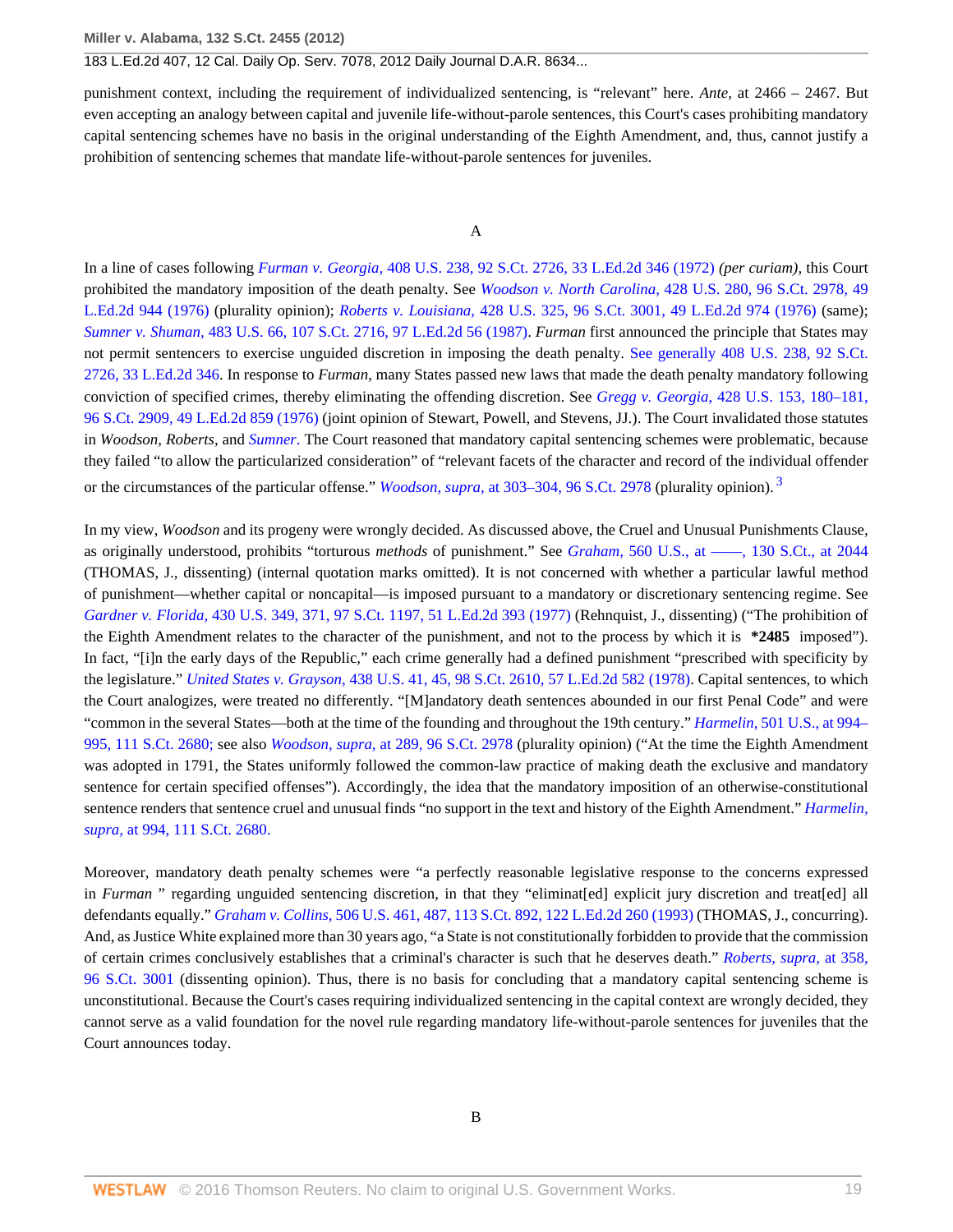### 183 L.Ed.2d 407, 12 Cal. Daily Op. Serv. 7078, 2012 Daily Journal D.A.R. 8634...

punishment context, including the requirement of individualized sentencing, is "relevant" here. *Ante,* at 2466 – 2467. But even accepting an analogy between capital and juvenile life-without-parole sentences, this Court's cases prohibiting mandatory capital sentencing schemes have no basis in the original understanding of the Eighth Amendment, and, thus, cannot justify a prohibition of sentencing schemes that mandate life-without-parole sentences for juveniles.

### <span id="page-18-0"></span>A

In a line of cases following *Furman v. Georgia,* [408 U.S. 238, 92 S.Ct. 2726, 33 L.Ed.2d 346 \(1972\)](http://www.westlaw.com/Link/Document/FullText?findType=Y&serNum=1972127195&pubNum=0000708&originatingDoc=Iec8a7df1beb611e1b343c837631e1747&refType=RP&originationContext=document&vr=3.0&rs=cblt1.0&transitionType=DocumentItem&contextData=(sc.Search)) *(per curiam),* this Court prohibited the mandatory imposition of the death penalty. See *Woodson v. North Carolina,* [428 U.S. 280, 96 S.Ct. 2978, 49](http://www.westlaw.com/Link/Document/FullText?findType=Y&serNum=1976141320&pubNum=0000708&originatingDoc=Iec8a7df1beb611e1b343c837631e1747&refType=RP&originationContext=document&vr=3.0&rs=cblt1.0&transitionType=DocumentItem&contextData=(sc.Search)) [L.Ed.2d 944 \(1976\)](http://www.westlaw.com/Link/Document/FullText?findType=Y&serNum=1976141320&pubNum=0000708&originatingDoc=Iec8a7df1beb611e1b343c837631e1747&refType=RP&originationContext=document&vr=3.0&rs=cblt1.0&transitionType=DocumentItem&contextData=(sc.Search)) (plurality opinion); *Roberts v. Louisiana,* [428 U.S. 325, 96 S.Ct. 3001, 49 L.Ed.2d 974 \(1976\)](http://www.westlaw.com/Link/Document/FullText?findType=Y&serNum=1976142451&pubNum=0000708&originatingDoc=Iec8a7df1beb611e1b343c837631e1747&refType=RP&originationContext=document&vr=3.0&rs=cblt1.0&transitionType=DocumentItem&contextData=(sc.Search)) (same); *Sumner v. Shuman,* [483 U.S. 66, 107 S.Ct. 2716, 97 L.Ed.2d 56 \(1987\)](http://www.westlaw.com/Link/Document/FullText?findType=Y&serNum=1987077900&pubNum=0000708&originatingDoc=Iec8a7df1beb611e1b343c837631e1747&refType=RP&originationContext=document&vr=3.0&rs=cblt1.0&transitionType=DocumentItem&contextData=(sc.Search)). *Furman* first announced the principle that States may not permit sentencers to exercise unguided discretion in imposing the death penalty. [See generally 408 U.S. 238, 92 S.Ct.](http://www.westlaw.com/Link/Document/FullText?findType=Y&serNum=1972127195&pubNum=0000708&originatingDoc=Iec8a7df1beb611e1b343c837631e1747&refType=RP&originationContext=document&vr=3.0&rs=cblt1.0&transitionType=DocumentItem&contextData=(sc.Search)) [2726, 33 L.Ed.2d 346](http://www.westlaw.com/Link/Document/FullText?findType=Y&serNum=1972127195&pubNum=0000708&originatingDoc=Iec8a7df1beb611e1b343c837631e1747&refType=RP&originationContext=document&vr=3.0&rs=cblt1.0&transitionType=DocumentItem&contextData=(sc.Search)). In response to *Furman,* many States passed new laws that made the death penalty mandatory following conviction of specified crimes, thereby eliminating the offending discretion. See *Gregg v. Georgia,* [428 U.S. 153, 180–181,](http://www.westlaw.com/Link/Document/FullText?findType=Y&serNum=1976142447&pubNum=0000708&originatingDoc=Iec8a7df1beb611e1b343c837631e1747&refType=RP&originationContext=document&vr=3.0&rs=cblt1.0&transitionType=DocumentItem&contextData=(sc.Search)) [96 S.Ct. 2909, 49 L.Ed.2d 859 \(1976\)](http://www.westlaw.com/Link/Document/FullText?findType=Y&serNum=1976142447&pubNum=0000708&originatingDoc=Iec8a7df1beb611e1b343c837631e1747&refType=RP&originationContext=document&vr=3.0&rs=cblt1.0&transitionType=DocumentItem&contextData=(sc.Search)) (joint opinion of Stewart, Powell, and Stevens, JJ.). The Court invalidated those statutes in *Woodson, Roberts,* and *[Sumner](http://www.westlaw.com/Link/Document/FullText?findType=Y&serNum=1987077900&originatingDoc=Iec8a7df1beb611e1b343c837631e1747&refType=RP&originationContext=document&vr=3.0&rs=cblt1.0&transitionType=DocumentItem&contextData=(sc.Search))*. The Court reasoned that mandatory capital sentencing schemes were problematic, because they failed "to allow the particularized consideration" of "relevant facets of the character and record of the individual offender or the circumstances of the particular offense." *Woodson, supra,* [at 303–304, 96 S.Ct. 2978](http://www.westlaw.com/Link/Document/FullText?findType=Y&serNum=1976141320&pubNum=708&originatingDoc=Iec8a7df1beb611e1b343c837631e1747&refType=RP&originationContext=document&vr=3.0&rs=cblt1.0&transitionType=DocumentItem&contextData=(sc.Search)) (plurality opinion). [3](#page-25-4)

In my view, *Woodson* and its progeny were wrongly decided. As discussed above, the Cruel and Unusual Punishments Clause, as originally understood, prohibits "torturous *methods* of punishment." See *Graham,* [560 U.S., at ––––, 130 S.Ct., at 2044](http://www.westlaw.com/Link/Document/FullText?findType=Y&serNum=2022052221&pubNum=0000708&originatingDoc=Iec8a7df1beb611e1b343c837631e1747&refType=RP&fi=co_pp_sp_708_2044&originationContext=document&vr=3.0&rs=cblt1.0&transitionType=DocumentItem&contextData=(sc.Search)#co_pp_sp_708_2044) (THOMAS, J., dissenting) (internal quotation marks omitted). It is not concerned with whether a particular lawful method of punishment—whether capital or noncapital—is imposed pursuant to a mandatory or discretionary sentencing regime. See *Gardner v. Florida,* [430 U.S. 349, 371, 97 S.Ct. 1197, 51 L.Ed.2d 393 \(1977\)](http://www.westlaw.com/Link/Document/FullText?findType=Y&serNum=1977118750&pubNum=0000708&originatingDoc=Iec8a7df1beb611e1b343c837631e1747&refType=RP&originationContext=document&vr=3.0&rs=cblt1.0&transitionType=DocumentItem&contextData=(sc.Search)) (Rehnquist, J., dissenting) ("The prohibition of the Eighth Amendment relates to the character of the punishment, and not to the process by which it is **\*2485** imposed"). In fact, "[i]n the early days of the Republic," each crime generally had a defined punishment "prescribed with specificity by the legislature." *United States v. Grayson,* [438 U.S. 41, 45, 98 S.Ct. 2610, 57 L.Ed.2d 582 \(1978\).](http://www.westlaw.com/Link/Document/FullText?findType=Y&serNum=1978139501&pubNum=0000708&originatingDoc=Iec8a7df1beb611e1b343c837631e1747&refType=RP&originationContext=document&vr=3.0&rs=cblt1.0&transitionType=DocumentItem&contextData=(sc.Search)) Capital sentences, to which the Court analogizes, were treated no differently. "[M]andatory death sentences abounded in our first Penal Code" and were "common in the several States—both at the time of the founding and throughout the 19th century." *Harmelin,* [501 U.S., at 994–](http://www.westlaw.com/Link/Document/FullText?findType=Y&serNum=1991116023&pubNum=708&originatingDoc=Iec8a7df1beb611e1b343c837631e1747&refType=RP&originationContext=document&vr=3.0&rs=cblt1.0&transitionType=DocumentItem&contextData=(sc.Search)) [995, 111 S.Ct. 2680;](http://www.westlaw.com/Link/Document/FullText?findType=Y&serNum=1991116023&pubNum=708&originatingDoc=Iec8a7df1beb611e1b343c837631e1747&refType=RP&originationContext=document&vr=3.0&rs=cblt1.0&transitionType=DocumentItem&contextData=(sc.Search)) see also *Woodson, supra,* [at 289, 96 S.Ct. 2978](http://www.westlaw.com/Link/Document/FullText?findType=Y&serNum=1976141320&pubNum=708&originatingDoc=Iec8a7df1beb611e1b343c837631e1747&refType=RP&originationContext=document&vr=3.0&rs=cblt1.0&transitionType=DocumentItem&contextData=(sc.Search)) (plurality opinion) ("At the time the Eighth Amendment was adopted in 1791, the States uniformly followed the common-law practice of making death the exclusive and mandatory sentence for certain specified offenses"). Accordingly, the idea that the mandatory imposition of an otherwise-constitutional sentence renders that sentence cruel and unusual finds "no support in the text and history of the Eighth Amendment." *[Harmelin,](http://www.westlaw.com/Link/Document/FullText?findType=Y&serNum=1991116023&pubNum=708&originatingDoc=Iec8a7df1beb611e1b343c837631e1747&refType=RP&originationContext=document&vr=3.0&rs=cblt1.0&transitionType=DocumentItem&contextData=(sc.Search)) supra,* [at 994, 111 S.Ct. 2680.](http://www.westlaw.com/Link/Document/FullText?findType=Y&serNum=1991116023&pubNum=708&originatingDoc=Iec8a7df1beb611e1b343c837631e1747&refType=RP&originationContext=document&vr=3.0&rs=cblt1.0&transitionType=DocumentItem&contextData=(sc.Search))

Moreover, mandatory death penalty schemes were "a perfectly reasonable legislative response to the concerns expressed in *Furman* " regarding unguided sentencing discretion, in that they "eliminat[ed] explicit jury discretion and treat[ed] all defendants equally." *Graham v. Collins,* [506 U.S. 461, 487, 113 S.Ct. 892, 122 L.Ed.2d 260 \(1993\)](http://www.westlaw.com/Link/Document/FullText?findType=Y&serNum=1993032776&pubNum=0000708&originatingDoc=Iec8a7df1beb611e1b343c837631e1747&refType=RP&originationContext=document&vr=3.0&rs=cblt1.0&transitionType=DocumentItem&contextData=(sc.Search)) (THOMAS, J., concurring). And, as Justice White explained more than 30 years ago, "a State is not constitutionally forbidden to provide that the commission of certain crimes conclusively establishes that a criminal's character is such that he deserves death." *[Roberts, supra,](http://www.westlaw.com/Link/Document/FullText?findType=Y&serNum=1976142451&pubNum=708&originatingDoc=Iec8a7df1beb611e1b343c837631e1747&refType=RP&originationContext=document&vr=3.0&rs=cblt1.0&transitionType=DocumentItem&contextData=(sc.Search))* at 358, [96 S.Ct. 3001](http://www.westlaw.com/Link/Document/FullText?findType=Y&serNum=1976142451&pubNum=708&originatingDoc=Iec8a7df1beb611e1b343c837631e1747&refType=RP&originationContext=document&vr=3.0&rs=cblt1.0&transitionType=DocumentItem&contextData=(sc.Search)) (dissenting opinion). Thus, there is no basis for concluding that a mandatory capital sentencing scheme is unconstitutional. Because the Court's cases requiring individualized sentencing in the capital context are wrongly decided, they cannot serve as a valid foundation for the novel rule regarding mandatory life-without-parole sentences for juveniles that the Court announces today.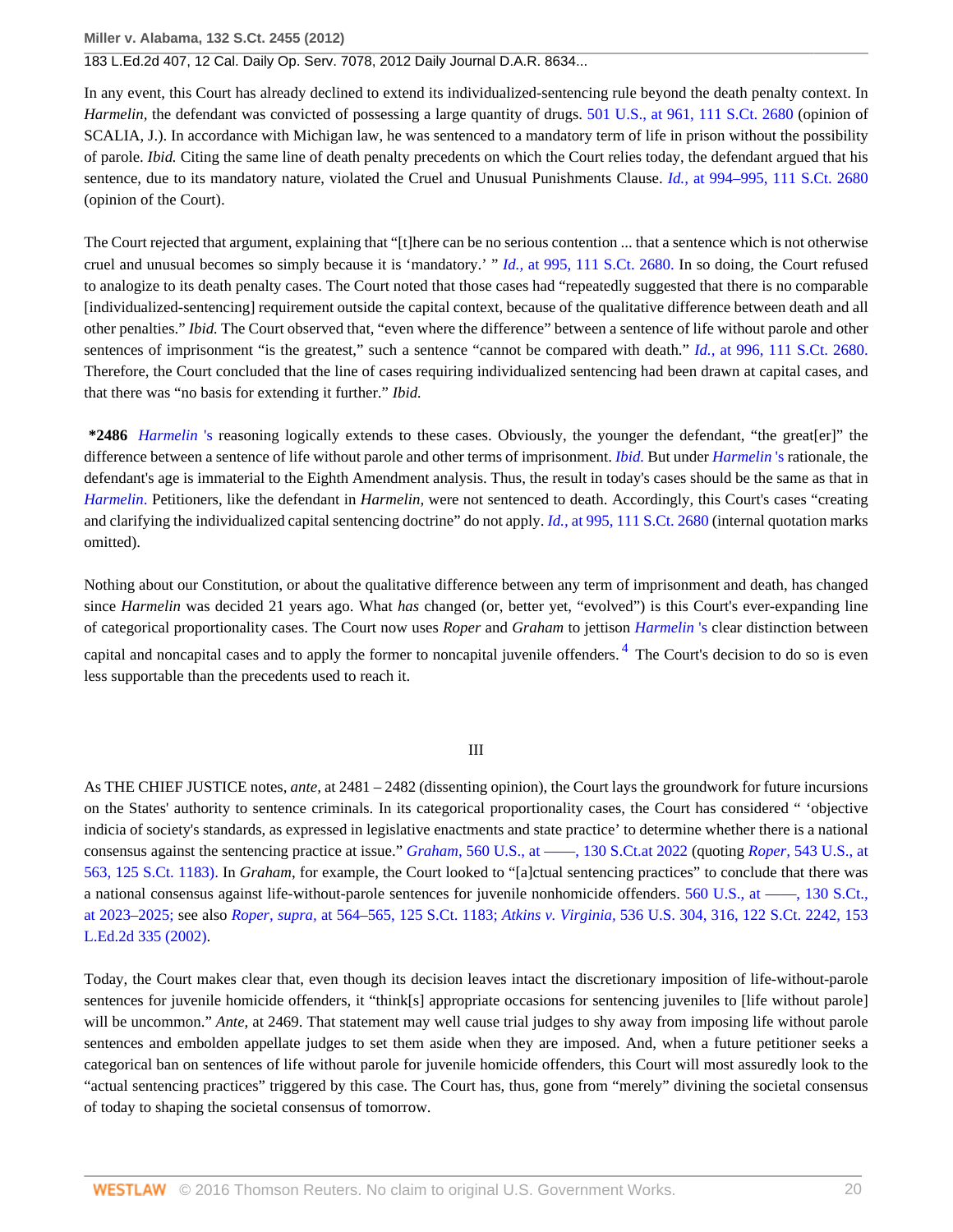183 L.Ed.2d 407, 12 Cal. Daily Op. Serv. 7078, 2012 Daily Journal D.A.R. 8634...

In any event, this Court has already declined to extend its individualized-sentencing rule beyond the death penalty context. In *Harmelin,* the defendant was convicted of possessing a large quantity of drugs. [501 U.S., at 961, 111 S.Ct. 2680](http://www.westlaw.com/Link/Document/FullText?findType=Y&serNum=1991116023&pubNum=0000708&originatingDoc=Iec8a7df1beb611e1b343c837631e1747&refType=RP&originationContext=document&vr=3.0&rs=cblt1.0&transitionType=DocumentItem&contextData=(sc.Search)) (opinion of SCALIA, J.). In accordance with Michigan law, he was sentenced to a mandatory term of life in prison without the possibility of parole. *Ibid.* Citing the same line of death penalty precedents on which the Court relies today, the defendant argued that his sentence, due to its mandatory nature, violated the Cruel and Unusual Punishments Clause. *Id.,* [at 994–995, 111 S.Ct. 2680](http://www.westlaw.com/Link/Document/FullText?findType=Y&serNum=1991116023&pubNum=708&originatingDoc=Iec8a7df1beb611e1b343c837631e1747&refType=RP&originationContext=document&vr=3.0&rs=cblt1.0&transitionType=DocumentItem&contextData=(sc.Search)) (opinion of the Court).

The Court rejected that argument, explaining that "[t]here can be no serious contention ... that a sentence which is not otherwise cruel and unusual becomes so simply because it is 'mandatory.' " *Id.,* [at 995, 111 S.Ct. 2680.](http://www.westlaw.com/Link/Document/FullText?findType=Y&serNum=1991116023&pubNum=708&originatingDoc=Iec8a7df1beb611e1b343c837631e1747&refType=RP&originationContext=document&vr=3.0&rs=cblt1.0&transitionType=DocumentItem&contextData=(sc.Search)) In so doing, the Court refused to analogize to its death penalty cases. The Court noted that those cases had "repeatedly suggested that there is no comparable [individualized-sentencing] requirement outside the capital context, because of the qualitative difference between death and all other penalties." *Ibid.* The Court observed that, "even where the difference" between a sentence of life without parole and other sentences of imprisonment "is the greatest," such a sentence "cannot be compared with death." *Id.,* [at 996, 111 S.Ct. 2680.](http://www.westlaw.com/Link/Document/FullText?findType=Y&serNum=1991116023&pubNum=708&originatingDoc=Iec8a7df1beb611e1b343c837631e1747&refType=RP&originationContext=document&vr=3.0&rs=cblt1.0&transitionType=DocumentItem&contextData=(sc.Search)) Therefore, the Court concluded that the line of cases requiring individualized sentencing had been drawn at capital cases, and that there was "no basis for extending it further." *Ibid.*

**\*2486** *[Harmelin](http://www.westlaw.com/Link/Document/FullText?findType=Y&serNum=1991116023&originatingDoc=Iec8a7df1beb611e1b343c837631e1747&refType=RP&originationContext=document&vr=3.0&rs=cblt1.0&transitionType=DocumentItem&contextData=(sc.Search))* 's reasoning logically extends to these cases. Obviously, the younger the defendant, "the great[er]" the difference between a sentence of life without parole and other terms of imprisonment. *[Ibid.](http://www.westlaw.com/Link/Document/FullText?findType=Y&serNum=1991116023&originatingDoc=Iec8a7df1beb611e1b343c837631e1747&refType=RP&originationContext=document&vr=3.0&rs=cblt1.0&transitionType=DocumentItem&contextData=(sc.Search))* But under *[Harmelin](http://www.westlaw.com/Link/Document/FullText?findType=Y&serNum=1991116023&originatingDoc=Iec8a7df1beb611e1b343c837631e1747&refType=RP&originationContext=document&vr=3.0&rs=cblt1.0&transitionType=DocumentItem&contextData=(sc.Search))* 's rationale, the defendant's age is immaterial to the Eighth Amendment analysis. Thus, the result in today's cases should be the same as that in *[Harmelin](http://www.westlaw.com/Link/Document/FullText?findType=Y&serNum=1991116023&originatingDoc=Iec8a7df1beb611e1b343c837631e1747&refType=RP&originationContext=document&vr=3.0&rs=cblt1.0&transitionType=DocumentItem&contextData=(sc.Search))*. Petitioners, like the defendant in *Harmelin,* were not sentenced to death. Accordingly, this Court's cases "creating and clarifying the individualized capital sentencing doctrine" do not apply. *Id.,* [at 995, 111 S.Ct. 2680](http://www.westlaw.com/Link/Document/FullText?findType=Y&serNum=1991116023&pubNum=708&originatingDoc=Iec8a7df1beb611e1b343c837631e1747&refType=RP&originationContext=document&vr=3.0&rs=cblt1.0&transitionType=DocumentItem&contextData=(sc.Search)) (internal quotation marks omitted).

Nothing about our Constitution, or about the qualitative difference between any term of imprisonment and death, has changed since *Harmelin* was decided 21 years ago. What *has* changed (or, better yet, "evolved") is this Court's ever-expanding line of categorical proportionality cases. The Court now uses *Roper* and *Graham* to jettison *[Harmelin](http://www.westlaw.com/Link/Document/FullText?findType=Y&serNum=1991116023&originatingDoc=Iec8a7df1beb611e1b343c837631e1747&refType=RP&originationContext=document&vr=3.0&rs=cblt1.0&transitionType=DocumentItem&contextData=(sc.Search))* 's clear distinction between capital and noncapital cases and to apply the former to noncapital juvenile offenders.<sup>[4](#page-25-5)</sup> The Court's decision to do so is even less supportable than the precedents used to reach it.

# <span id="page-19-0"></span>III

As THE CHIEF JUSTICE notes, *ante,* at 2481 – 2482 (dissenting opinion), the Court lays the groundwork for future incursions on the States' authority to sentence criminals. In its categorical proportionality cases, the Court has considered " 'objective indicia of society's standards, as expressed in legislative enactments and state practice' to determine whether there is a national consensus against the sentencing practice at issue." *Graham,* [560 U.S., at ––––, 130 S.Ct.at 2022](http://www.westlaw.com/Link/Document/FullText?findType=Y&serNum=2022052221&pubNum=708&originatingDoc=Iec8a7df1beb611e1b343c837631e1747&refType=RP&fi=co_pp_sp_708_2022&originationContext=document&vr=3.0&rs=cblt1.0&transitionType=DocumentItem&contextData=(sc.Search)#co_pp_sp_708_2022) (quoting *Roper,* [543 U.S., at](http://www.westlaw.com/Link/Document/FullText?findType=Y&serNum=2006291922&pubNum=708&originatingDoc=Iec8a7df1beb611e1b343c837631e1747&refType=RP&originationContext=document&vr=3.0&rs=cblt1.0&transitionType=DocumentItem&contextData=(sc.Search)) [563, 125 S.Ct. 1183\).](http://www.westlaw.com/Link/Document/FullText?findType=Y&serNum=2006291922&pubNum=708&originatingDoc=Iec8a7df1beb611e1b343c837631e1747&refType=RP&originationContext=document&vr=3.0&rs=cblt1.0&transitionType=DocumentItem&contextData=(sc.Search)) In *Graham*, for example, the Court looked to "[a]ctual sentencing practices" to conclude that there was a national consensus against life-without-parole sentences for juvenile nonhomicide offenders. 560 U.S., at ——, 130 S.Ct., [at 2023–2025;](http://www.westlaw.com/Link/Document/FullText?findType=Y&serNum=2022052221&pubNum=708&originatingDoc=Iec8a7df1beb611e1b343c837631e1747&refType=RP&fi=co_pp_sp_708_2023&originationContext=document&vr=3.0&rs=cblt1.0&transitionType=DocumentItem&contextData=(sc.Search)#co_pp_sp_708_2023) see also *Roper, supra,* [at 564–565, 125 S.Ct. 1183;](http://www.westlaw.com/Link/Document/FullText?findType=Y&serNum=2006291922&pubNum=708&originatingDoc=Iec8a7df1beb611e1b343c837631e1747&refType=RP&originationContext=document&vr=3.0&rs=cblt1.0&transitionType=DocumentItem&contextData=(sc.Search)) *Atkins v. Virginia,* [536 U.S. 304, 316, 122 S.Ct. 2242, 153](http://www.westlaw.com/Link/Document/FullText?findType=Y&serNum=2002381685&pubNum=0000708&originatingDoc=Iec8a7df1beb611e1b343c837631e1747&refType=RP&originationContext=document&vr=3.0&rs=cblt1.0&transitionType=DocumentItem&contextData=(sc.Search)) [L.Ed.2d 335 \(2002\).](http://www.westlaw.com/Link/Document/FullText?findType=Y&serNum=2002381685&pubNum=0000708&originatingDoc=Iec8a7df1beb611e1b343c837631e1747&refType=RP&originationContext=document&vr=3.0&rs=cblt1.0&transitionType=DocumentItem&contextData=(sc.Search))

Today, the Court makes clear that, even though its decision leaves intact the discretionary imposition of life-without-parole sentences for juvenile homicide offenders, it "think[s] appropriate occasions for sentencing juveniles to [life without parole] will be uncommon." *Ante*, at 2469. That statement may well cause trial judges to shy away from imposing life without parole sentences and embolden appellate judges to set them aside when they are imposed. And, when a future petitioner seeks a categorical ban on sentences of life without parole for juvenile homicide offenders, this Court will most assuredly look to the "actual sentencing practices" triggered by this case. The Court has, thus, gone from "merely" divining the societal consensus of today to shaping the societal consensus of tomorrow.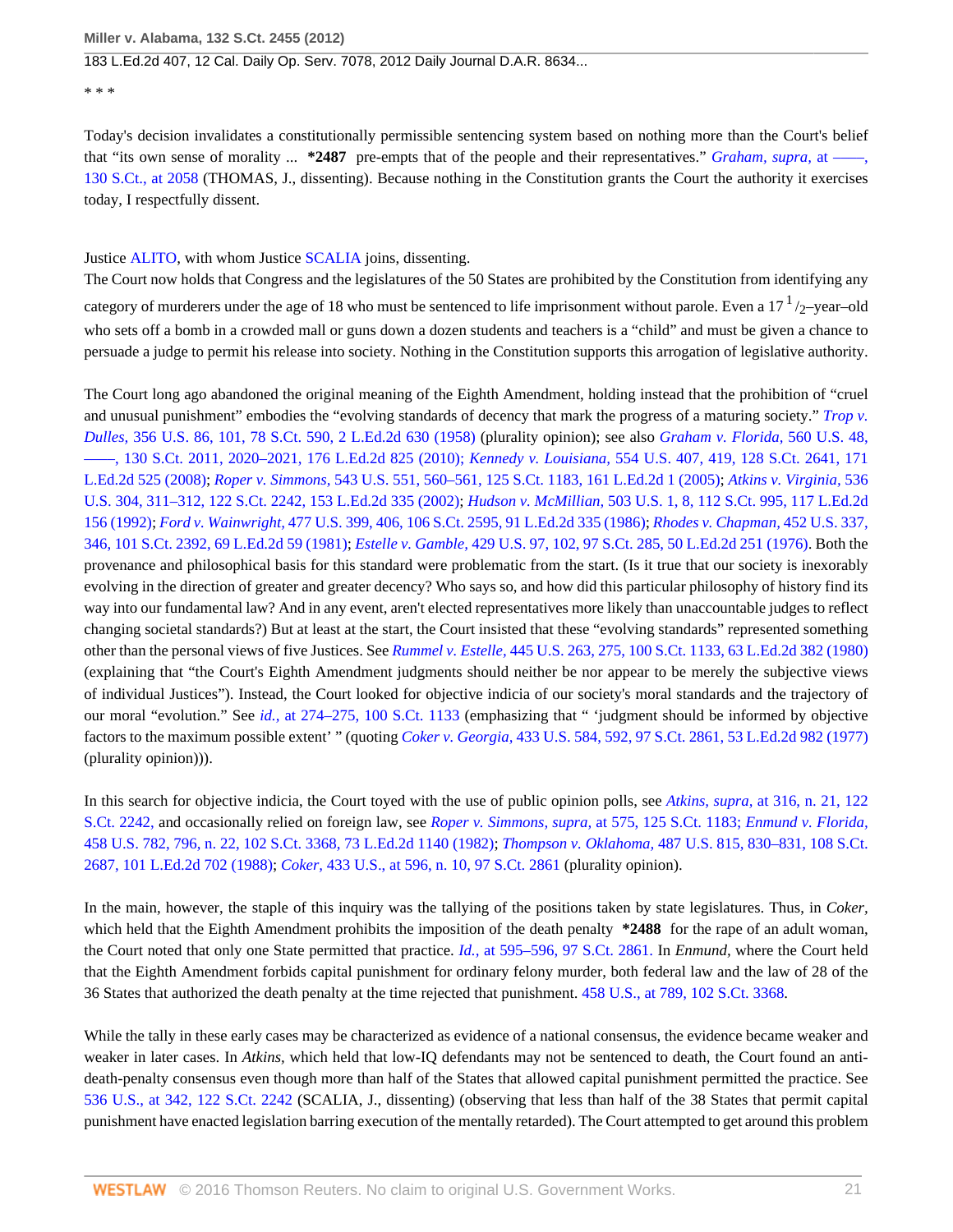183 L.Ed.2d 407, 12 Cal. Daily Op. Serv. 7078, 2012 Daily Journal D.A.R. 8634...

\* \* \*

Today's decision invalidates a constitutionally permissible sentencing system based on nothing more than the Court's belief that "its own sense of morality ... **\*2487** pre-empts that of the people and their representatives." *[Graham, supra,](http://www.westlaw.com/Link/Document/FullText?findType=Y&serNum=2022052221&pubNum=0000708&originatingDoc=Iec8a7df1beb611e1b343c837631e1747&refType=RP&fi=co_pp_sp_708_2058&originationContext=document&vr=3.0&rs=cblt1.0&transitionType=DocumentItem&contextData=(sc.Search)#co_pp_sp_708_2058)* at ––––, [130 S.Ct., at 2058](http://www.westlaw.com/Link/Document/FullText?findType=Y&serNum=2022052221&pubNum=0000708&originatingDoc=Iec8a7df1beb611e1b343c837631e1747&refType=RP&fi=co_pp_sp_708_2058&originationContext=document&vr=3.0&rs=cblt1.0&transitionType=DocumentItem&contextData=(sc.Search)#co_pp_sp_708_2058) (THOMAS, J., dissenting). Because nothing in the Constitution grants the Court the authority it exercises today, I respectfully dissent.

# Justice [ALITO,](http://www.westlaw.com/Link/Document/FullText?findType=h&pubNum=176284&cite=0153052401&originatingDoc=Iec8a7df1beb611e1b343c837631e1747&refType=RQ&originationContext=document&vr=3.0&rs=cblt1.0&transitionType=DocumentItem&contextData=(sc.Search)) with whom Justice [SCALIA](http://www.westlaw.com/Link/Document/FullText?findType=h&pubNum=176284&cite=0254763301&originatingDoc=Iec8a7df1beb611e1b343c837631e1747&refType=RQ&originationContext=document&vr=3.0&rs=cblt1.0&transitionType=DocumentItem&contextData=(sc.Search)) joins, dissenting.

The Court now holds that Congress and the legislatures of the 50 States are prohibited by the Constitution from identifying any category of murderers under the age of 18 who must be sentenced to life imprisonment without parole. Even a 17  $^1/_2$ –year–old who sets off a bomb in a crowded mall or guns down a dozen students and teachers is a "child" and must be given a chance to persuade a judge to permit his release into society. Nothing in the Constitution supports this arrogation of legislative authority.

The Court long ago abandoned the original meaning of the Eighth Amendment, holding instead that the prohibition of "cruel and unusual punishment" embodies the "evolving standards of decency that mark the progress of a maturing society." *[Trop v.](http://www.westlaw.com/Link/Document/FullText?findType=Y&serNum=1958121425&pubNum=0000708&originatingDoc=Iec8a7df1beb611e1b343c837631e1747&refType=RP&originationContext=document&vr=3.0&rs=cblt1.0&transitionType=DocumentItem&contextData=(sc.Search)) Dulles,* [356 U.S. 86, 101, 78 S.Ct. 590, 2 L.Ed.2d 630 \(1958\)](http://www.westlaw.com/Link/Document/FullText?findType=Y&serNum=1958121425&pubNum=0000708&originatingDoc=Iec8a7df1beb611e1b343c837631e1747&refType=RP&originationContext=document&vr=3.0&rs=cblt1.0&transitionType=DocumentItem&contextData=(sc.Search)) (plurality opinion); see also *[Graham v. Florida,](http://www.westlaw.com/Link/Document/FullText?findType=Y&serNum=2022052221&pubNum=708&originatingDoc=Iec8a7df1beb611e1b343c837631e1747&refType=RP&fi=co_pp_sp_708_2020&originationContext=document&vr=3.0&rs=cblt1.0&transitionType=DocumentItem&contextData=(sc.Search)#co_pp_sp_708_2020)* 560 U.S. 48, [––––, 130 S.Ct. 2011, 2020–2021, 176 L.Ed.2d 825 \(2010\);](http://www.westlaw.com/Link/Document/FullText?findType=Y&serNum=2022052221&pubNum=708&originatingDoc=Iec8a7df1beb611e1b343c837631e1747&refType=RP&fi=co_pp_sp_708_2020&originationContext=document&vr=3.0&rs=cblt1.0&transitionType=DocumentItem&contextData=(sc.Search)#co_pp_sp_708_2020) *Kennedy v. Louisiana,* [554 U.S. 407, 419, 128 S.Ct. 2641, 171](http://www.westlaw.com/Link/Document/FullText?findType=Y&serNum=2016379544&pubNum=0000708&originatingDoc=Iec8a7df1beb611e1b343c837631e1747&refType=RP&originationContext=document&vr=3.0&rs=cblt1.0&transitionType=DocumentItem&contextData=(sc.Search)) [L.Ed.2d 525 \(2008\);](http://www.westlaw.com/Link/Document/FullText?findType=Y&serNum=2016379544&pubNum=0000708&originatingDoc=Iec8a7df1beb611e1b343c837631e1747&refType=RP&originationContext=document&vr=3.0&rs=cblt1.0&transitionType=DocumentItem&contextData=(sc.Search)) *Roper v. Simmons,* [543 U.S. 551, 560–561, 125 S.Ct. 1183, 161 L.Ed.2d 1 \(2005\);](http://www.westlaw.com/Link/Document/FullText?findType=Y&serNum=2006291922&pubNum=0000708&originatingDoc=Iec8a7df1beb611e1b343c837631e1747&refType=RP&originationContext=document&vr=3.0&rs=cblt1.0&transitionType=DocumentItem&contextData=(sc.Search)) *[Atkins v. Virginia,](http://www.westlaw.com/Link/Document/FullText?findType=Y&serNum=2002381685&pubNum=0000708&originatingDoc=Iec8a7df1beb611e1b343c837631e1747&refType=RP&originationContext=document&vr=3.0&rs=cblt1.0&transitionType=DocumentItem&contextData=(sc.Search))* 536 [U.S. 304, 311–312, 122 S.Ct. 2242, 153 L.Ed.2d 335 \(2002\)](http://www.westlaw.com/Link/Document/FullText?findType=Y&serNum=2002381685&pubNum=0000708&originatingDoc=Iec8a7df1beb611e1b343c837631e1747&refType=RP&originationContext=document&vr=3.0&rs=cblt1.0&transitionType=DocumentItem&contextData=(sc.Search)); *Hudson v. McMillian,* [503 U.S. 1, 8, 112 S.Ct. 995, 117 L.Ed.2d](http://www.westlaw.com/Link/Document/FullText?findType=Y&serNum=1992046037&pubNum=0000708&originatingDoc=Iec8a7df1beb611e1b343c837631e1747&refType=RP&originationContext=document&vr=3.0&rs=cblt1.0&transitionType=DocumentItem&contextData=(sc.Search)) [156 \(1992\);](http://www.westlaw.com/Link/Document/FullText?findType=Y&serNum=1992046037&pubNum=0000708&originatingDoc=Iec8a7df1beb611e1b343c837631e1747&refType=RP&originationContext=document&vr=3.0&rs=cblt1.0&transitionType=DocumentItem&contextData=(sc.Search)) *Ford v. Wainwright,* [477 U.S. 399, 406, 106 S.Ct. 2595, 91 L.Ed.2d 335 \(1986\);](http://www.westlaw.com/Link/Document/FullText?findType=Y&serNum=1986132787&pubNum=0000708&originatingDoc=Iec8a7df1beb611e1b343c837631e1747&refType=RP&originationContext=document&vr=3.0&rs=cblt1.0&transitionType=DocumentItem&contextData=(sc.Search)) *[Rhodes v. Chapman,](http://www.westlaw.com/Link/Document/FullText?findType=Y&serNum=1981126308&pubNum=0000708&originatingDoc=Iec8a7df1beb611e1b343c837631e1747&refType=RP&originationContext=document&vr=3.0&rs=cblt1.0&transitionType=DocumentItem&contextData=(sc.Search))* 452 U.S. 337, [346, 101 S.Ct. 2392, 69 L.Ed.2d 59 \(1981\)](http://www.westlaw.com/Link/Document/FullText?findType=Y&serNum=1981126308&pubNum=0000708&originatingDoc=Iec8a7df1beb611e1b343c837631e1747&refType=RP&originationContext=document&vr=3.0&rs=cblt1.0&transitionType=DocumentItem&contextData=(sc.Search)); *Estelle v. Gamble,* [429 U.S. 97, 102, 97 S.Ct. 285, 50 L.Ed.2d 251 \(1976\)](http://www.westlaw.com/Link/Document/FullText?findType=Y&serNum=1976141341&pubNum=0000708&originatingDoc=Iec8a7df1beb611e1b343c837631e1747&refType=RP&originationContext=document&vr=3.0&rs=cblt1.0&transitionType=DocumentItem&contextData=(sc.Search)). Both the provenance and philosophical basis for this standard were problematic from the start. (Is it true that our society is inexorably evolving in the direction of greater and greater decency? Who says so, and how did this particular philosophy of history find its way into our fundamental law? And in any event, aren't elected representatives more likely than unaccountable judges to reflect changing societal standards?) But at least at the start, the Court insisted that these "evolving standards" represented something other than the personal views of five Justices. See *Rummel v. Estelle,* [445 U.S. 263, 275, 100 S.Ct. 1133, 63 L.Ed.2d 382 \(1980\)](http://www.westlaw.com/Link/Document/FullText?findType=Y&serNum=1980105865&pubNum=0000708&originatingDoc=Iec8a7df1beb611e1b343c837631e1747&refType=RP&originationContext=document&vr=3.0&rs=cblt1.0&transitionType=DocumentItem&contextData=(sc.Search)) (explaining that "the Court's Eighth Amendment judgments should neither be nor appear to be merely the subjective views of individual Justices"). Instead, the Court looked for objective indicia of our society's moral standards and the trajectory of our moral "evolution." See *id.,* [at 274–275, 100 S.Ct. 1133](http://www.westlaw.com/Link/Document/FullText?findType=Y&serNum=1980105865&pubNum=708&originatingDoc=Iec8a7df1beb611e1b343c837631e1747&refType=RP&originationContext=document&vr=3.0&rs=cblt1.0&transitionType=DocumentItem&contextData=(sc.Search)) (emphasizing that " 'judgment should be informed by objective factors to the maximum possible extent' " (quoting *Coker v. Georgia,* [433 U.S. 584, 592, 97 S.Ct. 2861, 53 L.Ed.2d 982 \(1977\)](http://www.westlaw.com/Link/Document/FullText?findType=Y&serNum=1977118847&pubNum=0000708&originatingDoc=Iec8a7df1beb611e1b343c837631e1747&refType=RP&originationContext=document&vr=3.0&rs=cblt1.0&transitionType=DocumentItem&contextData=(sc.Search)) (plurality opinion))).

In this search for objective indicia, the Court toyed with the use of public opinion polls, see *Atkins, supra,* [at 316, n. 21, 122](http://www.westlaw.com/Link/Document/FullText?findType=Y&serNum=2002381685&pubNum=708&originatingDoc=Iec8a7df1beb611e1b343c837631e1747&refType=RP&originationContext=document&vr=3.0&rs=cblt1.0&transitionType=DocumentItem&contextData=(sc.Search)) [S.Ct. 2242,](http://www.westlaw.com/Link/Document/FullText?findType=Y&serNum=2002381685&pubNum=708&originatingDoc=Iec8a7df1beb611e1b343c837631e1747&refType=RP&originationContext=document&vr=3.0&rs=cblt1.0&transitionType=DocumentItem&contextData=(sc.Search)) and occasionally relied on foreign law, see *Roper v. Simmons, supra,* [at 575, 125 S.Ct. 1183;](http://www.westlaw.com/Link/Document/FullText?findType=Y&serNum=2006291922&pubNum=708&originatingDoc=Iec8a7df1beb611e1b343c837631e1747&refType=RP&originationContext=document&vr=3.0&rs=cblt1.0&transitionType=DocumentItem&contextData=(sc.Search)) *[Enmund v. Florida,](http://www.westlaw.com/Link/Document/FullText?findType=Y&serNum=1982130117&pubNum=0000708&originatingDoc=Iec8a7df1beb611e1b343c837631e1747&refType=RP&originationContext=document&vr=3.0&rs=cblt1.0&transitionType=DocumentItem&contextData=(sc.Search))* [458 U.S. 782, 796, n. 22, 102 S.Ct. 3368, 73 L.Ed.2d 1140 \(1982\);](http://www.westlaw.com/Link/Document/FullText?findType=Y&serNum=1982130117&pubNum=0000708&originatingDoc=Iec8a7df1beb611e1b343c837631e1747&refType=RP&originationContext=document&vr=3.0&rs=cblt1.0&transitionType=DocumentItem&contextData=(sc.Search)) *Thompson v. Oklahoma,* [487 U.S. 815, 830–831, 108 S.Ct.](http://www.westlaw.com/Link/Document/FullText?findType=Y&serNum=1988084195&pubNum=0000708&originatingDoc=Iec8a7df1beb611e1b343c837631e1747&refType=RP&originationContext=document&vr=3.0&rs=cblt1.0&transitionType=DocumentItem&contextData=(sc.Search)) [2687, 101 L.Ed.2d 702 \(1988\)](http://www.westlaw.com/Link/Document/FullText?findType=Y&serNum=1988084195&pubNum=0000708&originatingDoc=Iec8a7df1beb611e1b343c837631e1747&refType=RP&originationContext=document&vr=3.0&rs=cblt1.0&transitionType=DocumentItem&contextData=(sc.Search)); *Coker,* [433 U.S., at 596, n. 10, 97 S.Ct. 2861](http://www.westlaw.com/Link/Document/FullText?findType=Y&serNum=1977118847&pubNum=0000708&originatingDoc=Iec8a7df1beb611e1b343c837631e1747&refType=RP&originationContext=document&vr=3.0&rs=cblt1.0&transitionType=DocumentItem&contextData=(sc.Search)) (plurality opinion).

In the main, however, the staple of this inquiry was the tallying of the positions taken by state legislatures. Thus, in *Coker,* which held that the Eighth Amendment prohibits the imposition of the death penalty **\*2488** for the rape of an adult woman, the Court noted that only one State permitted that practice. *Id.,* [at 595–596, 97 S.Ct. 2861.](http://www.westlaw.com/Link/Document/FullText?findType=Y&serNum=1977118847&pubNum=708&originatingDoc=Iec8a7df1beb611e1b343c837631e1747&refType=RP&originationContext=document&vr=3.0&rs=cblt1.0&transitionType=DocumentItem&contextData=(sc.Search)) In *Enmund,* where the Court held that the Eighth Amendment forbids capital punishment for ordinary felony murder, both federal law and the law of 28 of the 36 States that authorized the death penalty at the time rejected that punishment. [458 U.S., at 789, 102 S.Ct. 3368.](http://www.westlaw.com/Link/Document/FullText?findType=Y&serNum=1982130117&pubNum=0000708&originatingDoc=Iec8a7df1beb611e1b343c837631e1747&refType=RP&originationContext=document&vr=3.0&rs=cblt1.0&transitionType=DocumentItem&contextData=(sc.Search))

While the tally in these early cases may be characterized as evidence of a national consensus, the evidence became weaker and weaker in later cases. In *Atkins,* which held that low-IQ defendants may not be sentenced to death, the Court found an antideath-penalty consensus even though more than half of the States that allowed capital punishment permitted the practice. See [536 U.S., at 342, 122 S.Ct. 2242](http://www.westlaw.com/Link/Document/FullText?findType=Y&serNum=2002381685&pubNum=0000708&originatingDoc=Iec8a7df1beb611e1b343c837631e1747&refType=RP&originationContext=document&vr=3.0&rs=cblt1.0&transitionType=DocumentItem&contextData=(sc.Search)) (SCALIA, J., dissenting) (observing that less than half of the 38 States that permit capital punishment have enacted legislation barring execution of the mentally retarded). The Court attempted to get around this problem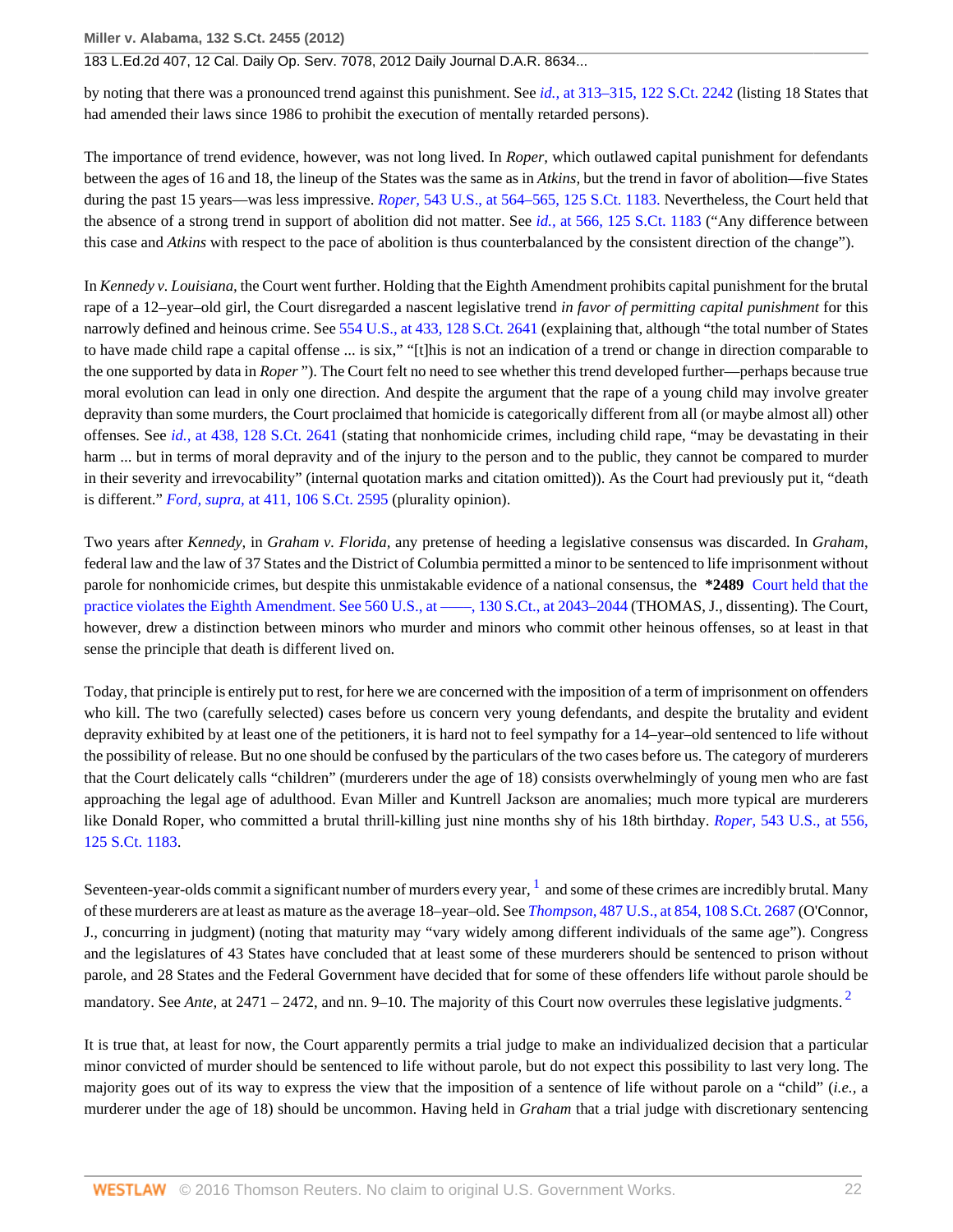by noting that there was a pronounced trend against this punishment. See *id.,* [at 313–315, 122 S.Ct. 2242](http://www.westlaw.com/Link/Document/FullText?findType=Y&serNum=2002381685&pubNum=708&originatingDoc=Iec8a7df1beb611e1b343c837631e1747&refType=RP&originationContext=document&vr=3.0&rs=cblt1.0&transitionType=DocumentItem&contextData=(sc.Search)) (listing 18 States that had amended their laws since 1986 to prohibit the execution of mentally retarded persons).

The importance of trend evidence, however, was not long lived. In *Roper,* which outlawed capital punishment for defendants between the ages of 16 and 18, the lineup of the States was the same as in *Atkins,* but the trend in favor of abolition—five States during the past 15 years—was less impressive. *Roper,* [543 U.S., at 564–565, 125 S.Ct. 1183.](http://www.westlaw.com/Link/Document/FullText?findType=Y&serNum=2006291922&pubNum=708&originatingDoc=Iec8a7df1beb611e1b343c837631e1747&refType=RP&originationContext=document&vr=3.0&rs=cblt1.0&transitionType=DocumentItem&contextData=(sc.Search)) Nevertheless, the Court held that the absence of a strong trend in support of abolition did not matter. See *id.,* [at 566, 125 S.Ct. 1183](http://www.westlaw.com/Link/Document/FullText?findType=Y&serNum=2006291922&pubNum=708&originatingDoc=Iec8a7df1beb611e1b343c837631e1747&refType=RP&originationContext=document&vr=3.0&rs=cblt1.0&transitionType=DocumentItem&contextData=(sc.Search)) ("Any difference between this case and *Atkins* with respect to the pace of abolition is thus counterbalanced by the consistent direction of the change").

In *Kennedy v. Louisiana,* the Court went further. Holding that the Eighth Amendment prohibits capital punishment for the brutal rape of a 12–year–old girl, the Court disregarded a nascent legislative trend *in favor of permitting capital punishment* for this narrowly defined and heinous crime. See [554 U.S., at 433, 128 S.Ct. 2641](http://www.westlaw.com/Link/Document/FullText?findType=Y&serNum=2016379544&pubNum=0000708&originatingDoc=Iec8a7df1beb611e1b343c837631e1747&refType=RP&originationContext=document&vr=3.0&rs=cblt1.0&transitionType=DocumentItem&contextData=(sc.Search)) (explaining that, although "the total number of States to have made child rape a capital offense ... is six," "[t]his is not an indication of a trend or change in direction comparable to the one supported by data in *Roper* "). The Court felt no need to see whether this trend developed further—perhaps because true moral evolution can lead in only one direction. And despite the argument that the rape of a young child may involve greater depravity than some murders, the Court proclaimed that homicide is categorically different from all (or maybe almost all) other offenses. See *id.,* [at 438, 128 S.Ct. 2641](http://www.westlaw.com/Link/Document/FullText?findType=Y&serNum=2016379544&pubNum=708&originatingDoc=Iec8a7df1beb611e1b343c837631e1747&refType=RP&originationContext=document&vr=3.0&rs=cblt1.0&transitionType=DocumentItem&contextData=(sc.Search)) (stating that nonhomicide crimes, including child rape, "may be devastating in their harm ... but in terms of moral depravity and of the injury to the person and to the public, they cannot be compared to murder in their severity and irrevocability" (internal quotation marks and citation omitted)). As the Court had previously put it, "death is different." *Ford, supra,* [at 411, 106 S.Ct. 2595](http://www.westlaw.com/Link/Document/FullText?findType=Y&serNum=1986132787&pubNum=708&originatingDoc=Iec8a7df1beb611e1b343c837631e1747&refType=RP&originationContext=document&vr=3.0&rs=cblt1.0&transitionType=DocumentItem&contextData=(sc.Search)) (plurality opinion).

Two years after *Kennedy,* in *Graham v. Florida,* any pretense of heeding a legislative consensus was discarded. In *Graham*, federal law and the law of 37 States and the District of Columbia permitted a minor to be sentenced to life imprisonment without parole for nonhomicide crimes, but despite this unmistakable evidence of a national consensus, the **\*2489** [Court held that the](http://www.westlaw.com/Link/Document/FullText?findType=Y&serNum=2022052221&pubNum=0000708&originatingDoc=Iec8a7df1beb611e1b343c837631e1747&refType=RP&fi=co_pp_sp_708_2043&originationContext=document&vr=3.0&rs=cblt1.0&transitionType=DocumentItem&contextData=(sc.Search)#co_pp_sp_708_2043) practice violates the Eighth Amendment. See 560 U.S., at ——, 130 S.Ct., at 2043–2044 (THOMAS, J., dissenting). The Court, however, drew a distinction between minors who murder and minors who commit other heinous offenses, so at least in that sense the principle that death is different lived on.

Today, that principle is entirely put to rest, for here we are concerned with the imposition of a term of imprisonment on offenders who kill. The two (carefully selected) cases before us concern very young defendants, and despite the brutality and evident depravity exhibited by at least one of the petitioners, it is hard not to feel sympathy for a 14–year–old sentenced to life without the possibility of release. But no one should be confused by the particulars of the two cases before us. The category of murderers that the Court delicately calls "children" (murderers under the age of 18) consists overwhelmingly of young men who are fast approaching the legal age of adulthood. Evan Miller and Kuntrell Jackson are anomalies; much more typical are murderers like Donald Roper, who committed a brutal thrill-killing just nine months shy of his 18th birthday. *Roper,* [543 U.S., at 556,](http://www.westlaw.com/Link/Document/FullText?findType=Y&serNum=2006291922&pubNum=0000708&originatingDoc=Iec8a7df1beb611e1b343c837631e1747&refType=RP&originationContext=document&vr=3.0&rs=cblt1.0&transitionType=DocumentItem&contextData=(sc.Search)) [125 S.Ct. 1183](http://www.westlaw.com/Link/Document/FullText?findType=Y&serNum=2006291922&pubNum=0000708&originatingDoc=Iec8a7df1beb611e1b343c837631e1747&refType=RP&originationContext=document&vr=3.0&rs=cblt1.0&transitionType=DocumentItem&contextData=(sc.Search)).

<span id="page-21-0"></span>Seventeen-year-olds commit a significant number of murders every year,  $^1$  $^1$  and some of these crimes are incredibly brutal. Many of these murderers are at least as mature as the average 18–year–old. See *Thompson,* [487 U.S., at 854, 108 S.Ct. 2687](http://www.westlaw.com/Link/Document/FullText?findType=Y&serNum=1988084195&pubNum=0000708&originatingDoc=Iec8a7df1beb611e1b343c837631e1747&refType=RP&originationContext=document&vr=3.0&rs=cblt1.0&transitionType=DocumentItem&contextData=(sc.Search)) (O'Connor, J., concurring in judgment) (noting that maturity may "vary widely among different individuals of the same age"). Congress and the legislatures of 43 States have concluded that at least some of these murderers should be sentenced to prison without parole, and 28 States and the Federal Government have decided that for some of these offenders life without parole should be mandatory. See *Ante*, at [2](#page-25-7)471 – 2472, and nn. 9–10. The majority of this Court now overrules these legislative judgments. <sup>2</sup>

<span id="page-21-1"></span>It is true that, at least for now, the Court apparently permits a trial judge to make an individualized decision that a particular minor convicted of murder should be sentenced to life without parole, but do not expect this possibility to last very long. The majority goes out of its way to express the view that the imposition of a sentence of life without parole on a "child" (*i.e.,* a murderer under the age of 18) should be uncommon. Having held in *Graham* that a trial judge with discretionary sentencing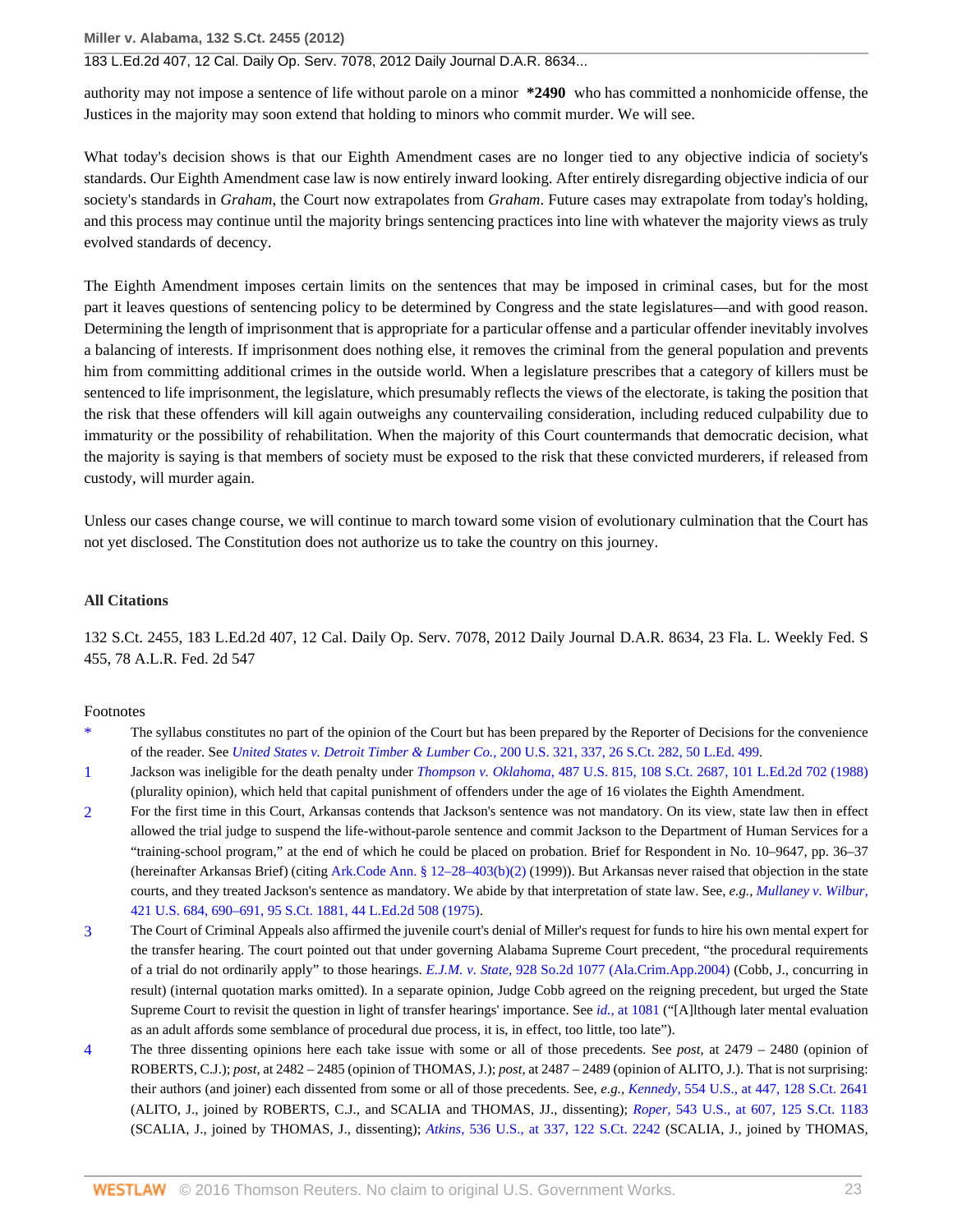# 183 L.Ed.2d 407, 12 Cal. Daily Op. Serv. 7078, 2012 Daily Journal D.A.R. 8634...

authority may not impose a sentence of life without parole on a minor **\*2490** who has committed a nonhomicide offense, the Justices in the majority may soon extend that holding to minors who commit murder. We will see.

What today's decision shows is that our Eighth Amendment cases are no longer tied to any objective indicia of society's standards. Our Eighth Amendment case law is now entirely inward looking. After entirely disregarding objective indicia of our society's standards in *Graham*, the Court now extrapolates from *Graham*. Future cases may extrapolate from today's holding, and this process may continue until the majority brings sentencing practices into line with whatever the majority views as truly evolved standards of decency.

The Eighth Amendment imposes certain limits on the sentences that may be imposed in criminal cases, but for the most part it leaves questions of sentencing policy to be determined by Congress and the state legislatures—and with good reason. Determining the length of imprisonment that is appropriate for a particular offense and a particular offender inevitably involves a balancing of interests. If imprisonment does nothing else, it removes the criminal from the general population and prevents him from committing additional crimes in the outside world. When a legislature prescribes that a category of killers must be sentenced to life imprisonment, the legislature, which presumably reflects the views of the electorate, is taking the position that the risk that these offenders will kill again outweighs any countervailing consideration, including reduced culpability due to immaturity or the possibility of rehabilitation. When the majority of this Court countermands that democratic decision, what the majority is saying is that members of society must be exposed to the risk that these convicted murderers, if released from custody, will murder again.

Unless our cases change course, we will continue to march toward some vision of evolutionary culmination that the Court has not yet disclosed. The Constitution does not authorize us to take the country on this journey.

# **All Citations**

132 S.Ct. 2455, 183 L.Ed.2d 407, 12 Cal. Daily Op. Serv. 7078, 2012 Daily Journal D.A.R. 8634, 23 Fla. L. Weekly Fed. S 455, 78 A.L.R. Fed. 2d 547

### Footnotes

- <span id="page-22-0"></span>[\\*](#page-1-0) The syllabus constitutes no part of the opinion of the Court but has been prepared by the Reporter of Decisions for the convenience of the reader. See *[United States v. Detroit Timber & Lumber Co.,](http://www.westlaw.com/Link/Document/FullText?findType=Y&serNum=1906101604&pubNum=0000708&originatingDoc=Iec8a7df1beb611e1b343c837631e1747&refType=RP&originationContext=document&vr=3.0&rs=cblt1.0&transitionType=DocumentItem&contextData=(sc.Search))* 200 U.S. 321, 337, 26 S.Ct. 282, 50 L.Ed. 499.
- <span id="page-22-1"></span>[1](#page-4-0) Jackson was ineligible for the death penalty under *Thompson v. Oklahoma,* [487 U.S. 815, 108 S.Ct. 2687, 101 L.Ed.2d 702 \(1988\)](http://www.westlaw.com/Link/Document/FullText?findType=Y&serNum=1988084195&pubNum=0000708&originatingDoc=Iec8a7df1beb611e1b343c837631e1747&refType=RP&originationContext=document&vr=3.0&rs=cblt1.0&transitionType=DocumentItem&contextData=(sc.Search)) (plurality opinion), which held that capital punishment of offenders under the age of 16 violates the Eighth Amendment.
- <span id="page-22-2"></span>[2](#page-4-1) For the first time in this Court, Arkansas contends that Jackson's sentence was not mandatory. On its view, state law then in effect allowed the trial judge to suspend the life-without-parole sentence and commit Jackson to the Department of Human Services for a "training-school program," at the end of which he could be placed on probation. Brief for Respondent in No. 10–9647, pp. 36–37 (hereinafter Arkansas Brief) (citing [Ark.Code Ann. § 12–28–403\(b\)\(2\)](http://www.westlaw.com/Link/Document/FullText?findType=L&pubNum=1000004&cite=ARSTS12-28-403&originatingDoc=Iec8a7df1beb611e1b343c837631e1747&refType=LQ&originationContext=document&vr=3.0&rs=cblt1.0&transitionType=DocumentItem&contextData=(sc.Search)) (1999)). But Arkansas never raised that objection in the state courts, and they treated Jackson's sentence as mandatory. We abide by that interpretation of state law. See, *e.g., [Mullaney v. Wilbur,](http://www.westlaw.com/Link/Document/FullText?findType=Y&serNum=1975129799&pubNum=0000708&originatingDoc=Iec8a7df1beb611e1b343c837631e1747&refType=RP&originationContext=document&vr=3.0&rs=cblt1.0&transitionType=DocumentItem&contextData=(sc.Search))* [421 U.S. 684, 690–691, 95 S.Ct. 1881, 44 L.Ed.2d 508 \(1975\)](http://www.westlaw.com/Link/Document/FullText?findType=Y&serNum=1975129799&pubNum=0000708&originatingDoc=Iec8a7df1beb611e1b343c837631e1747&refType=RP&originationContext=document&vr=3.0&rs=cblt1.0&transitionType=DocumentItem&contextData=(sc.Search)).
- <span id="page-22-3"></span>[3](#page-5-0) The Court of Criminal Appeals also affirmed the juvenile court's denial of Miller's request for funds to hire his own mental expert for the transfer hearing. The court pointed out that under governing Alabama Supreme Court precedent, "the procedural requirements of a trial do not ordinarily apply" to those hearings. *E.J.M. v. State,* [928 So.2d 1077 \(Ala.Crim.App.2004\)](http://www.westlaw.com/Link/Document/FullText?findType=Y&serNum=2004952558&pubNum=0000735&originatingDoc=Iec8a7df1beb611e1b343c837631e1747&refType=RP&originationContext=document&vr=3.0&rs=cblt1.0&transitionType=DocumentItem&contextData=(sc.Search)) (Cobb, J., concurring in result) (internal quotation marks omitted). In a separate opinion, Judge Cobb agreed on the reigning precedent, but urged the State Supreme Court to revisit the question in light of transfer hearings' importance. See *id.,* [at 1081](http://www.westlaw.com/Link/Document/FullText?findType=Y&serNum=2004952558&pubNum=0000735&originatingDoc=Iec8a7df1beb611e1b343c837631e1747&refType=RP&fi=co_pp_sp_735_1081&originationContext=document&vr=3.0&rs=cblt1.0&transitionType=DocumentItem&contextData=(sc.Search)#co_pp_sp_735_1081) ("[A]lthough later mental evaluation as an adult affords some semblance of procedural due process, it is, in effect, too little, too late").
- <span id="page-22-4"></span>[4](#page-5-1) The three dissenting opinions here each take issue with some or all of those precedents. See *post,* at 2479 – 2480 (opinion of ROBERTS, C.J.); *post,* at 2482 – 2485 (opinion of THOMAS, J.); *post,* at 2487 – 2489 (opinion of ALITO, J.). That is not surprising: their authors (and joiner) each dissented from some or all of those precedents. See, *e.g., Kennedy,* [554 U.S., at 447, 128 S.Ct. 2641](http://www.westlaw.com/Link/Document/FullText?findType=Y&serNum=2016379544&pubNum=0000708&originatingDoc=Iec8a7df1beb611e1b343c837631e1747&refType=RP&originationContext=document&vr=3.0&rs=cblt1.0&transitionType=DocumentItem&contextData=(sc.Search)) (ALITO, J., joined by ROBERTS, C.J., and SCALIA and THOMAS, JJ., dissenting); *Roper,* [543 U.S., at 607, 125 S.Ct. 1183](http://www.westlaw.com/Link/Document/FullText?findType=Y&serNum=2006291922&pubNum=0000708&originatingDoc=Iec8a7df1beb611e1b343c837631e1747&refType=RP&originationContext=document&vr=3.0&rs=cblt1.0&transitionType=DocumentItem&contextData=(sc.Search)) (SCALIA, J., joined by THOMAS, J., dissenting); *Atkins,* [536 U.S., at 337, 122 S.Ct. 2242](http://www.westlaw.com/Link/Document/FullText?findType=Y&serNum=2002381685&pubNum=0000708&originatingDoc=Iec8a7df1beb611e1b343c837631e1747&refType=RP&originationContext=document&vr=3.0&rs=cblt1.0&transitionType=DocumentItem&contextData=(sc.Search)) (SCALIA, J., joined by THOMAS,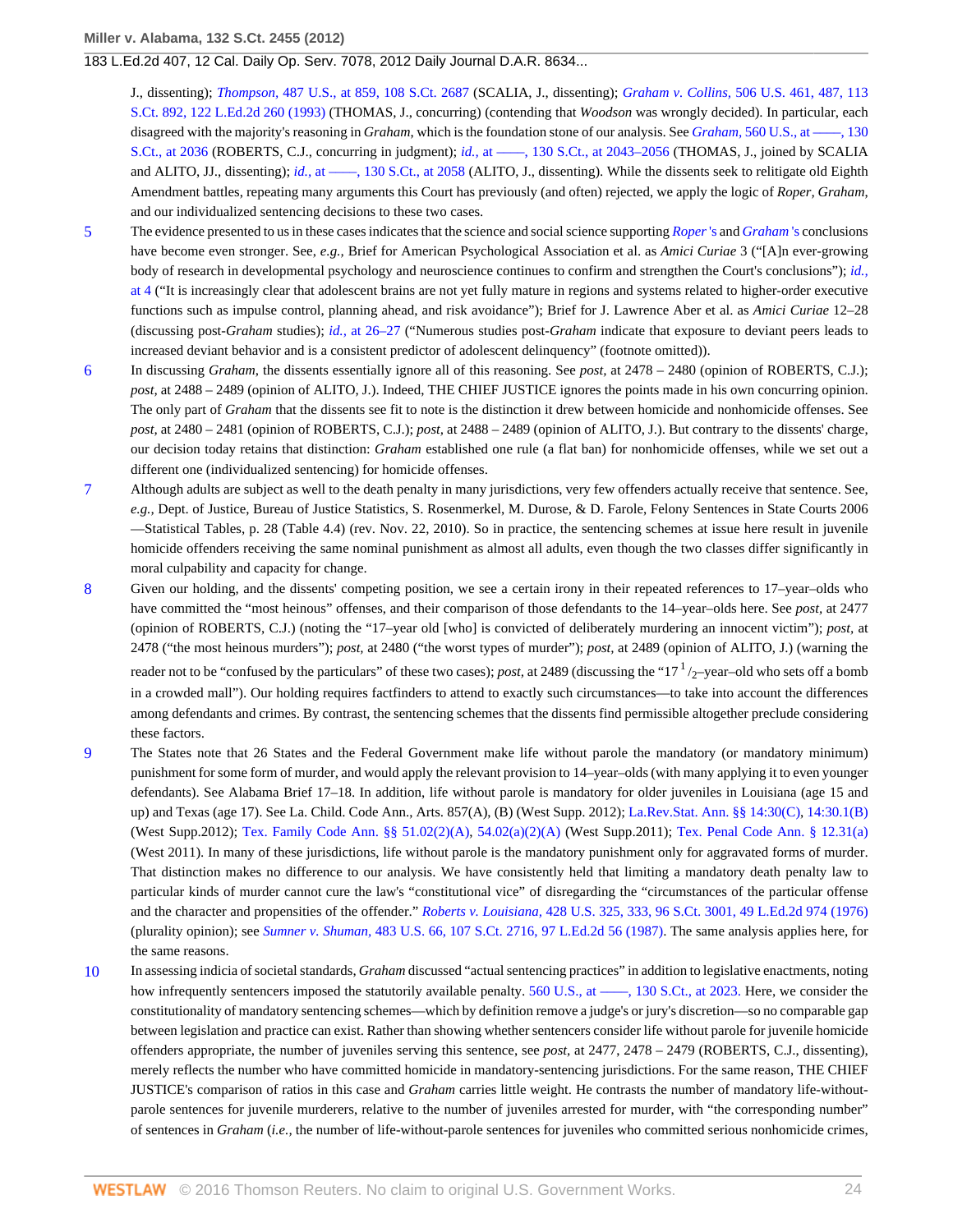J., dissenting); *Thompson,* [487 U.S., at 859, 108 S.Ct. 2687](http://www.westlaw.com/Link/Document/FullText?findType=Y&serNum=1988084195&pubNum=0000708&originatingDoc=Iec8a7df1beb611e1b343c837631e1747&refType=RP&originationContext=document&vr=3.0&rs=cblt1.0&transitionType=DocumentItem&contextData=(sc.Search)) (SCALIA, J., dissenting); *Graham v. Collins,* [506 U.S. 461, 487, 113](http://www.westlaw.com/Link/Document/FullText?findType=Y&serNum=1993032776&pubNum=0000708&originatingDoc=Iec8a7df1beb611e1b343c837631e1747&refType=RP&originationContext=document&vr=3.0&rs=cblt1.0&transitionType=DocumentItem&contextData=(sc.Search)) [S.Ct. 892, 122 L.Ed.2d 260 \(1993\)](http://www.westlaw.com/Link/Document/FullText?findType=Y&serNum=1993032776&pubNum=0000708&originatingDoc=Iec8a7df1beb611e1b343c837631e1747&refType=RP&originationContext=document&vr=3.0&rs=cblt1.0&transitionType=DocumentItem&contextData=(sc.Search)) (THOMAS, J., concurring) (contending that *Woodson* was wrongly decided). In particular, each disagreed with the majority's reasoning in *Graham*, which is the foundation stone of our analysis. See *Graham,* [560 U.S., at ––––, 130](http://www.westlaw.com/Link/Document/FullText?findType=Y&serNum=2022052221&pubNum=0000708&originatingDoc=Iec8a7df1beb611e1b343c837631e1747&refType=RP&fi=co_pp_sp_708_2036&originationContext=document&vr=3.0&rs=cblt1.0&transitionType=DocumentItem&contextData=(sc.Search)#co_pp_sp_708_2036) [S.Ct., at 2036](http://www.westlaw.com/Link/Document/FullText?findType=Y&serNum=2022052221&pubNum=0000708&originatingDoc=Iec8a7df1beb611e1b343c837631e1747&refType=RP&fi=co_pp_sp_708_2036&originationContext=document&vr=3.0&rs=cblt1.0&transitionType=DocumentItem&contextData=(sc.Search)#co_pp_sp_708_2036) (ROBERTS, C.J., concurring in judgment); *id.,* [at ––––, 130 S.Ct., at 2043–2056](http://www.westlaw.com/Link/Document/FullText?findType=Y&serNum=2022052221&pubNum=708&originatingDoc=Iec8a7df1beb611e1b343c837631e1747&refType=RP&originationContext=document&vr=3.0&rs=cblt1.0&transitionType=DocumentItem&contextData=(sc.Search)) (THOMAS, J., joined by SCALIA and ALITO, JJ., dissenting); *id.*, at ——, 130 S.Ct., at 2058 (ALITO, J., dissenting). While the dissents seek to relitigate old Eighth Amendment battles, repeating many arguments this Court has previously (and often) rejected, we apply the logic of *Roper, Graham*, and our individualized sentencing decisions to these two cases.

- <span id="page-23-0"></span>[5](#page-6-0) The evidence presented to us in these cases indicates that the science and social science supporting *[Roper](http://www.westlaw.com/Link/Document/FullText?findType=Y&serNum=2006291922&originatingDoc=Iec8a7df1beb611e1b343c837631e1747&refType=RP&originationContext=document&vr=3.0&rs=cblt1.0&transitionType=DocumentItem&contextData=(sc.Search))* 's and *[Graham](http://www.westlaw.com/Link/Document/FullText?findType=Y&serNum=2022052221&originatingDoc=Iec8a7df1beb611e1b343c837631e1747&refType=RP&originationContext=document&vr=3.0&rs=cblt1.0&transitionType=DocumentItem&contextData=(sc.Search))* 's conclusions have become even stronger. See, *e.g.,* Brief for American Psychological Association et al. as *Amici Curiae* 3 ("[A]n ever-growing body of research in developmental psychology and neuroscience continues to confirm and strengthen the Court's conclusions"); *[id.,](http://www.westlaw.com/Link/Document/FullText?findType=Y&serNum=2006291922&pubNum=0000471&originatingDoc=Iec8a7df1beb611e1b343c837631e1747&refType=RP&fi=co_pp_sp_471_4&originationContext=document&vr=3.0&rs=cblt1.0&transitionType=DocumentItem&contextData=(sc.Search)#co_pp_sp_471_4)* [at 4](http://www.westlaw.com/Link/Document/FullText?findType=Y&serNum=2006291922&pubNum=0000471&originatingDoc=Iec8a7df1beb611e1b343c837631e1747&refType=RP&fi=co_pp_sp_471_4&originationContext=document&vr=3.0&rs=cblt1.0&transitionType=DocumentItem&contextData=(sc.Search)#co_pp_sp_471_4) ("It is increasingly clear that adolescent brains are not yet fully mature in regions and systems related to higher-order executive functions such as impulse control, planning ahead, and risk avoidance"); Brief for J. Lawrence Aber et al. as *Amici Curiae* 12–28 (discussing post-*Graham* studies); *id.,* [at 26–27](http://www.westlaw.com/Link/Document/FullText?findType=Y&serNum=2006291922&pubNum=0000471&originatingDoc=Iec8a7df1beb611e1b343c837631e1747&refType=RP&fi=co_pp_sp_471_26&originationContext=document&vr=3.0&rs=cblt1.0&transitionType=DocumentItem&contextData=(sc.Search)#co_pp_sp_471_26) ("Numerous studies post-*Graham* indicate that exposure to deviant peers leads to increased deviant behavior and is a consistent predictor of adolescent delinquency" (footnote omitted)).
- <span id="page-23-1"></span>[6](#page-6-1) In discussing *Graham*, the dissents essentially ignore all of this reasoning. See *post,* at 2478 – 2480 (opinion of ROBERTS, C.J.); *post,* at 2488 – 2489 (opinion of ALITO, J.). Indeed, THE CHIEF JUSTICE ignores the points made in his own concurring opinion. The only part of *Graham* that the dissents see fit to note is the distinction it drew between homicide and nonhomicide offenses. See *post,* at 2480 – 2481 (opinion of ROBERTS, C.J.); *post,* at 2488 – 2489 (opinion of ALITO, J.). But contrary to the dissents' charge, our decision today retains that distinction: *Graham* established one rule (a flat ban) for nonhomicide offenses, while we set out a different one (individualized sentencing) for homicide offenses.
- <span id="page-23-2"></span>[7](#page-8-0) Although adults are subject as well to the death penalty in many jurisdictions, very few offenders actually receive that sentence. See, *e.g.,* Dept. of Justice, Bureau of Justice Statistics, S. Rosenmerkel, M. Durose, & D. Farole, Felony Sentences in State Courts 2006 —Statistical Tables, p. 28 (Table 4.4) (rev. Nov. 22, 2010). So in practice, the sentencing schemes at issue here result in juvenile homicide offenders receiving the same nominal punishment as almost all adults, even though the two classes differ significantly in moral culpability and capacity for change.
- <span id="page-23-3"></span>[8](#page-9-0) Given our holding, and the dissents' competing position, we see a certain irony in their repeated references to 17–year–olds who have committed the "most heinous" offenses, and their comparison of those defendants to the 14–year–olds here. See *post,* at 2477 (opinion of ROBERTS, C.J.) (noting the "17–year old [who] is convicted of deliberately murdering an innocent victim"); *post,* at 2478 ("the most heinous murders"); *post,* at 2480 ("the worst types of murder"); *post,* at 2489 (opinion of ALITO, J.) (warning the reader not to be "confused by the particulars" of these two cases); *post*, at 2489 (discussing the "17<sup>1</sup>/2-year-old who sets off a bomb in a crowded mall"). Our holding requires factfinders to attend to exactly such circumstances—to take into account the differences among defendants and crimes. By contrast, the sentencing schemes that the dissents find permissible altogether preclude considering these factors.
- <span id="page-23-4"></span>[9](#page-10-0) The States note that 26 States and the Federal Government make life without parole the mandatory (or mandatory minimum) punishment for some form of murder, and would apply the relevant provision to 14–year–olds (with many applying it to even younger defendants). See Alabama Brief 17–18. In addition, life without parole is mandatory for older juveniles in Louisiana (age 15 and up) and Texas (age 17). See La. Child. Code Ann., Arts. 857(A), (B) (West Supp. 2012); [La.Rev.Stat. Ann. §§ 14:30\(C\)](http://www.westlaw.com/Link/Document/FullText?findType=L&pubNum=1000011&cite=LARS14%3a30&originatingDoc=Iec8a7df1beb611e1b343c837631e1747&refType=LQ&originationContext=document&vr=3.0&rs=cblt1.0&transitionType=DocumentItem&contextData=(sc.Search)), [14:30.1\(B\)](http://www.westlaw.com/Link/Document/FullText?findType=L&pubNum=1000011&cite=LARS14%3a30.1&originatingDoc=Iec8a7df1beb611e1b343c837631e1747&refType=LQ&originationContext=document&vr=3.0&rs=cblt1.0&transitionType=DocumentItem&contextData=(sc.Search)) (West Supp.2012); [Tex. Family Code Ann. §§ 51.02\(2\)\(A\),](http://www.westlaw.com/Link/Document/FullText?findType=L&pubNum=1000175&cite=TXFAS51.02&originatingDoc=Iec8a7df1beb611e1b343c837631e1747&refType=SP&originationContext=document&vr=3.0&rs=cblt1.0&transitionType=DocumentItem&contextData=(sc.Search)#co_pp_64eb0000ab9e4) [54.02\(a\)\(2\)\(A\)](http://www.westlaw.com/Link/Document/FullText?findType=L&pubNum=1000175&cite=TXFAS54.02&originatingDoc=Iec8a7df1beb611e1b343c837631e1747&refType=SP&originationContext=document&vr=3.0&rs=cblt1.0&transitionType=DocumentItem&contextData=(sc.Search)#co_pp_b5120000f7a05) (West Supp.2011); [Tex. Penal Code Ann. § 12.31\(a\)](http://www.westlaw.com/Link/Document/FullText?findType=L&pubNum=1000182&cite=TXPES12.31&originatingDoc=Iec8a7df1beb611e1b343c837631e1747&refType=SP&originationContext=document&vr=3.0&rs=cblt1.0&transitionType=DocumentItem&contextData=(sc.Search)#co_pp_8b3b0000958a4) (West 2011). In many of these jurisdictions, life without parole is the mandatory punishment only for aggravated forms of murder. That distinction makes no difference to our analysis. We have consistently held that limiting a mandatory death penalty law to particular kinds of murder cannot cure the law's "constitutional vice" of disregarding the "circumstances of the particular offense and the character and propensities of the offender." *Roberts v. Louisiana,* [428 U.S. 325, 333, 96 S.Ct. 3001, 49 L.Ed.2d 974 \(1976\)](http://www.westlaw.com/Link/Document/FullText?findType=Y&serNum=1976142451&pubNum=0000708&originatingDoc=Iec8a7df1beb611e1b343c837631e1747&refType=RP&originationContext=document&vr=3.0&rs=cblt1.0&transitionType=DocumentItem&contextData=(sc.Search)) (plurality opinion); see *Sumner v. Shuman,* [483 U.S. 66, 107 S.Ct. 2716, 97 L.Ed.2d 56 \(1987\)](http://www.westlaw.com/Link/Document/FullText?findType=Y&serNum=1987077900&pubNum=0000708&originatingDoc=Iec8a7df1beb611e1b343c837631e1747&refType=RP&originationContext=document&vr=3.0&rs=cblt1.0&transitionType=DocumentItem&contextData=(sc.Search)). The same analysis applies here, for the same reasons.
- <span id="page-23-5"></span>[10](#page-10-1) In assessing indicia of societal standards, *Graham* discussed "actual sentencing practices" in addition to legislative enactments, noting how infrequently sentencers imposed the statutorily available penalty. 560 U.S., at ——, 130 S.Ct., at 2023. Here, we consider the constitutionality of mandatory sentencing schemes—which by definition remove a judge's or jury's discretion—so no comparable gap between legislation and practice can exist. Rather than showing whether sentencers consider life without parole for juvenile homicide offenders appropriate, the number of juveniles serving this sentence, see *post,* at 2477, 2478 – 2479 (ROBERTS, C.J., dissenting), merely reflects the number who have committed homicide in mandatory-sentencing jurisdictions. For the same reason, THE CHIEF JUSTICE's comparison of ratios in this case and *Graham* carries little weight. He contrasts the number of mandatory life-withoutparole sentences for juvenile murderers, relative to the number of juveniles arrested for murder, with "the corresponding number" of sentences in *Graham* (*i.e.,* the number of life-without-parole sentences for juveniles who committed serious nonhomicide crimes,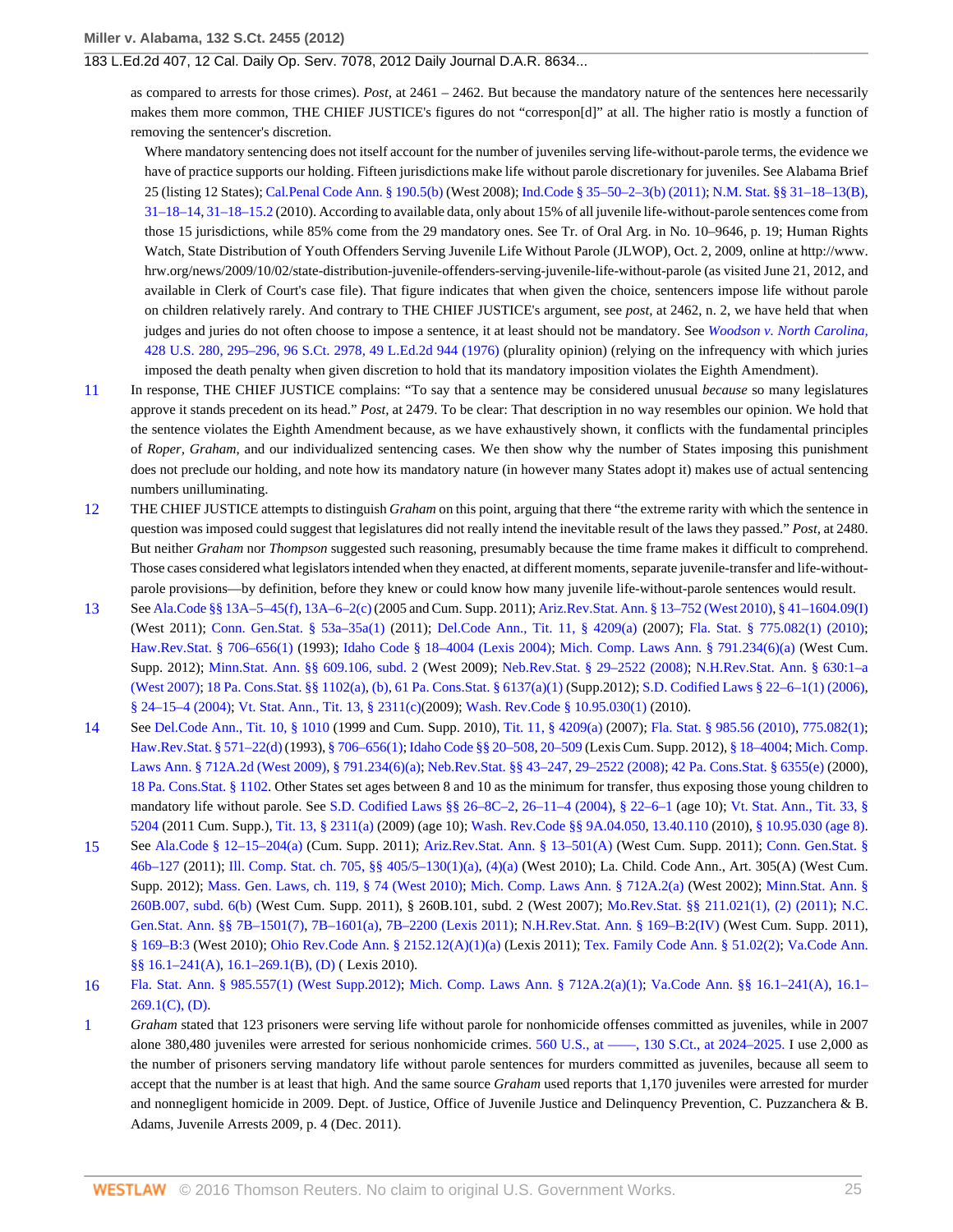as compared to arrests for those crimes). *Post,* at 2461 – 2462*.* But because the mandatory nature of the sentences here necessarily makes them more common, THE CHIEF JUSTICE's figures do not "correspon[d]" at all. The higher ratio is mostly a function of removing the sentencer's discretion.

Where mandatory sentencing does not itself account for the number of juveniles serving life-without-parole terms, the evidence we have of practice supports our holding. Fifteen jurisdictions make life without parole discretionary for juveniles. See Alabama Brief 25 (listing 12 States); [Cal.Penal Code Ann. § 190.5\(b\)](http://www.westlaw.com/Link/Document/FullText?findType=L&pubNum=1000217&cite=CAPES190.5&originatingDoc=Iec8a7df1beb611e1b343c837631e1747&refType=SP&originationContext=document&vr=3.0&rs=cblt1.0&transitionType=DocumentItem&contextData=(sc.Search)#co_pp_a83b000018c76) (West 2008); [Ind.Code § 35–50–2–3\(b\) \(2011\);](http://www.westlaw.com/Link/Document/FullText?findType=L&pubNum=1000009&cite=INS35-50-2-3&originatingDoc=Iec8a7df1beb611e1b343c837631e1747&refType=SP&originationContext=document&vr=3.0&rs=cblt1.0&transitionType=DocumentItem&contextData=(sc.Search)#co_pp_a83b000018c76) [N.M. Stat. §§ 31–18–13\(B\),](http://www.westlaw.com/Link/Document/FullText?findType=L&pubNum=1000036&cite=NMSTS31-18-13&originatingDoc=Iec8a7df1beb611e1b343c837631e1747&refType=LQ&originationContext=document&vr=3.0&rs=cblt1.0&transitionType=DocumentItem&contextData=(sc.Search)) [31–18–14](http://www.westlaw.com/Link/Document/FullText?findType=L&pubNum=1000036&cite=NMSTS31-18-14&originatingDoc=Iec8a7df1beb611e1b343c837631e1747&refType=LQ&originationContext=document&vr=3.0&rs=cblt1.0&transitionType=DocumentItem&contextData=(sc.Search)), [31–18–15.2](http://www.westlaw.com/Link/Document/FullText?findType=L&pubNum=1000036&cite=NMSTS31-18-15.2&originatingDoc=Iec8a7df1beb611e1b343c837631e1747&refType=LQ&originationContext=document&vr=3.0&rs=cblt1.0&transitionType=DocumentItem&contextData=(sc.Search)) (2010). According to available data, only about 15% of all juvenile life-without-parole sentences come from those 15 jurisdictions, while 85% come from the 29 mandatory ones. See Tr. of Oral Arg. in No. 10–9646, p. 19; Human Rights Watch, State Distribution of Youth Offenders Serving Juvenile Life Without Parole (JLWOP), Oct. 2, 2009, online at http://www. hrw.org/news/2009/10/02/state-distribution-juvenile-offenders-serving-juvenile-life-without-parole (as visited June 21, 2012, and available in Clerk of Court's case file). That figure indicates that when given the choice, sentencers impose life without parole on children relatively rarely. And contrary to THE CHIEF JUSTICE's argument, see *post,* at 2462, n. 2, we have held that when judges and juries do not often choose to impose a sentence, it at least should not be mandatory. See *[Woodson v. North Carolina,](http://www.westlaw.com/Link/Document/FullText?findType=Y&serNum=1976141320&pubNum=0000708&originatingDoc=Iec8a7df1beb611e1b343c837631e1747&refType=RP&originationContext=document&vr=3.0&rs=cblt1.0&transitionType=DocumentItem&contextData=(sc.Search))* [428 U.S. 280, 295–296, 96 S.Ct. 2978, 49 L.Ed.2d 944 \(1976\)](http://www.westlaw.com/Link/Document/FullText?findType=Y&serNum=1976141320&pubNum=0000708&originatingDoc=Iec8a7df1beb611e1b343c837631e1747&refType=RP&originationContext=document&vr=3.0&rs=cblt1.0&transitionType=DocumentItem&contextData=(sc.Search)) (plurality opinion) (relying on the infrequency with which juries imposed the death penalty when given discretion to hold that its mandatory imposition violates the Eighth Amendment).

- <span id="page-24-0"></span>[11](#page-10-2) In response, THE CHIEF JUSTICE complains: "To say that a sentence may be considered unusual *because* so many legislatures approve it stands precedent on its head." *Post,* at 2479. To be clear: That description in no way resembles our opinion. We hold that the sentence violates the Eighth Amendment because, as we have exhaustively shown, it conflicts with the fundamental principles of *Roper, Graham*, and our individualized sentencing cases. We then show why the number of States imposing this punishment does not preclude our holding, and note how its mandatory nature (in however many States adopt it) makes use of actual sentencing numbers unilluminating.
- <span id="page-24-1"></span>[12](#page-10-3) THE CHIEF JUSTICE attempts to distinguish *Graham* on this point, arguing that there "the extreme rarity with which the sentence in question was imposed could suggest that legislatures did not really intend the inevitable result of the laws they passed." *Post,* at 2480. But neither *Graham* nor *Thompson* suggested such reasoning, presumably because the time frame makes it difficult to comprehend. Those cases considered what legislators intended when they enacted, at different moments, separate juvenile-transfer and life-withoutparole provisions—by definition, before they knew or could know how many juvenile life-without-parole sentences would result.
- <span id="page-24-2"></span>[13](#page-10-4) See [Ala.Code §§ 13A–5–45\(f\),](http://www.westlaw.com/Link/Document/FullText?findType=L&pubNum=1000002&cite=ALSTS13A-5-45&originatingDoc=Iec8a7df1beb611e1b343c837631e1747&refType=SP&originationContext=document&vr=3.0&rs=cblt1.0&transitionType=DocumentItem&contextData=(sc.Search)#co_pp_ae0d0000c5150) [13A–6–2\(c\)](http://www.westlaw.com/Link/Document/FullText?findType=L&pubNum=1000002&cite=ALSTS13A-6-2&originatingDoc=Iec8a7df1beb611e1b343c837631e1747&refType=SP&originationContext=document&vr=3.0&rs=cblt1.0&transitionType=DocumentItem&contextData=(sc.Search)#co_pp_4b24000003ba5) (2005 and Cum. Supp. 2011); [Ariz.Rev.Stat. Ann. § 13–752 \(West 2010\),](http://www.westlaw.com/Link/Document/FullText?findType=L&pubNum=1000251&cite=AZSTS13-752&originatingDoc=Iec8a7df1beb611e1b343c837631e1747&refType=LQ&originationContext=document&vr=3.0&rs=cblt1.0&transitionType=DocumentItem&contextData=(sc.Search)) [§ 41–1604.09\(I\)](http://www.westlaw.com/Link/Document/FullText?findType=L&pubNum=1000251&cite=AZSTS41-1604.09&originatingDoc=Iec8a7df1beb611e1b343c837631e1747&refType=LQ&originationContext=document&vr=3.0&rs=cblt1.0&transitionType=DocumentItem&contextData=(sc.Search)) (West 2011); [Conn. Gen.Stat. § 53a–35a\(1\)](http://www.westlaw.com/Link/Document/FullText?findType=L&pubNum=1000264&cite=CTSTS53A-35A&originatingDoc=Iec8a7df1beb611e1b343c837631e1747&refType=SP&originationContext=document&vr=3.0&rs=cblt1.0&transitionType=DocumentItem&contextData=(sc.Search)#co_pp_f1c50000821b0) (2011); [Del.Code Ann., Tit. 11, § 4209\(a\)](http://www.westlaw.com/Link/Document/FullText?findType=L&pubNum=1000005&cite=DESTT11S4209&originatingDoc=Iec8a7df1beb611e1b343c837631e1747&refType=SP&originationContext=document&vr=3.0&rs=cblt1.0&transitionType=DocumentItem&contextData=(sc.Search)#co_pp_8b3b0000958a4) (2007); [Fla. Stat. § 775.082\(1\) \(2010\)](http://www.westlaw.com/Link/Document/FullText?findType=L&pubNum=1000006&cite=FLSTS775.082&originatingDoc=Iec8a7df1beb611e1b343c837631e1747&refType=SP&originationContext=document&vr=3.0&rs=cblt1.0&transitionType=DocumentItem&contextData=(sc.Search)#co_pp_f1c50000821b0); [Haw.Rev.Stat. § 706–656\(1\)](http://www.westlaw.com/Link/Document/FullText?findType=L&pubNum=1000522&cite=HISTS706-656&originatingDoc=Iec8a7df1beb611e1b343c837631e1747&refType=SP&originationContext=document&vr=3.0&rs=cblt1.0&transitionType=DocumentItem&contextData=(sc.Search)#co_pp_f1c50000821b0) (1993); [Idaho Code § 18–4004 \(Lexis 2004\)](http://www.westlaw.com/Link/Document/FullText?findType=L&pubNum=1000007&cite=IDSTS18-4004&originatingDoc=Iec8a7df1beb611e1b343c837631e1747&refType=LQ&originationContext=document&vr=3.0&rs=cblt1.0&transitionType=DocumentItem&contextData=(sc.Search)); [Mich. Comp. Laws Ann. § 791.234\(6\)\(a\)](http://www.westlaw.com/Link/Document/FullText?findType=L&pubNum=1000043&cite=MIST791.234&originatingDoc=Iec8a7df1beb611e1b343c837631e1747&refType=SP&originationContext=document&vr=3.0&rs=cblt1.0&transitionType=DocumentItem&contextData=(sc.Search)#co_pp_8fd7000095a35) (West Cum. Supp. 2012); [Minn.Stat. Ann. §§ 609.106, subd. 2](http://www.westlaw.com/Link/Document/FullText?findType=L&pubNum=1000044&cite=MNSTS609.106&originatingDoc=Iec8a7df1beb611e1b343c837631e1747&refType=SP&originationContext=document&vr=3.0&rs=cblt1.0&transitionType=DocumentItem&contextData=(sc.Search)#co_pp_57e60000f6d46) (West 2009); [Neb.Rev.Stat. § 29–2522 \(2008\);](http://www.westlaw.com/Link/Document/FullText?findType=L&pubNum=1000257&cite=NESTS29-2522&originatingDoc=Iec8a7df1beb611e1b343c837631e1747&refType=LQ&originationContext=document&vr=3.0&rs=cblt1.0&transitionType=DocumentItem&contextData=(sc.Search)) [N.H.Rev.Stat. Ann. § 630:1–a](http://www.westlaw.com/Link/Document/FullText?findType=L&pubNum=1000864&cite=NHSTS630%3a1-A&originatingDoc=Iec8a7df1beb611e1b343c837631e1747&refType=LQ&originationContext=document&vr=3.0&rs=cblt1.0&transitionType=DocumentItem&contextData=(sc.Search)) [\(West 2007\)](http://www.westlaw.com/Link/Document/FullText?findType=L&pubNum=1000864&cite=NHSTS630%3a1-A&originatingDoc=Iec8a7df1beb611e1b343c837631e1747&refType=LQ&originationContext=document&vr=3.0&rs=cblt1.0&transitionType=DocumentItem&contextData=(sc.Search)); [18 Pa. Cons.Stat. §§ 1102\(a\),](http://www.westlaw.com/Link/Document/FullText?findType=L&pubNum=1000262&cite=PA18S1102&originatingDoc=Iec8a7df1beb611e1b343c837631e1747&refType=SP&originationContext=document&vr=3.0&rs=cblt1.0&transitionType=DocumentItem&contextData=(sc.Search)#co_pp_8b3b0000958a4) [\(b\),](http://www.westlaw.com/Link/Document/FullText?findType=L&pubNum=1000262&cite=PA18S1102&originatingDoc=Iec8a7df1beb611e1b343c837631e1747&refType=SP&originationContext=document&vr=3.0&rs=cblt1.0&transitionType=DocumentItem&contextData=(sc.Search)#co_pp_a83b000018c76) [61 Pa. Cons.Stat. § 6137\(a\)\(1\)](http://www.westlaw.com/Link/Document/FullText?findType=L&pubNum=1000262&cite=PA61S6137&originatingDoc=Iec8a7df1beb611e1b343c837631e1747&refType=SP&originationContext=document&vr=3.0&rs=cblt1.0&transitionType=DocumentItem&contextData=(sc.Search)#co_pp_7b9b000044381) (Supp.2012); [S.D. Codified Laws § 22–6–1\(1\) \(2006\),](http://www.westlaw.com/Link/Document/FullText?findType=L&pubNum=1000359&cite=SDSTS22-6-1&originatingDoc=Iec8a7df1beb611e1b343c837631e1747&refType=SP&originationContext=document&vr=3.0&rs=cblt1.0&transitionType=DocumentItem&contextData=(sc.Search)#co_pp_f1c50000821b0) [§ 24–15–4 \(2004\)](http://www.westlaw.com/Link/Document/FullText?findType=L&pubNum=1000359&cite=SDSTS24-15-4&originatingDoc=Iec8a7df1beb611e1b343c837631e1747&refType=LQ&originationContext=document&vr=3.0&rs=cblt1.0&transitionType=DocumentItem&contextData=(sc.Search)); [Vt. Stat. Ann., Tit. 13, § 2311\(c\)\(](http://www.westlaw.com/Link/Document/FullText?findType=L&pubNum=1000883&cite=VTST13S2311&originatingDoc=Iec8a7df1beb611e1b343c837631e1747&refType=SP&originationContext=document&vr=3.0&rs=cblt1.0&transitionType=DocumentItem&contextData=(sc.Search)#co_pp_4b24000003ba5)2009); [Wash. Rev.Code § 10.95.030\(1\)](http://www.westlaw.com/Link/Document/FullText?findType=L&pubNum=1000259&cite=WAST10.95.030&originatingDoc=Iec8a7df1beb611e1b343c837631e1747&refType=SP&originationContext=document&vr=3.0&rs=cblt1.0&transitionType=DocumentItem&contextData=(sc.Search)#co_pp_f1c50000821b0) (2010).
- <span id="page-24-3"></span>[14](#page-10-5) See [Del.Code Ann., Tit. 10, § 1010](http://www.westlaw.com/Link/Document/FullText?findType=L&pubNum=1000005&cite=DESTT10S1010&originatingDoc=Iec8a7df1beb611e1b343c837631e1747&refType=LQ&originationContext=document&vr=3.0&rs=cblt1.0&transitionType=DocumentItem&contextData=(sc.Search)) (1999 and Cum. Supp. 2010), [Tit. 11, § 4209\(a\)](http://www.westlaw.com/Link/Document/FullText?findType=L&pubNum=1000005&cite=DESTT11S4209&originatingDoc=Iec8a7df1beb611e1b343c837631e1747&refType=SP&originationContext=document&vr=3.0&rs=cblt1.0&transitionType=DocumentItem&contextData=(sc.Search)#co_pp_8b3b0000958a4) (2007); [Fla. Stat. § 985.56 \(2010\)](http://www.westlaw.com/Link/Document/FullText?findType=L&pubNum=1000006&cite=FLSTS985.56&originatingDoc=Iec8a7df1beb611e1b343c837631e1747&refType=LQ&originationContext=document&vr=3.0&rs=cblt1.0&transitionType=DocumentItem&contextData=(sc.Search)), [775.082\(1\)](http://www.westlaw.com/Link/Document/FullText?findType=L&pubNum=1000006&cite=FLSTS775.082&originatingDoc=Iec8a7df1beb611e1b343c837631e1747&refType=SP&originationContext=document&vr=3.0&rs=cblt1.0&transitionType=DocumentItem&contextData=(sc.Search)#co_pp_f1c50000821b0); [Haw.Rev.Stat. § 571–22\(d\)](http://www.westlaw.com/Link/Document/FullText?findType=L&pubNum=1000522&cite=HISTS571-22&originatingDoc=Iec8a7df1beb611e1b343c837631e1747&refType=SP&originationContext=document&vr=3.0&rs=cblt1.0&transitionType=DocumentItem&contextData=(sc.Search)#co_pp_5ba1000067d06) (1993), [§ 706–656\(1\)](http://www.westlaw.com/Link/Document/FullText?findType=L&pubNum=1000522&cite=HISTS706-656&originatingDoc=Iec8a7df1beb611e1b343c837631e1747&refType=SP&originationContext=document&vr=3.0&rs=cblt1.0&transitionType=DocumentItem&contextData=(sc.Search)#co_pp_f1c50000821b0); [Idaho Code §§ 20–508](http://www.westlaw.com/Link/Document/FullText?findType=L&pubNum=1000007&cite=IDSTS20-508&originatingDoc=Iec8a7df1beb611e1b343c837631e1747&refType=LQ&originationContext=document&vr=3.0&rs=cblt1.0&transitionType=DocumentItem&contextData=(sc.Search)), [20–509](http://www.westlaw.com/Link/Document/FullText?findType=L&pubNum=1000007&cite=IDSTS20-509&originatingDoc=Iec8a7df1beb611e1b343c837631e1747&refType=LQ&originationContext=document&vr=3.0&rs=cblt1.0&transitionType=DocumentItem&contextData=(sc.Search)) (Lexis Cum. Supp. 2012), [§ 18–4004;](http://www.westlaw.com/Link/Document/FullText?findType=L&pubNum=1000007&cite=IDSTS18-4004&originatingDoc=Iec8a7df1beb611e1b343c837631e1747&refType=LQ&originationContext=document&vr=3.0&rs=cblt1.0&transitionType=DocumentItem&contextData=(sc.Search)) [Mich. Comp.](http://www.westlaw.com/Link/Document/FullText?findType=L&pubNum=1000043&cite=MIST712A.2D&originatingDoc=Iec8a7df1beb611e1b343c837631e1747&refType=LQ&originationContext=document&vr=3.0&rs=cblt1.0&transitionType=DocumentItem&contextData=(sc.Search)) [Laws Ann. § 712A.2d \(West 2009\),](http://www.westlaw.com/Link/Document/FullText?findType=L&pubNum=1000043&cite=MIST712A.2D&originatingDoc=Iec8a7df1beb611e1b343c837631e1747&refType=LQ&originationContext=document&vr=3.0&rs=cblt1.0&transitionType=DocumentItem&contextData=(sc.Search)) [§ 791.234\(6\)\(a\)](http://www.westlaw.com/Link/Document/FullText?findType=L&pubNum=1000043&cite=MIST791.234&originatingDoc=Iec8a7df1beb611e1b343c837631e1747&refType=SP&originationContext=document&vr=3.0&rs=cblt1.0&transitionType=DocumentItem&contextData=(sc.Search)#co_pp_8fd7000095a35); [Neb.Rev.Stat. §§ 43–247](http://www.westlaw.com/Link/Document/FullText?findType=L&pubNum=1000257&cite=NESTS43-247&originatingDoc=Iec8a7df1beb611e1b343c837631e1747&refType=LQ&originationContext=document&vr=3.0&rs=cblt1.0&transitionType=DocumentItem&contextData=(sc.Search)), [29–2522 \(2008\)](http://www.westlaw.com/Link/Document/FullText?findType=L&pubNum=1000257&cite=NESTS29-2522&originatingDoc=Iec8a7df1beb611e1b343c837631e1747&refType=LQ&originationContext=document&vr=3.0&rs=cblt1.0&transitionType=DocumentItem&contextData=(sc.Search)); [42 Pa. Cons.Stat. § 6355\(e\)](http://www.westlaw.com/Link/Document/FullText?findType=L&pubNum=1000262&cite=PA42S6355&originatingDoc=Iec8a7df1beb611e1b343c837631e1747&refType=SP&originationContext=document&vr=3.0&rs=cblt1.0&transitionType=DocumentItem&contextData=(sc.Search)#co_pp_7fdd00001ca15) (2000), [18 Pa. Cons.Stat. § 1102](http://www.westlaw.com/Link/Document/FullText?findType=L&pubNum=1000262&cite=PA18S1102&originatingDoc=Iec8a7df1beb611e1b343c837631e1747&refType=LQ&originationContext=document&vr=3.0&rs=cblt1.0&transitionType=DocumentItem&contextData=(sc.Search)). Other States set ages between 8 and 10 as the minimum for transfer, thus exposing those young children to mandatory life without parole. See [S.D. Codified Laws §§ 26–8C–2,](http://www.westlaw.com/Link/Document/FullText?findType=L&pubNum=1000359&cite=SDSTS26-8C-2&originatingDoc=Iec8a7df1beb611e1b343c837631e1747&refType=LQ&originationContext=document&vr=3.0&rs=cblt1.0&transitionType=DocumentItem&contextData=(sc.Search)) [26–11–4 \(2004\),](http://www.westlaw.com/Link/Document/FullText?findType=L&pubNum=1000359&cite=SDSTS26-11-4&originatingDoc=Iec8a7df1beb611e1b343c837631e1747&refType=LQ&originationContext=document&vr=3.0&rs=cblt1.0&transitionType=DocumentItem&contextData=(sc.Search)) [§ 22–6–1](http://www.westlaw.com/Link/Document/FullText?findType=L&pubNum=1000359&cite=SDSTS22-6-1&originatingDoc=Iec8a7df1beb611e1b343c837631e1747&refType=LQ&originationContext=document&vr=3.0&rs=cblt1.0&transitionType=DocumentItem&contextData=(sc.Search)) (age 10); [Vt. Stat. Ann., Tit. 33, §](http://www.westlaw.com/Link/Document/FullText?findType=L&pubNum=1000883&cite=VTST33S5204&originatingDoc=Iec8a7df1beb611e1b343c837631e1747&refType=LQ&originationContext=document&vr=3.0&rs=cblt1.0&transitionType=DocumentItem&contextData=(sc.Search)) [5204](http://www.westlaw.com/Link/Document/FullText?findType=L&pubNum=1000883&cite=VTST33S5204&originatingDoc=Iec8a7df1beb611e1b343c837631e1747&refType=LQ&originationContext=document&vr=3.0&rs=cblt1.0&transitionType=DocumentItem&contextData=(sc.Search)) (2011 Cum. Supp.), [Tit. 13, § 2311\(a\)](http://www.westlaw.com/Link/Document/FullText?findType=L&pubNum=1000883&cite=VTST13S2311&originatingDoc=Iec8a7df1beb611e1b343c837631e1747&refType=SP&originationContext=document&vr=3.0&rs=cblt1.0&transitionType=DocumentItem&contextData=(sc.Search)#co_pp_8b3b0000958a4) (2009) (age 10); [Wash. Rev.Code §§ 9A.04.050,](http://www.westlaw.com/Link/Document/FullText?findType=L&pubNum=1000259&cite=WAST9A.04.050&originatingDoc=Iec8a7df1beb611e1b343c837631e1747&refType=LQ&originationContext=document&vr=3.0&rs=cblt1.0&transitionType=DocumentItem&contextData=(sc.Search)) [13.40.110](http://www.westlaw.com/Link/Document/FullText?findType=L&pubNum=1000259&cite=WAST13.40.110&originatingDoc=Iec8a7df1beb611e1b343c837631e1747&refType=LQ&originationContext=document&vr=3.0&rs=cblt1.0&transitionType=DocumentItem&contextData=(sc.Search)) (2010), [§ 10.95.030 \(age 8\).](http://www.westlaw.com/Link/Document/FullText?findType=L&pubNum=1000259&cite=WAST10.95.030&originatingDoc=Iec8a7df1beb611e1b343c837631e1747&refType=LQ&originationContext=document&vr=3.0&rs=cblt1.0&transitionType=DocumentItem&contextData=(sc.Search))
- <span id="page-24-4"></span>[15](#page-11-0) See [Ala.Code § 12–15–204\(a\)](http://www.westlaw.com/Link/Document/FullText?findType=L&pubNum=1000002&cite=ALSTS12-15-204&originatingDoc=Iec8a7df1beb611e1b343c837631e1747&refType=SP&originationContext=document&vr=3.0&rs=cblt1.0&transitionType=DocumentItem&contextData=(sc.Search)#co_pp_8b3b0000958a4) (Cum. Supp. 2011); [Ariz.Rev.Stat. Ann. § 13–501\(A\)](http://www.westlaw.com/Link/Document/FullText?findType=L&pubNum=1000251&cite=AZSTS13-501&originatingDoc=Iec8a7df1beb611e1b343c837631e1747&refType=LQ&originationContext=document&vr=3.0&rs=cblt1.0&transitionType=DocumentItem&contextData=(sc.Search)) (West Cum. Supp. 2011); [Conn. Gen.Stat. §](http://www.westlaw.com/Link/Document/FullText?findType=L&pubNum=1000264&cite=CTSTS46B-127&originatingDoc=Iec8a7df1beb611e1b343c837631e1747&refType=LQ&originationContext=document&vr=3.0&rs=cblt1.0&transitionType=DocumentItem&contextData=(sc.Search)) [46b–127](http://www.westlaw.com/Link/Document/FullText?findType=L&pubNum=1000264&cite=CTSTS46B-127&originatingDoc=Iec8a7df1beb611e1b343c837631e1747&refType=LQ&originationContext=document&vr=3.0&rs=cblt1.0&transitionType=DocumentItem&contextData=(sc.Search)) (2011); [Ill. Comp. Stat. ch. 705, §§ 405/5–130\(1\)\(a\),](http://www.westlaw.com/Link/Document/FullText?findType=L&pubNum=1000008&cite=ILSTCH705S405%2f5-130&originatingDoc=Iec8a7df1beb611e1b343c837631e1747&refType=SP&originationContext=document&vr=3.0&rs=cblt1.0&transitionType=DocumentItem&contextData=(sc.Search)#co_pp_9f800000f2221) [\(4\)\(a\)](http://www.westlaw.com/Link/Document/FullText?findType=L&pubNum=1000008&cite=ILSTCH705S405%2f5-130&originatingDoc=Iec8a7df1beb611e1b343c837631e1747&refType=SP&originationContext=document&vr=3.0&rs=cblt1.0&transitionType=DocumentItem&contextData=(sc.Search)#co_pp_f30a00002a1b0) (West 2010); La. Child. Code Ann., Art. 305(A) (West Cum. Supp. 2012); [Mass. Gen. Laws, ch. 119, § 74 \(West 2010\)](http://www.westlaw.com/Link/Document/FullText?findType=L&pubNum=1000042&cite=MAST119S74&originatingDoc=Iec8a7df1beb611e1b343c837631e1747&refType=LQ&originationContext=document&vr=3.0&rs=cblt1.0&transitionType=DocumentItem&contextData=(sc.Search)); [Mich. Comp. Laws Ann. § 712A.2\(a\)](http://www.westlaw.com/Link/Document/FullText?findType=L&pubNum=1000043&cite=MIST712A.2&originatingDoc=Iec8a7df1beb611e1b343c837631e1747&refType=SP&originationContext=document&vr=3.0&rs=cblt1.0&transitionType=DocumentItem&contextData=(sc.Search)#co_pp_8b3b0000958a4) (West 2002); [Minn.Stat. Ann. §](http://www.westlaw.com/Link/Document/FullText?findType=L&pubNum=1000044&cite=MNSTS260B.007&originatingDoc=Iec8a7df1beb611e1b343c837631e1747&refType=SP&originationContext=document&vr=3.0&rs=cblt1.0&transitionType=DocumentItem&contextData=(sc.Search)#co_pp_98690000d3140) [260B.007, subd. 6\(b\)](http://www.westlaw.com/Link/Document/FullText?findType=L&pubNum=1000044&cite=MNSTS260B.007&originatingDoc=Iec8a7df1beb611e1b343c837631e1747&refType=SP&originationContext=document&vr=3.0&rs=cblt1.0&transitionType=DocumentItem&contextData=(sc.Search)#co_pp_98690000d3140) (West Cum. Supp. 2011), § 260B.101, subd. 2 (West 2007); [Mo.Rev.Stat. §§ 211.021\(1\), \(2\) \(2011\);](http://www.westlaw.com/Link/Document/FullText?findType=L&pubNum=1000229&cite=MOST211.021&originatingDoc=Iec8a7df1beb611e1b343c837631e1747&refType=LQ&originationContext=document&vr=3.0&rs=cblt1.0&transitionType=DocumentItem&contextData=(sc.Search)) [N.C.](http://www.westlaw.com/Link/Document/FullText?findType=L&pubNum=1000037&cite=NCSTS7B-1501&originatingDoc=Iec8a7df1beb611e1b343c837631e1747&refType=SP&originationContext=document&vr=3.0&rs=cblt1.0&transitionType=DocumentItem&contextData=(sc.Search)#co_pp_794b00004e3d1) [Gen.Stat. Ann. §§ 7B–1501\(7\)](http://www.westlaw.com/Link/Document/FullText?findType=L&pubNum=1000037&cite=NCSTS7B-1501&originatingDoc=Iec8a7df1beb611e1b343c837631e1747&refType=SP&originationContext=document&vr=3.0&rs=cblt1.0&transitionType=DocumentItem&contextData=(sc.Search)#co_pp_794b00004e3d1), [7B–1601\(a\)](http://www.westlaw.com/Link/Document/FullText?findType=L&pubNum=1000037&cite=NCSTS7B-1601&originatingDoc=Iec8a7df1beb611e1b343c837631e1747&refType=SP&originationContext=document&vr=3.0&rs=cblt1.0&transitionType=DocumentItem&contextData=(sc.Search)#co_pp_8b3b0000958a4), [7B–2200 \(Lexis 2011\)](http://www.westlaw.com/Link/Document/FullText?findType=L&pubNum=1000037&cite=NCSTS7B-2200&originatingDoc=Iec8a7df1beb611e1b343c837631e1747&refType=LQ&originationContext=document&vr=3.0&rs=cblt1.0&transitionType=DocumentItem&contextData=(sc.Search)); [N.H.Rev.Stat. Ann. § 169–B:2\(IV\)](http://www.westlaw.com/Link/Document/FullText?findType=L&pubNum=1000864&cite=NHSTS169-B%3a2&originatingDoc=Iec8a7df1beb611e1b343c837631e1747&refType=LQ&originationContext=document&vr=3.0&rs=cblt1.0&transitionType=DocumentItem&contextData=(sc.Search)) (West Cum. Supp. 2011), [§ 169–B:3](http://www.westlaw.com/Link/Document/FullText?findType=L&pubNum=1000864&cite=NHSTS169-B%3a3&originatingDoc=Iec8a7df1beb611e1b343c837631e1747&refType=LQ&originationContext=document&vr=3.0&rs=cblt1.0&transitionType=DocumentItem&contextData=(sc.Search)) (West 2010); [Ohio Rev.Code Ann. § 2152.12\(A\)\(1\)\(a\)](http://www.westlaw.com/Link/Document/FullText?findType=L&pubNum=1000279&cite=OHSTS2152.12&originatingDoc=Iec8a7df1beb611e1b343c837631e1747&refType=SP&originationContext=document&vr=3.0&rs=cblt1.0&transitionType=DocumentItem&contextData=(sc.Search)#co_pp_5ad2000024502) (Lexis 2011); [Tex. Family Code Ann. § 51.02\(2\)](http://www.westlaw.com/Link/Document/FullText?findType=L&pubNum=1000175&cite=TXFAS51.02&originatingDoc=Iec8a7df1beb611e1b343c837631e1747&refType=SP&originationContext=document&vr=3.0&rs=cblt1.0&transitionType=DocumentItem&contextData=(sc.Search)#co_pp_58730000872b1); [Va.Code Ann.](http://www.westlaw.com/Link/Document/FullText?findType=L&pubNum=1000040&cite=VASTS16.1-241&originatingDoc=Iec8a7df1beb611e1b343c837631e1747&refType=LQ&originationContext=document&vr=3.0&rs=cblt1.0&transitionType=DocumentItem&contextData=(sc.Search)) [§§ 16.1–241\(A\)](http://www.westlaw.com/Link/Document/FullText?findType=L&pubNum=1000040&cite=VASTS16.1-241&originatingDoc=Iec8a7df1beb611e1b343c837631e1747&refType=LQ&originationContext=document&vr=3.0&rs=cblt1.0&transitionType=DocumentItem&contextData=(sc.Search)), [16.1–269.1\(B\), \(D\)](http://www.westlaw.com/Link/Document/FullText?findType=L&pubNum=1000040&cite=VASTS16.1-269.1&originatingDoc=Iec8a7df1beb611e1b343c837631e1747&refType=LQ&originationContext=document&vr=3.0&rs=cblt1.0&transitionType=DocumentItem&contextData=(sc.Search)) ( Lexis 2010).
- <span id="page-24-5"></span>[16](#page-11-1) [Fla. Stat. Ann. § 985.557\(1\) \(West Supp.2012\);](http://www.westlaw.com/Link/Document/FullText?findType=L&pubNum=1000006&cite=FLSTS985.557&originatingDoc=Iec8a7df1beb611e1b343c837631e1747&refType=SP&originationContext=document&vr=3.0&rs=cblt1.0&transitionType=DocumentItem&contextData=(sc.Search)#co_pp_f1c50000821b0) [Mich. Comp. Laws Ann. § 712A.2\(a\)\(1\);](http://www.westlaw.com/Link/Document/FullText?findType=L&pubNum=1000043&cite=MIST712A.2&originatingDoc=Iec8a7df1beb611e1b343c837631e1747&refType=SP&originationContext=document&vr=3.0&rs=cblt1.0&transitionType=DocumentItem&contextData=(sc.Search)#co_pp_7b9b000044381) [Va.Code Ann. §§ 16.1–241\(A\)](http://www.westlaw.com/Link/Document/FullText?findType=L&pubNum=1000040&cite=VASTS16.1-241&originatingDoc=Iec8a7df1beb611e1b343c837631e1747&refType=LQ&originationContext=document&vr=3.0&rs=cblt1.0&transitionType=DocumentItem&contextData=(sc.Search)), [16.1–](http://www.westlaw.com/Link/Document/FullText?findType=L&pubNum=1000040&cite=VASTS16.1-269.1&originatingDoc=Iec8a7df1beb611e1b343c837631e1747&refType=LQ&originationContext=document&vr=3.0&rs=cblt1.0&transitionType=DocumentItem&contextData=(sc.Search))  $269.1(C)$ , (D).
- <span id="page-24-6"></span>[1](#page-14-0) *Graham* stated that 123 prisoners were serving life without parole for nonhomicide offenses committed as juveniles, while in 2007 alone 380,480 juveniles were arrested for serious nonhomicide crimes. 560 U.S., at —–, 130 S.Ct., at 2024–2025. I use 2,000 as the number of prisoners serving mandatory life without parole sentences for murders committed as juveniles, because all seem to accept that the number is at least that high. And the same source *Graham* used reports that 1,170 juveniles were arrested for murder and nonnegligent homicide in 2009. Dept. of Justice, Office of Juvenile Justice and Delinquency Prevention, C. Puzzanchera & B. Adams, Juvenile Arrests 2009, p. 4 (Dec. 2011).